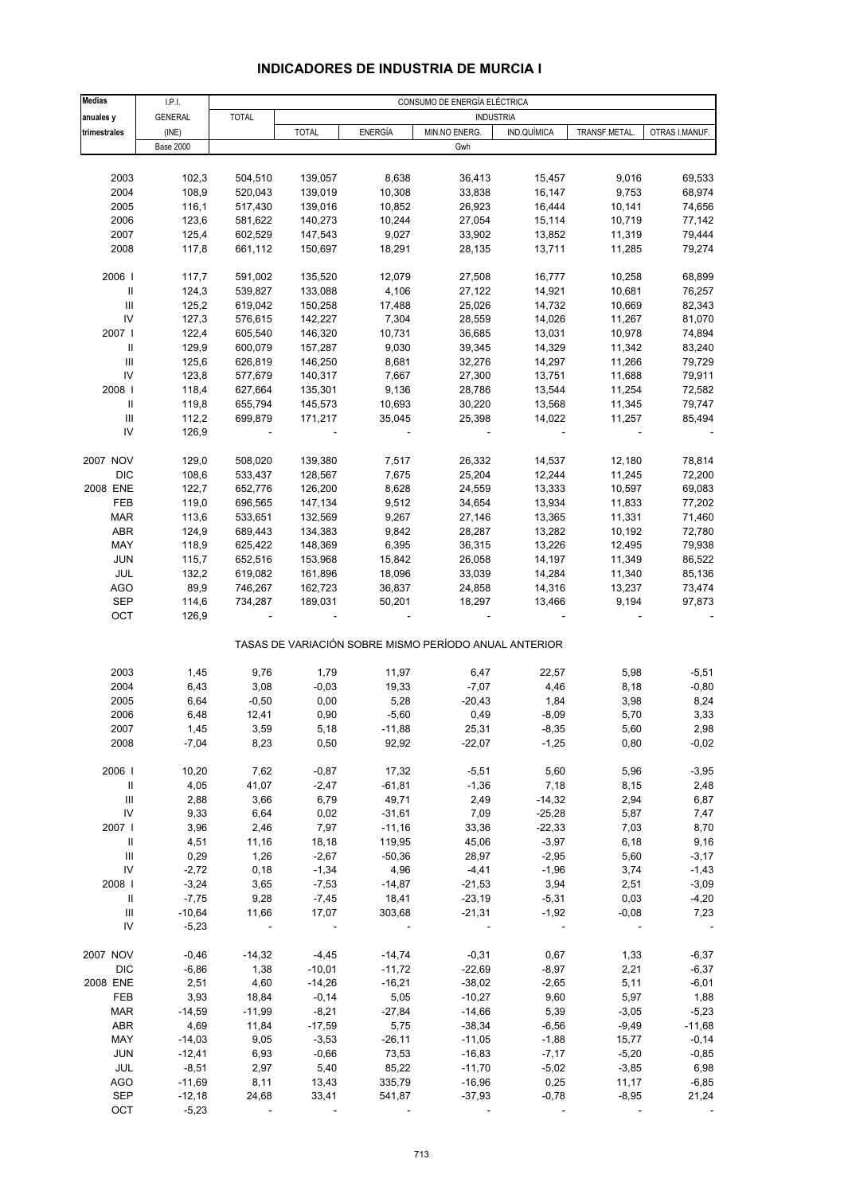# **INDICADORES DE INDUSTRIA DE MURCIA I**

| <b>Medias</b>                      | LPL              |              |              |                | CONSUMO DE ENERGÍA ELÉCTRICA                          |                          |               |                |
|------------------------------------|------------------|--------------|--------------|----------------|-------------------------------------------------------|--------------------------|---------------|----------------|
| anuales y                          | <b>GENERAL</b>   | <b>TOTAL</b> |              |                | <b>INDUSTRIA</b>                                      |                          |               |                |
| trimestrales                       | (INE)            |              | <b>TOTAL</b> | <b>ENERGÍA</b> | MIN.NO ENERG.                                         | IND.QUÍMICA              | TRANSF.METAL. | OTRAS I.MANUF. |
|                                    | <b>Base 2000</b> |              |              |                | Gwh                                                   |                          |               |                |
|                                    |                  |              |              |                |                                                       |                          |               |                |
| 2003                               | 102,3            | 504,510      | 139,057      | 8,638          | 36,413                                                | 15,457                   | 9,016         | 69,533         |
| 2004                               | 108,9            | 520,043      | 139,019      | 10,308         | 33,838                                                | 16,147                   | 9,753         | 68,974         |
| 2005                               | 116,1            | 517,430      | 139,016      | 10,852         | 26,923                                                | 16,444                   | 10,141        | 74,656         |
| 2006                               | 123,6            | 581,622      | 140,273      | 10,244         | 27,054                                                | 15,114                   | 10,719        | 77,142         |
| 2007                               | 125,4            | 602,529      | 147,543      | 9,027          | 33,902                                                | 13,852                   | 11,319        | 79,444         |
| 2008                               | 117,8            | 661,112      | 150,697      | 18,291         | 28,135                                                | 13,711                   | 11,285        | 79,274         |
|                                    |                  |              |              |                |                                                       |                          |               |                |
| 2006                               | 117,7            | 591,002      | 135,520      | 12,079         | 27,508                                                | 16,777                   | 10,258        | 68,899         |
| Ш                                  | 124,3            | 539,827      | 133,088      | 4,106          | 27,122                                                | 14,921                   | 10,681        | 76,257         |
| $\ensuremath{\mathsf{III}}\xspace$ | 125,2            | 619,042      | 150,258      | 17,488         | 25,026                                                | 14,732                   | 10,669        | 82,343         |
| IV                                 | 127,3            | 576,615      | 142,227      | 7,304          | 28,559                                                | 14,026                   | 11,267        | 81,070         |
| 2007                               | 122,4            | 605,540      | 146,320      | 10,731         | 36,685                                                | 13,031                   | 10,978        | 74,894         |
| Ш                                  | 129,9            | 600,079      | 157,287      | 9,030          | 39,345                                                | 14,329                   | 11,342        | 83,240         |
| $\ensuremath{\mathsf{III}}\xspace$ | 125,6            | 626,819      | 146,250      | 8,681          | 32,276                                                | 14,297                   | 11,266        | 79,729         |
| IV                                 | 123,8            | 577,679      | 140,317      | 7,667          | 27,300                                                | 13,751                   | 11,688        | 79,911         |
| 2008                               | 118,4            | 627,664      | 135,301      | 9,136          | 28,786                                                | 13,544                   | 11,254        | 72,582         |
| Ш                                  | 119,8            | 655,794      | 145,573      | 10,693         | 30,220                                                | 13,568                   | 11,345        | 79,747         |
| Ш                                  | 112,2            | 699,879      | 171,217      | 35,045         | 25,398                                                | 14,022                   | 11,257        | 85,494         |
| IV                                 | 126,9            |              |              |                |                                                       | $\overline{\phantom{a}}$ |               |                |
|                                    |                  |              |              |                |                                                       |                          |               |                |
| 2007 NOV                           | 129,0            | 508,020      | 139,380      | 7,517          | 26,332                                                | 14,537                   | 12,180        | 78,814         |
| <b>DIC</b>                         | 108,6            | 533,437      | 128,567      | 7,675          | 25,204                                                | 12,244                   | 11,245        | 72,200         |
| 2008 ENE                           | 122,7            | 652,776      | 126,200      | 8,628          | 24,559                                                | 13,333                   | 10,597        | 69,083         |
| FEB                                | 119,0            | 696,565      | 147,134      | 9,512          | 34,654                                                | 13,934                   | 11,833        | 77,202         |
| <b>MAR</b>                         | 113,6            | 533,651      | 132,569      | 9,267          | 27,146                                                | 13,365                   | 11,331        | 71,460         |
| ABR                                | 124,9            | 689,443      | 134,383      | 9,842          | 28,287                                                | 13,282                   | 10,192        | 72,780         |
| MAY                                | 118,9            | 625,422      | 148,369      | 6,395          | 36,315                                                | 13,226                   | 12,495        | 79,938         |
| <b>JUN</b>                         | 115,7            | 652,516      | 153,968      | 15,842         | 26,058                                                | 14,197                   | 11,349        | 86,522         |
| JUL                                | 132,2            | 619,082      | 161,896      | 18,096         | 33,039                                                | 14,284                   | 11,340        | 85,136         |
| <b>AGO</b>                         | 89,9             | 746,267      | 162,723      | 36,837         | 24,858                                                | 14,316                   | 13,237        | 73,474         |
| <b>SEP</b>                         | 114,6            | 734,287      | 189,031      | 50,201         | 18,297                                                | 13,466                   | 9,194         | 97,873         |
| OCT                                | 126,9            |              |              |                |                                                       |                          |               |                |
|                                    |                  |              |              |                | TASAS DE VARIACIÓN SOBRE MISMO PERÍODO ANUAL ANTERIOR |                          |               |                |
|                                    |                  |              |              |                |                                                       |                          |               |                |
| 2003                               | 1,45             | 9,76         | 1,79         | 11,97          | 6,47                                                  | 22,57                    | 5,98          | $-5,51$        |
| 2004                               | 6,43             | 3,08         | $-0,03$      | 19,33          | $-7,07$                                               | 4,46                     | 8,18          | $-0,80$        |
| 2005                               | 6,64             | $-0,50$      | 0,00         | 5,28           | $-20,43$                                              | 1,84                     | 3,98          | 8,24           |
| 2006                               | 6,48             | 12,41        | 0,90         | $-5,60$        | 0,49                                                  | $-8,09$                  | 5,70          | 3,33           |
| 2007                               | 1,45             | 3,59         | 5,18         | $-11,88$       | 25,31                                                 | $-8,35$                  | 5,60          | 2,98           |
| 2008                               | $-7,04$          | 8,23         | 0,50         | 92,92          | $-22,07$                                              | $-1,25$                  | 0,80          | $-0,02$        |
|                                    |                  |              |              |                |                                                       |                          |               |                |
| 2006                               | 10,20            | 7,62         | $-0,87$      | 17,32          | $-5,51$                                               | 5,60                     | 5,96          | $-3,95$        |
| $\, \parallel$                     | 4,05             | 41,07        | $-2,47$      | $-61,81$       | $-1,36$                                               | 7,18                     | 8,15          | 2,48           |
| $\ensuremath{\mathsf{III}}\xspace$ | 2,88             | 3,66         | 6,79         | 49,71          | 2,49                                                  | $-14,32$                 | 2,94          | 6,87           |
| IV                                 | 9,33             | 6,64         | 0,02         | $-31,61$       | 7,09                                                  | $-25,28$                 | 5,87          | 7,47           |
| 2007                               | 3,96             | 2,46         | 7,97         | $-11,16$       | 33,36                                                 | $-22,33$                 | 7,03          | 8,70           |
| Ш                                  | 4,51             | 11,16        | 18,18        | 119,95         | 45,06                                                 | $-3,97$                  | 6,18          | 9,16           |
| $\ensuremath{\mathsf{III}}\xspace$ | 0,29             | 1,26         | $-2,67$      | $-50,36$       | 28,97                                                 | $-2,95$                  | 5,60          | $-3,17$        |
| IV                                 | $-2,72$          | 0,18         | $-1,34$      | 4,96           | $-4,41$                                               | $-1,96$                  | 3,74          | $-1,43$        |
| 2008                               | $-3,24$          | 3,65         | $-7,53$      | $-14,87$       | $-21,53$                                              | 3,94                     | 2,51          | $-3,09$        |
| Ш                                  | $-7,75$          | 9,28         | $-7,45$      | 18,41          | $-23,19$                                              | $-5,31$                  | 0,03          | $-4,20$        |
| Ш                                  | $-10,64$         | 11,66        | 17,07        | 303,68         | $-21,31$                                              | $-1,92$                  | $-0,08$       | 7,23           |
| IV                                 | $-5,23$          |              | $\sim$ $-$   |                |                                                       |                          |               | $\sim$ $-$     |
| 2007 NOV                           | $-0,46$          | $-14,32$     | $-4,45$      | $-14,74$       | $-0,31$                                               | 0,67                     | 1,33          | $-6,37$        |
| <b>DIC</b>                         | $-6,86$          | 1,38         | $-10,01$     | $-11,72$       | $-22,69$                                              | $-8,97$                  | 2,21          | $-6,37$        |
| 2008 ENE                           | 2,51             | 4,60         | $-14,26$     | $-16,21$       | $-38,02$                                              | $-2,65$                  | 5,11          | $-6,01$        |
| FEB                                | 3,93             | 18,84        | $-0,14$      | 5,05           | $-10,27$                                              | 9,60                     | 5,97          | 1,88           |
| <b>MAR</b>                         | $-14,59$         | $-11,99$     | $-8,21$      | $-27,84$       | $-14,66$                                              | 5,39                     | $-3,05$       | $-5,23$        |
| ABR                                | 4,69             | 11,84        | $-17,59$     | 5,75           | $-38,34$                                              | $-6,56$                  | $-9,49$       | $-11,68$       |
| MAY                                | $-14,03$         | 9,05         | $-3,53$      | $-26,11$       | $-11,05$                                              | $-1,88$                  | 15,77         | $-0,14$        |
| <b>JUN</b>                         | $-12,41$         | 6,93         | $-0,66$      | 73,53          | $-16,83$                                              | $-7,17$                  | $-5,20$       | $-0,85$        |
| JUL                                | $-8,51$          | 2,97         | 5,40         | 85,22          | $-11,70$                                              | $-5,02$                  | $-3,85$       | 6,98           |
| AGO                                | $-11,69$         | 8,11         | 13,43        | 335,79         | $-16,96$                                              | 0,25                     | 11,17         | $-6,85$        |
| SEP                                | $-12,18$         | 24,68        | 33,41        | 541,87         | $-37,93$                                              | $-0,78$                  | $-8,95$       | 21,24          |
| OCT                                | $-5,23$          |              |              |                |                                                       |                          |               |                |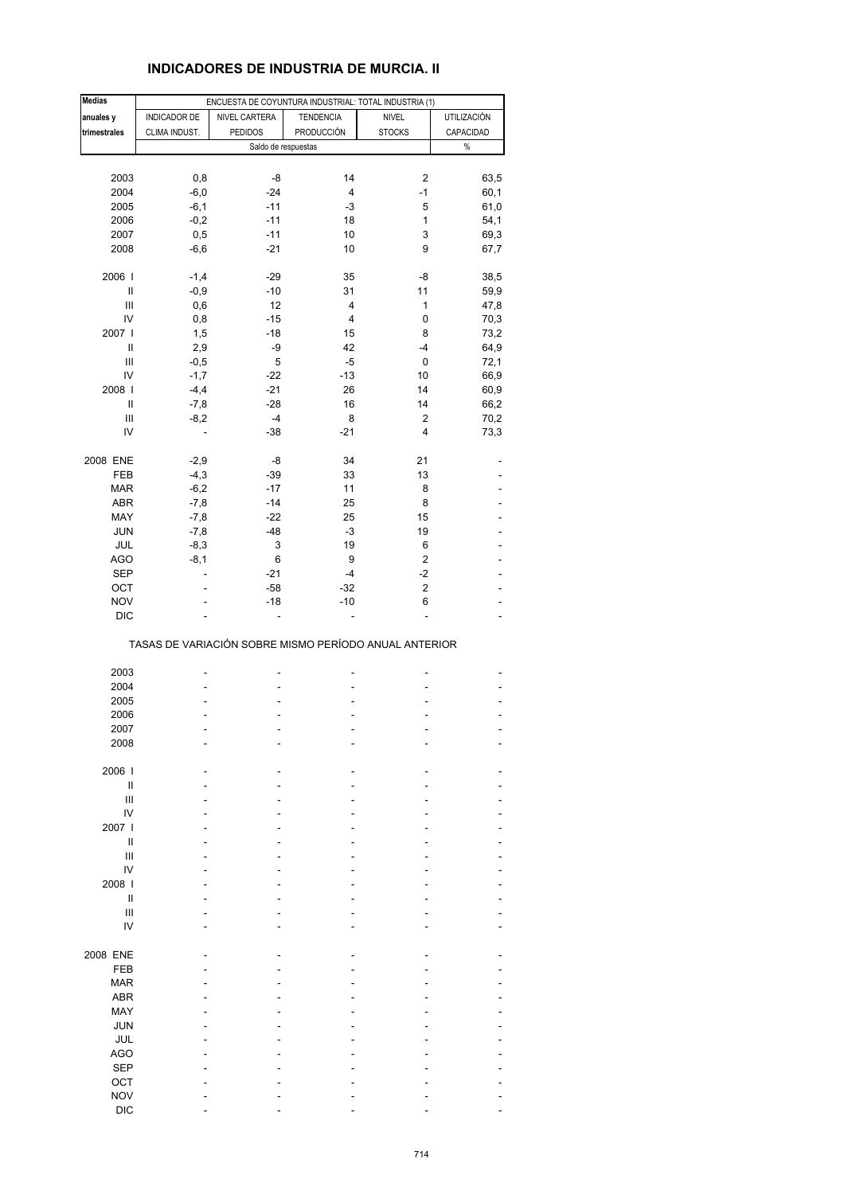# **INDICADORES DE INDUSTRIA DE MURCIA. II**

| <b>Medias</b>  |               | ENCUESTA DE COYUNTURA INDUSTRIAL: TOTAL INDUSTRIA (1) |                  |                         |             |
|----------------|---------------|-------------------------------------------------------|------------------|-------------------------|-------------|
| anuales y      | INDICADOR DE  | NIVEL CARTERA                                         | <b>TENDENCIA</b> | <b>NIVEL</b>            | UTILIZACIÓN |
|                | CLIMA INDUST. | <b>PEDIDOS</b>                                        | PRODUCCIÓN       |                         | CAPACIDAD   |
| trimestrales   |               |                                                       |                  | <b>STOCKS</b>           |             |
|                |               | Saldo de respuestas                                   |                  |                         | $\%$        |
|                |               |                                                       |                  |                         |             |
| 2003           | 0,8           | -8                                                    | 14               | 2                       | 63,5        |
| 2004           | $-6,0$        | $-24$                                                 | 4                | $-1$                    | 60,1        |
| 2005           | $-6,1$        | $-11$                                                 | $-3$             | 5                       | 61,0        |
| 2006           | $-0,2$        | $-11$                                                 | 18               | 1                       | 54,1        |
| 2007           | 0,5           | $-11$                                                 | 10               | 3                       | 69,3        |
| 2008           | $-6,6$        | $-21$                                                 | 10               | 9                       | 67,7        |
|                |               |                                                       |                  |                         |             |
| 2006           | $-1,4$        | $-29$                                                 | 35               | -8                      | 38,5        |
| Ш              | $-0,9$        | $-10$                                                 | 31               | 11                      | 59,9        |
| $\mathsf{III}$ | 0,6           | 12                                                    | 4                | $\mathbf{1}$            | 47,8        |
| IV             | 0,8           | $-15$                                                 | 4                | 0                       | 70,3        |
| 2007 l         | 1,5           | $-18$                                                 | 15               | 8                       | 73,2        |
| $\mathsf{I}$   | 2,9           | -9                                                    | 42               | $-4$                    | 64,9        |
| Ш              | $-0,5$        | 5                                                     | $-5$             | 0                       | 72,1        |
| IV             | $-1,7$        | $-22$                                                 | $-13$            | 10                      | 66,9        |
| 2008 l         | $-4,4$        | $-21$                                                 | 26               | 14                      | 60,9        |
| Ш              | $-7,8$        | $-28$                                                 | 16               | 14                      | 66,2        |
| Ш              | $-8,2$        | $-4$                                                  | 8                | 2                       | 70,2        |
| IV             | ÷,            | $-38$                                                 | $-21$            | 4                       | 73,3        |
|                |               |                                                       |                  |                         |             |
| 2008 ENE       | $-2,9$        | -8                                                    | 34               | 21                      |             |
| FEB            | $-4,3$        | $-39$                                                 | 33               | 13                      |             |
| <b>MAR</b>     | $-6,2$        | $-17$                                                 | 11               | 8                       |             |
| <b>ABR</b>     | $-7,8$        | $-14$                                                 | 25               | 8                       |             |
| MAY            | $-7,8$        | $-22$                                                 | 25               | 15                      |             |
| JUN            | $-7,8$        | $-48$                                                 | $-3$             | 19                      |             |
| JUL            | $-8,3$        | 3                                                     | 19               | 6                       |             |
|                |               |                                                       | 9                | $\overline{\mathbf{c}}$ |             |
| <b>AGO</b>     | $-8,1$        | 6                                                     |                  |                         |             |
| <b>SEP</b>     | ÷,            | $-21$                                                 | $-4$             | $-2$                    |             |
| OCT            |               | $-58$                                                 | $-32$            | $\overline{\mathbf{c}}$ |             |
| <b>NOV</b>     |               | $-18$                                                 | $-10$            | 6                       |             |
| <b>DIC</b>     |               | ÷,                                                    | L,               | ÷,                      |             |
|                |               | TASAS DE VARIACIÓN SOBRE MISMO PERÍODO ANUAL ANTERIOR |                  |                         |             |
| 2003           |               |                                                       |                  |                         |             |
| 2004           |               |                                                       |                  |                         |             |
|                |               |                                                       |                  |                         |             |
| 2005           |               |                                                       |                  |                         |             |
| 2006           |               |                                                       |                  |                         |             |
| 2007           |               |                                                       |                  |                         |             |
| 2008           |               |                                                       |                  |                         |             |
|                |               |                                                       |                  |                         |             |
| 2006           |               |                                                       |                  |                         |             |
| $\sf II$       |               |                                                       |                  |                         |             |
| Ш              |               |                                                       |                  |                         |             |
| IV             |               |                                                       |                  |                         |             |
| 2007 l         |               |                                                       |                  |                         |             |
| Ш              |               |                                                       |                  |                         |             |
| $\mathsf{III}$ |               |                                                       |                  |                         |             |
| IV             |               |                                                       |                  |                         |             |
| 2008           |               |                                                       |                  |                         |             |
| $\mathbf{I}$   |               |                                                       |                  |                         |             |
| $\mathsf{III}$ |               |                                                       |                  |                         |             |
| IV             |               |                                                       |                  |                         |             |
|                |               |                                                       |                  |                         |             |
| 2008 ENE       |               |                                                       |                  |                         |             |
| FEB            |               |                                                       |                  |                         |             |
| <b>MAR</b>     |               |                                                       |                  |                         |             |
| ABR            |               |                                                       |                  |                         |             |
| MAY            |               |                                                       |                  |                         |             |
| <b>JUN</b>     |               |                                                       |                  |                         |             |
| JUL            |               |                                                       |                  |                         |             |
| <b>AGO</b>     |               |                                                       |                  |                         |             |
| <b>SEP</b>     |               |                                                       |                  |                         |             |
| OCT            |               |                                                       |                  |                         |             |
|                |               |                                                       |                  |                         |             |
| <b>NOV</b>     |               |                                                       |                  |                         |             |
| <b>DIC</b>     |               |                                                       |                  |                         |             |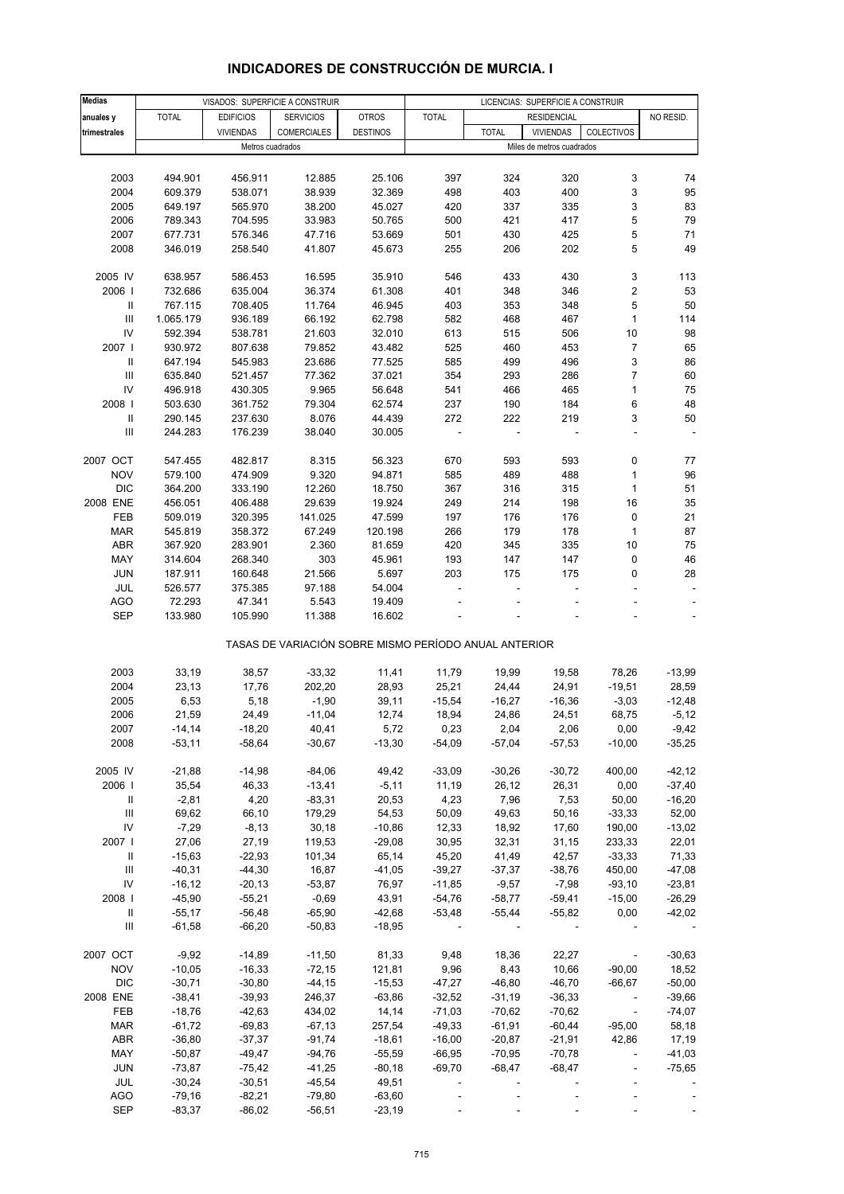| <b>Medias</b>                      |              |                  | VISADOS: SUPERFICIE A CONSTRUIR                       |                 | LICENCIAS: SUPERFICIE A CONSTRUIR |                          |                           |                             |                |
|------------------------------------|--------------|------------------|-------------------------------------------------------|-----------------|-----------------------------------|--------------------------|---------------------------|-----------------------------|----------------|
| anuales y                          | <b>TOTAL</b> | <b>EDIFICIOS</b> | <b>SERVICIOS</b>                                      | <b>OTROS</b>    | <b>TOTAL</b>                      |                          | <b>RESIDENCIAL</b>        |                             | NO RESID.      |
| trimestrales                       |              | <b>VIVIENDAS</b> | COMERCIALES                                           | <b>DESTINOS</b> |                                   | <b>TOTAL</b>             | <b>VIVIENDAS</b>          | COLECTIVOS                  |                |
|                                    |              |                  | Metros cuadrados                                      |                 |                                   |                          | Miles de metros cuadrados |                             |                |
|                                    |              |                  |                                                       |                 |                                   |                          |                           |                             |                |
|                                    |              |                  |                                                       |                 |                                   |                          |                           |                             | 74             |
| 2003                               | 494.901      | 456.911          | 12.885                                                | 25.106          | 397                               | 324                      | 320                       | 3                           |                |
| 2004                               | 609.379      | 538.071          | 38.939                                                | 32.369          | 498                               | 403                      | 400                       | 3                           | 95             |
| 2005                               | 649.197      | 565.970          | 38.200                                                | 45.027          | 420                               | 337                      | 335                       | 3                           | 83             |
| 2006                               | 789.343      | 704.595          | 33.983                                                | 50.765          | 500                               | 421                      | 417                       | 5                           | 79             |
| 2007                               | 677.731      | 576.346          | 47.716                                                | 53.669          | 501                               | 430                      | 425                       | 5                           | 71             |
| 2008                               | 346.019      | 258.540          | 41.807                                                | 45.673          | 255                               | 206                      | 202                       | 5                           | 49             |
|                                    |              |                  |                                                       |                 |                                   |                          |                           |                             |                |
| 2005 IV                            | 638.957      | 586.453          | 16.595                                                | 35.910          | 546                               | 433                      | 430                       | 3                           | 113            |
| 2006                               | 732.686      | 635.004          | 36.374                                                | 61.308          | 401                               | 348                      | 346                       | 2                           | 53             |
| Ш                                  | 767.115      | 708.405          | 11.764                                                | 46.945          | 403                               | 353                      | 348                       | 5                           | 50             |
| $\mathsf{III}$                     | 1.065.179    | 936.189          | 66.192                                                | 62.798          | 582                               | 468                      | 467                       | $\mathbf{1}$                | 114            |
| IV                                 | 592.394      | 538.781          | 21.603                                                | 32.010          | 613                               | 515                      | 506                       | $10$                        | 98             |
| 2007                               | 930.972      | 807.638          | 79.852                                                | 43.482          | 525                               | 460                      | 453                       | 7                           | 65             |
| Ш                                  | 647.194      | 545.983          | 23.686                                                | 77.525          | 585                               | 499                      | 496                       | 3                           | 86             |
|                                    |              |                  |                                                       |                 |                                   |                          |                           | $\overline{7}$              |                |
| Ш                                  | 635.840      | 521.457          | 77.362                                                | 37.021          | 354                               | 293                      | 286                       |                             | 60             |
| IV                                 | 496.918      | 430.305          | 9.965                                                 | 56.648          | 541                               | 466                      | 465                       | $\mathbf{1}$                | 75             |
| 2008                               | 503.630      | 361.752          | 79.304                                                | 62.574          | 237                               | 190                      | 184                       | 6                           | 48             |
| $\ensuremath{\mathsf{II}}$         | 290.145      | 237.630          | 8.076                                                 | 44.439          | 272                               | 222                      | 219                       | 3                           | 50             |
| $\mathbf{III}$                     | 244.283      | 176.239          | 38.040                                                | 30.005          |                                   |                          |                           | ä,                          | ÷,             |
|                                    |              |                  |                                                       |                 |                                   |                          |                           |                             |                |
| 2007 OCT                           | 547.455      | 482.817          | 8.315                                                 | 56.323          | 670                               | 593                      | 593                       | 0                           | 77             |
| <b>NOV</b>                         | 579.100      | 474.909          | 9.320                                                 | 94.871          | 585                               | 489                      | 488                       | $\mathbf{1}$                | 96             |
| <b>DIC</b>                         | 364.200      | 333.190          | 12.260                                                | 18.750          | 367                               | 316                      | 315                       | $\mathbf{1}$                | 51             |
| 2008 ENE                           | 456.051      | 406.488          | 29.639                                                | 19.924          | 249                               | 214                      | 198                       | 16                          | 35             |
| FEB                                | 509.019      | 320.395          | 141.025                                               | 47.599          | 197                               | 176                      | 176                       | 0                           | 21             |
| <b>MAR</b>                         | 545.819      | 358.372          | 67.249                                                | 120.198         | 266                               | 179                      | 178                       | $\mathbf{1}$                | 87             |
| <b>ABR</b>                         | 367.920      | 283.901          | 2.360                                                 | 81.659          | 420                               | 345                      | 335                       | 10                          | 75             |
| MAY                                |              |                  |                                                       |                 |                                   | 147                      | 147                       |                             | 46             |
|                                    | 314.604      | 268.340          | 303                                                   | 45.961          | 193                               |                          |                           | 0                           |                |
| <b>JUN</b>                         | 187.911      | 160.648          | 21.566                                                | 5.697           | 203                               | 175                      | 175                       | 0                           | 28             |
| JUL                                | 526.577      | 375.385          | 97.188                                                | 54.004          |                                   |                          | $\overline{a}$            |                             |                |
| <b>AGO</b>                         | 72.293       | 47.341           | 5.543                                                 | 19.409          |                                   |                          |                           |                             |                |
| <b>SEP</b>                         | 133.980      | 105.990          | 11.388                                                | 16.602          |                                   |                          |                           |                             | $\blacksquare$ |
|                                    |              |                  | TASAS DE VARIACIÓN SOBRE MISMO PERÍODO ANUAL ANTERIOR |                 |                                   |                          |                           |                             |                |
|                                    |              |                  |                                                       |                 |                                   |                          |                           |                             |                |
| 2003                               | 33,19        | 38,57            | $-33,32$                                              | 11,41           | 11,79                             | 19,99                    | 19,58                     | 78,26                       | $-13,99$       |
| 2004                               | 23,13        | 17,76            | 202,20                                                | 28,93           | 25,21                             | 24,44                    | 24,91                     | $-19,51$                    | 28,59          |
| 2005                               | 6,53         | 5,18             | $-1,90$                                               | 39,11           | $-15,54$                          | $-16,27$                 | $-16,36$                  | $-3,03$                     | $-12,48$       |
| 2006                               | 21,59        | 24,49            | $-11,04$                                              | 12,74           | 18,94                             | 24,86                    | 24,51                     | 68,75                       | $-5,12$        |
| 2007                               | $-14,14$     | $-18,20$         | 40,41                                                 | 5,72            | 0,23                              | 2,04                     | 2,06                      | 0,00                        | $-9,42$        |
| 2008                               | $-53,11$     | $-58,64$         | $-30,67$                                              | $-13,30$        | $-54,09$                          | $-57,04$                 | $-57,53$                  | $-10,00$                    | $-35,25$       |
|                                    |              |                  |                                                       |                 |                                   |                          |                           |                             |                |
| 2005 IV                            | $-21,88$     | $-14,98$         | $-84,06$                                              | 49,42           | $-33,09$                          | $-30,26$                 | $-30,72$                  | 400,00                      | $-42, 12$      |
| 2006                               | 35,54        | 46,33            | $-13,41$                                              | $-5,11$         | 11,19                             | 26,12                    | 26,31                     | 0,00                        | $-37,40$       |
| Ш                                  | $-2,81$      | 4,20             | $-83,31$                                              | 20,53           | 4,23                              | 7,96                     | 7,53                      | 50,00                       | $-16,20$       |
| $\ensuremath{\mathsf{III}}\xspace$ | 69,62        | 66,10            | 179,29                                                | 54,53           | 50,09                             | 49,63                    | 50,16                     | $-33,33$                    | 52,00          |
| IV                                 | $-7,29$      | $-8,13$          | 30, 18                                                | $-10,86$        | 12,33                             | 18,92                    | 17,60                     | 190,00                      | $-13,02$       |
| 2007 l                             | 27,06        | 27,19            | 119,53                                                | $-29,08$        | 30,95                             | 32,31                    | 31,15                     | 233,33                      | 22,01          |
| $\mathbf{II}$                      | $-15,63$     | $-22,93$         | 101,34                                                | 65,14           | 45,20                             | 41,49                    | 42,57                     | $-33,33$                    | 71,33          |
| $\ensuremath{\mathsf{III}}\xspace$ | $-40,31$     | $-44,30$         | 16,87                                                 | $-41,05$        | $-39,27$                          | $-37,37$                 | $-38,76$                  | 450,00                      | $-47,08$       |
|                                    |              |                  |                                                       |                 |                                   |                          |                           |                             |                |
| IV                                 | $-16, 12$    | $-20,13$         | $-53,87$                                              | 76,97           | $-11,85$                          | $-9,57$                  | $-7,98$                   | $-93,10$                    | $-23,81$       |
| 2008                               | $-45,90$     | $-55,21$         | $-0,69$                                               | 43,91           | $-54,76$                          | $-58,77$                 | $-59,41$                  | $-15,00$                    | $-26,29$       |
| $\ensuremath{\mathsf{II}}$         | $-55,17$     | $-56,48$         | $-65,90$                                              | $-42,68$        | $-53,48$                          | $-55,44$                 | $-55,82$                  | 0,00                        | $-42,02$       |
| Ш                                  | $-61,58$     | $-66,20$         | $-50,83$                                              | $-18,95$        |                                   |                          |                           |                             |                |
| 2007 OCT                           | $-9,92$      | $-14,89$         | $-11,50$                                              | 81,33           | 9,48                              | 18,36                    | 22,27                     | $\overline{\phantom{a}}$    | $-30,63$       |
| <b>NOV</b>                         | $-10,05$     | $-16,33$         | $-72,15$                                              | 121,81          | 9,96                              | 8,43                     | 10,66                     | $-90,00$                    | 18,52          |
| <b>DIC</b>                         | $-30,71$     | $-30,80$         | $-44,15$                                              | $-15,53$        | $-47,27$                          | $-46,80$                 | $-46,70$                  | $-66,67$                    | $-50,00$       |
| 2008 ENE                           | $-38,41$     | $-39,93$         | 246,37                                                | $-63,86$        | $-32,52$                          | $-31,19$                 | $-36,33$                  | $\mathcal{L}_{\mathcal{A}}$ | $-39,66$       |
|                                    |              |                  |                                                       |                 |                                   |                          |                           |                             |                |
| FEB                                | $-18,76$     | $-42,63$         | 434,02                                                | 14,14           | $-71,03$                          | $-70,62$                 | $-70,62$                  | $\blacksquare$              | $-74,07$       |
| <b>MAR</b>                         | $-61,72$     | $-69,83$         | $-67,13$                                              | 257,54          | $-49,33$                          | $-61,91$                 | $-60,44$                  | $-95,00$                    | 58,18          |
| <b>ABR</b>                         | $-36,80$     | $-37,37$         | $-91,74$                                              | $-18,61$        | $-16,00$                          | $-20,87$                 | $-21,91$                  | 42,86                       | 17,19          |
| MAY                                | $-50,87$     | $-49,47$         | $-94,76$                                              | $-55,59$        | $-66,95$                          | $-70,95$                 | $-70,78$                  | $\blacksquare$              | $-41,03$       |
| <b>JUN</b>                         | $-73,87$     | $-75,42$         | $-41,25$                                              | $-80,18$        | $-69,70$                          | $-68,47$                 | $-68,47$                  |                             | $-75,65$       |
| JUL                                | $-30,24$     | $-30,51$         | $-45,54$                                              | 49,51           | $\overline{\phantom{a}}$          | $\overline{\phantom{a}}$ |                           | $\blacksquare$              |                |
| <b>AGO</b>                         | $-79,16$     | $-82,21$         | -79,80                                                | $-63,60$        |                                   |                          |                           |                             |                |
| <b>SEP</b>                         | $-83,37$     | $-86,02$         | $-56,51$                                              | $-23,19$        |                                   |                          |                           |                             |                |

## **INDICADORES DE CONSTRUCCIÓN DE MURCIA. I**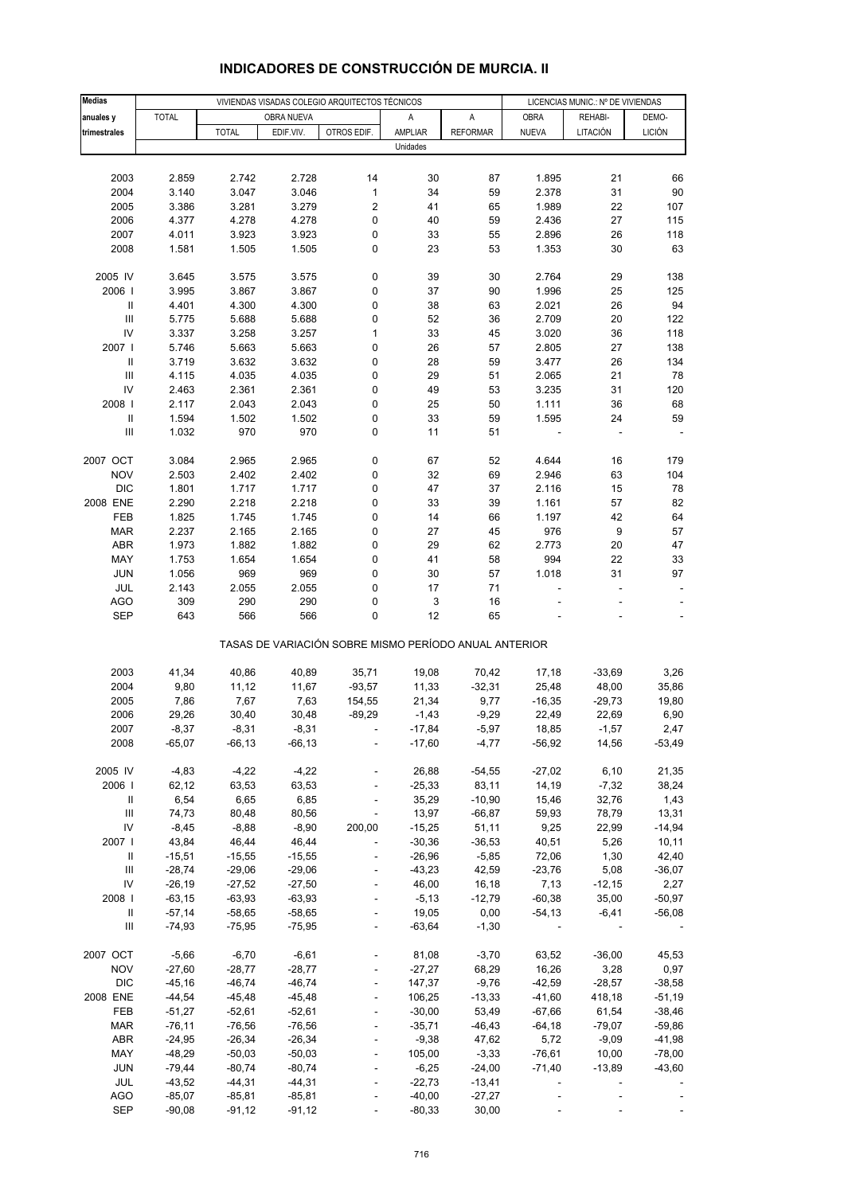| <b>Medias</b>                           |                       |                      |                      | VIVIENDAS VISADAS COLEGIO ARQUITECTOS TÉCNICOS        |                   |                   | LICENCIAS MUNIC.: Nº DE VIVIENDAS |                   |                  |
|-----------------------------------------|-----------------------|----------------------|----------------------|-------------------------------------------------------|-------------------|-------------------|-----------------------------------|-------------------|------------------|
| anuales y                               | <b>TOTAL</b>          |                      | OBRA NUEVA           |                                                       | Α                 | A                 | <b>OBRA</b>                       | REHABI-           | DEMO-            |
| trimestrales                            |                       | <b>TOTAL</b>         | EDIF.VIV.            | OTROS EDIF.                                           | AMPLIAR           | <b>REFORMAR</b>   | <b>NUEVA</b>                      | LITACIÓN          | <b>LICIÓN</b>    |
|                                         |                       |                      |                      |                                                       | Unidades          |                   |                                   |                   |                  |
|                                         |                       |                      |                      |                                                       |                   |                   |                                   |                   |                  |
| 2003                                    | 2.859                 | 2.742                | 2.728                | 14                                                    | 30                | 87                | 1.895                             | 21                | 66               |
| 2004                                    | 3.140                 | 3.047                | 3.046                | 1                                                     | 34                | 59                | 2.378                             | 31                | 90               |
| 2005                                    | 3.386                 | 3.281                | 3.279                | 2                                                     | 41                | 65                | 1.989                             | 22                | 107              |
| 2006                                    | 4.377                 | 4.278                | 4.278                | 0                                                     | 40                | 59                | 2.436                             | 27                | 115              |
| 2007                                    | 4.011                 | 3.923                | 3.923                | 0                                                     | 33                | 55                | 2.896                             | 26                | 118              |
| 2008                                    | 1.581                 | 1.505                | 1.505                | 0                                                     | 23                | 53                | 1.353                             | 30                | 63               |
|                                         |                       |                      |                      |                                                       |                   |                   |                                   |                   |                  |
| 2005 IV                                 | 3.645                 | 3.575                | 3.575                | 0                                                     | 39                | 30                | 2.764                             | 29                | 138              |
| 2006                                    | 3.995                 | 3.867                | 3.867                | 0                                                     | 37                | 90                | 1.996                             | 25                | 125              |
| $\ensuremath{\mathsf{II}}$              | 4.401                 | 4.300                | 4.300                | 0                                                     | 38                | 63                | 2.021                             | 26                | 94               |
| $\ensuremath{\mathsf{III}}\xspace$      | 5.775                 | 5.688                | 5.688                | 0                                                     | 52                | 36                | 2.709                             | 20                | 122              |
| IV                                      | 3.337                 | 3.258                | 3.257                | 1                                                     | 33                | 45                | 3.020                             | 36                | 118              |
| 2007 l                                  | 5.746                 | 5.663                | 5.663                | 0                                                     | 26                | 57                | 2.805                             | 27                | 138              |
| $\ensuremath{\mathsf{II}}$              | 3.719                 | 3.632                | 3.632                | 0                                                     | 28                | 59                | 3.477                             | 26                | 134              |
| $\ensuremath{\mathsf{III}}\xspace$      | 4.115                 | 4.035                | 4.035                | 0                                                     | 29                | 51                | 2.065                             | 21                | 78               |
| IV                                      | 2.463                 | 2.361                | 2.361                | 0                                                     | 49                | 53                | 3.235                             | 31                | 120              |
| 2008                                    | 2.117                 | 2.043                | 2.043                | 0                                                     | 25                | 50                | 1.111                             | 36                | 68               |
| $\ensuremath{\mathsf{II}}$              | 1.594                 | 1.502                | 1.502                | 0                                                     | 33                | 59                | 1.595                             | 24                | 59               |
| Ш                                       | 1.032                 | 970                  | 970                  | 0                                                     | 11                | 51                |                                   |                   |                  |
| 2007 OCT                                | 3.084                 | 2.965                | 2.965                | 0                                                     | 67                | 52                | 4.644                             | 16                | 179              |
| <b>NOV</b>                              | 2.503                 | 2.402                | 2.402                | 0                                                     | 32                | 69                | 2.946                             | 63                | 104              |
| <b>DIC</b>                              | 1.801                 | 1.717                | 1.717                | 0                                                     | 47                | 37                | 2.116                             | 15                | 78               |
| 2008 ENE                                | 2.290                 | 2.218                | 2.218                | 0                                                     | 33                | 39                | 1.161                             | 57                | 82               |
| FEB                                     | 1.825                 | 1.745                | 1.745                | 0                                                     | 14                | 66                | 1.197                             | 42                | 64               |
| <b>MAR</b>                              | 2.237                 | 2.165                | 2.165                | 0                                                     | 27                | 45                | 976                               | $\boldsymbol{9}$  | 57               |
| <b>ABR</b>                              | 1.973                 | 1.882                | 1.882                | 0                                                     | 29                | 62                | 2.773                             | 20                | 47               |
| MAY                                     | 1.753                 | 1.654                | 1.654                | 0                                                     | 41                | 58                | 994                               | 22                | 33               |
| <b>JUN</b>                              | 1.056                 | 969                  | 969                  | 0                                                     | 30                | 57                | 1.018                             | 31                | 97               |
| JUL                                     | 2.143                 | 2.055                | 2.055                | 0                                                     | 17                | 71                |                                   |                   |                  |
| <b>AGO</b>                              | 309                   | 290                  | 290                  | 0                                                     | 3                 | 16                |                                   |                   |                  |
| <b>SEP</b>                              | 643                   | 566                  | 566                  | 0                                                     | 12                | 65                |                                   |                   |                  |
|                                         |                       |                      |                      | TASAS DE VARIACIÓN SOBRE MISMO PERÍODO ANUAL ANTERIOR |                   |                   |                                   |                   |                  |
| 2003                                    | 41,34                 | 40,86                | 40,89                | 35,71                                                 | 19,08             | 70,42             | 17,18                             | $-33,69$          | 3,26             |
| 2004                                    | 9,80                  | 11,12                | 11,67                | $-93,57$                                              | 11,33             | $-32,31$          | 25,48                             | 48,00             | 35,86            |
| 2005                                    | 7,86                  | 7,67                 | 7,63                 | 154,55                                                | 21,34             | 9,77              | $-16,35$                          | $-29,73$          | 19,80            |
| 2006                                    | 29,26                 | 30,40                | 30,48                | $-89,29$                                              | $-1,43$           | $-9,29$           | 22,49                             | 22,69             | 6,90             |
| 2007                                    | $-8,37$               | -8,31                | $-8,31$              |                                                       | -17,84            | $-5,97$           | 18,85                             | -1,57             | 2,47             |
| 2008                                    | $-65,07$              | $-66, 13$            | $-66, 13$            |                                                       | $-17,60$          | $-4,77$           | $-56,92$                          | 14,56             | $-53,49$         |
|                                         |                       |                      |                      |                                                       |                   |                   |                                   |                   |                  |
| 2005 IV                                 | $-4,83$               | $-4,22$              | $-4,22$              |                                                       | 26,88             | $-54,55$          | $-27,02$                          | 6,10              | 21,35            |
| 2006                                    | 62,12                 | 63,53                | 63,53                |                                                       | $-25,33$          | 83,11             | 14,19                             | $-7,32$           | 38,24            |
| Ш                                       | 6,54                  | 6,65                 | 6,85                 |                                                       | 35,29             | $-10,90$          | 15,46                             | 32,76             | 1,43             |
| $\ensuremath{\mathsf{III}}\xspace$      | 74,73                 | 80,48                | 80,56                |                                                       | 13,97             | $-66,87$          | 59,93                             | 78,79             | 13,31            |
| IV                                      | $-8,45$               | $-8,88$              | $-8,90$              | 200,00                                                | $-15,25$          | 51,11             | 9,25                              | 22,99             | $-14,94$         |
| 2007                                    | 43,84                 | 46,44                | 46,44                |                                                       | $-30,36$          | $-36,53$          | 40,51                             | 5,26              | 10,11            |
| Ш<br>$\ensuremath{\mathsf{III}}\xspace$ | $-15,51$              | $-15,55$             | $-15,55$             |                                                       | $-26,96$          | $-5,85$           | 72,06                             | 1,30              | 42,40            |
| IV                                      | $-28,74$              | $-29,06$             | $-29,06$             | $\overline{a}$                                        | $-43,23$<br>46,00 | 42,59             | $-23,76$                          | 5,08              | $-36,07$         |
| 2008                                    | $-26,19$<br>$-63, 15$ | $-27,52$<br>$-63,93$ | $-27,50$<br>$-63,93$ |                                                       | $-5,13$           | 16,18<br>$-12,79$ | 7,13<br>$-60,38$                  | $-12,15$<br>35,00 | 2,27<br>$-50,97$ |
| Ш                                       | $-57,14$              | $-58,65$             | $-58,65$             |                                                       | 19,05             | 0,00              | $-54, 13$                         | $-6,41$           | $-56,08$         |
| $\ensuremath{\mathsf{III}}\xspace$      | $-74,93$              | $-75,95$             | $-75,95$             | $\overline{\phantom{a}}$                              | $-63,64$          | $-1,30$           |                                   |                   |                  |
|                                         |                       |                      |                      |                                                       |                   |                   |                                   |                   |                  |
| 2007 OCT                                | $-5,66$               | $-6,70$              | $-6,61$              |                                                       | 81,08             | $-3,70$           | 63,52                             | $-36,00$          | 45,53            |
| <b>NOV</b>                              | $-27,60$              | $-28,77$             | $-28,77$             |                                                       | $-27,27$          | 68,29             | 16,26                             | 3,28              | 0,97             |
| <b>DIC</b>                              | $-45,16$              | $-46,74$             | $-46,74$             |                                                       | 147,37            | $-9,76$           | $-42,59$                          | $-28,57$          | $-38,58$         |
| 2008 ENE                                | $-44,54$              | $-45,48$             | $-45,48$             |                                                       | 106,25            | $-13,33$          | $-41,60$                          | 418,18            | $-51,19$         |
| FEB                                     | $-51,27$              | $-52,61$             | $-52,61$             | $\overline{a}$                                        | $-30,00$          | 53,49             | $-67,66$                          | 61,54             | $-38,46$         |
| <b>MAR</b>                              | $-76,11$              | $-76,56$             | $-76,56$             |                                                       | $-35,71$          | $-46, 43$         | $-64,18$                          | $-79,07$          | $-59,86$         |
| ABR                                     | $-24,95$              | $-26,34$             | $-26,34$             |                                                       | $-9,38$           | 47,62             | 5,72                              | $-9,09$           | $-41,98$         |
| MAY                                     | $-48,29$              | $-50,03$             | $-50,03$             |                                                       | 105,00            | $-3,33$           | $-76,61$                          | 10,00             | $-78,00$         |
| <b>JUN</b>                              | $-79,44$              | $-80,74$             | $-80,74$             |                                                       | $-6,25$           | $-24,00$          | $-71,40$                          | $-13,89$          | $-43,60$         |
| JUL                                     | $-43,52$              | $-44,31$             | $-44,31$             |                                                       | $-22,73$          | $-13,41$          |                                   |                   |                  |
| <b>AGO</b>                              | $-85,07$              | $-85, 81$            | $-85, 81$            |                                                       | $-40,00$          | $-27,27$          |                                   |                   |                  |
| <b>SEP</b>                              | $-90,08$              | $-91, 12$            | $-91,12$             |                                                       | $-80,33$          | 30,00             |                                   |                   |                  |

## **INDICADORES DE CONSTRUCCIÓN DE MURCIA. II**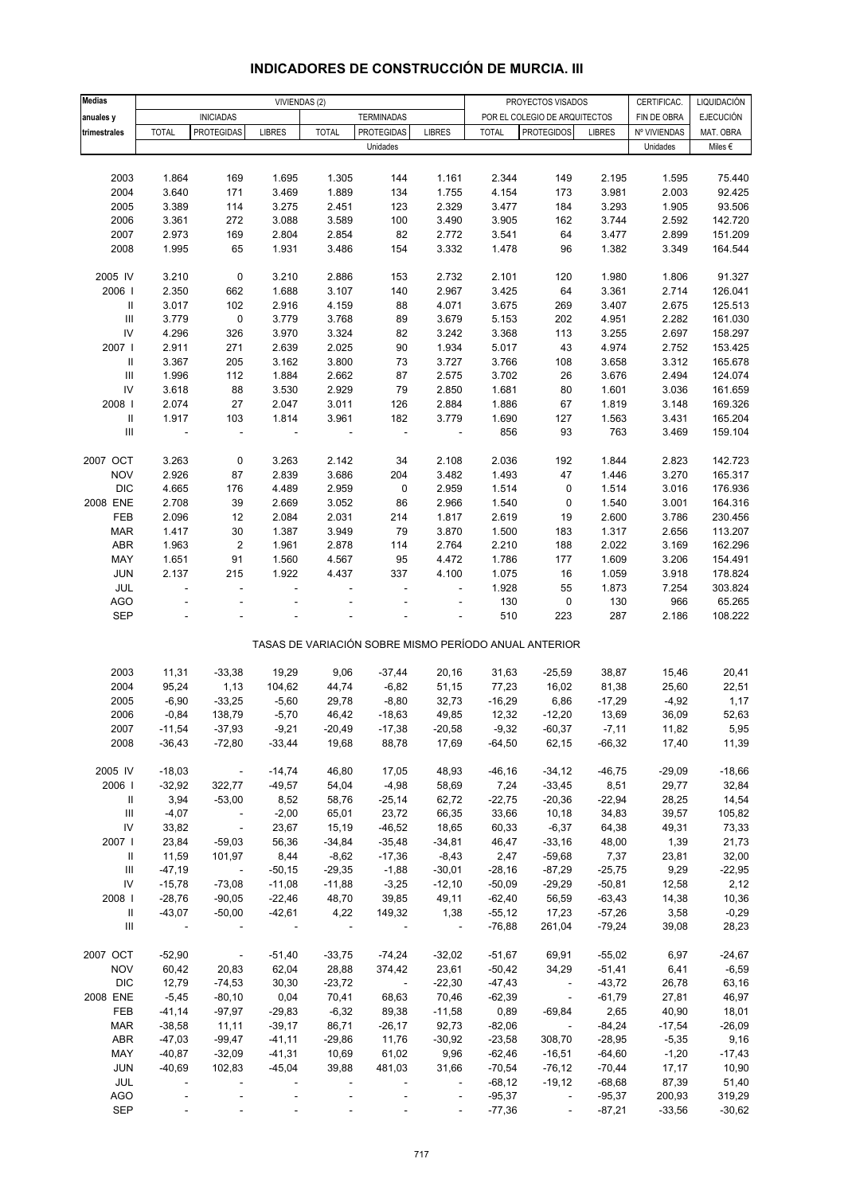| <b>Medias</b>                      |                |                       | VIVIENDAS (2)  |                |                          |                          |              | PROYECTOS VISADOS                                     |               | CERTIFICAC.    | LIQUIDACIÓN      |
|------------------------------------|----------------|-----------------------|----------------|----------------|--------------------------|--------------------------|--------------|-------------------------------------------------------|---------------|----------------|------------------|
|                                    |                | <b>INICIADAS</b>      |                |                | <b>TERMINADAS</b>        |                          |              | POR EL COLEGIO DE ARQUITECTOS                         |               | FIN DE OBRA    | <b>EJECUCIÓN</b> |
| anuales y<br>trimestrales          | <b>TOTAL</b>   | <b>PROTEGIDAS</b>     | <b>LIBRES</b>  | <b>TOTAL</b>   | <b>PROTEGIDAS</b>        | <b>LIBRES</b>            | <b>TOTAL</b> | <b>PROTEGIDOS</b>                                     | <b>LIBRES</b> | Nº VIVIENDAS   | MAT. OBRA        |
|                                    |                |                       |                |                | Unidades                 |                          |              |                                                       |               | Unidades       | Miles $\epsilon$ |
|                                    |                |                       |                |                |                          |                          |              |                                                       |               |                |                  |
| 2003                               | 1.864          | 169                   | 1.695          |                | 144                      |                          | 2.344        | 149                                                   | 2.195         |                |                  |
| 2004                               | 3.640          | 171                   | 3.469          | 1.305<br>1.889 | 134                      | 1.161<br>1.755           | 4.154        |                                                       | 3.981         | 1.595<br>2.003 | 75.440<br>92.425 |
| 2005                               | 3.389          | 114                   | 3.275          | 2.451          | 123                      | 2.329                    | 3.477        | 173<br>184                                            | 3.293         | 1.905          | 93.506           |
| 2006                               | 3.361          | 272                   | 3.088          | 3.589          | 100                      | 3.490                    | 3.905        | 162                                                   | 3.744         | 2.592          | 142.720          |
| 2007                               | 2.973          | 169                   | 2.804          | 2.854          | 82                       | 2.772                    | 3.541        | 64                                                    | 3.477         | 2.899          | 151.209          |
| 2008                               | 1.995          | 65                    | 1.931          | 3.486          | 154                      | 3.332                    | 1.478        | 96                                                    | 1.382         | 3.349          | 164.544          |
|                                    |                |                       |                |                |                          |                          |              |                                                       |               |                |                  |
| 2005 IV                            | 3.210          | $\pmb{0}$             | 3.210          | 2.886          | 153                      | 2.732                    | 2.101        | 120                                                   | 1.980         | 1.806          | 91.327           |
| 2006                               | 2.350          | 662                   | 1.688          | 3.107          | 140                      | 2.967                    | 3.425        | 64                                                    | 3.361         | 2.714          | 126.041          |
| Ш                                  | 3.017          | 102                   | 2.916          | 4.159          | 88                       | 4.071                    | 3.675        | 269                                                   | 3.407         | 2.675          | 125.513          |
| $\ensuremath{\mathsf{III}}\xspace$ | 3.779          | 0                     | 3.779          | 3.768          | 89                       | 3.679                    | 5.153        | 202                                                   | 4.951         | 2.282          | 161.030          |
| IV                                 | 4.296          | 326                   | 3.970          | 3.324          | 82                       | 3.242                    | 3.368        | 113                                                   | 3.255         | 2.697          | 158.297          |
| 2007                               | 2.911          | 271                   | 2.639          | 2.025          | $90\,$                   | 1.934                    | 5.017        | 43                                                    | 4.974         | 2.752          | 153.425          |
| $\mathbf{II}$                      | 3.367          | 205                   | 3.162          | 3.800          | 73                       | 3.727                    | 3.766        | 108                                                   | 3.658         | 3.312          | 165.678          |
| $\ensuremath{\mathsf{III}}\xspace$ | 1.996          | 112                   | 1.884          | 2.662          | 87                       | 2.575                    | 3.702        | 26                                                    | 3.676         | 2.494          | 124.074          |
| ${\sf IV}$                         | 3.618          | 88                    | 3.530          | 2.929          | 79                       | 2.850                    | 1.681        | 80                                                    | 1.601         | 3.036          | 161.659          |
| 2008                               | 2.074          | 27                    | 2.047          | 3.011          | 126                      | 2.884                    | 1.886        | 67                                                    | 1.819         | 3.148          | 169.326          |
| $\ensuremath{\mathsf{II}}$         | 1.917          | 103                   | 1.814          | 3.961          | 182                      | 3.779                    | 1.690        | 127                                                   | 1.563         | 3.431          | 165.204          |
| $\ensuremath{\mathsf{III}}\xspace$ | ÷,             | ÷,                    |                |                | $\overline{\phantom{a}}$ | $\overline{\phantom{a}}$ | 856          | 93                                                    | 763           | 3.469          | 159.104          |
|                                    |                |                       |                |                |                          |                          |              |                                                       |               |                |                  |
| 2007 OCT                           | 3.263          | 0                     | 3.263          | 2.142          | 34                       | 2.108                    | 2.036        | 192                                                   | 1.844         | 2.823          | 142.723          |
| <b>NOV</b>                         | 2.926          | 87                    | 2.839          | 3.686          | 204                      | 3.482                    | 1.493        | 47                                                    | 1.446         | 3.270          | 165.317          |
| <b>DIC</b>                         | 4.665          | 176                   | 4.489          | 2.959          | 0                        | 2.959                    | 1.514        | 0                                                     | 1.514         | 3.016          | 176.936          |
| 2008 ENE                           | 2.708          | 39                    | 2.669          | 3.052          | 86                       | 2.966                    | 1.540        | 0                                                     | 1.540         | 3.001          | 164.316          |
| FEB                                | 2.096          | 12                    | 2.084          | 2.031          | 214                      | 1.817                    | 2.619        | 19                                                    | 2.600         | 3.786          | 230.456          |
| <b>MAR</b>                         | 1.417          | 30                    | 1.387          | 3.949          | 79                       | 3.870                    | 1.500        | 183                                                   | 1.317         | 2.656          | 113.207          |
| ABR                                | 1.963          | $\overline{c}$        | 1.961          | 2.878          | 114                      | 2.764                    | 2.210        | 188                                                   | 2.022         | 3.169          | 162.296          |
| MAY                                | 1.651          | 91                    | 1.560          | 4.567          | 95                       | 4.472                    | 1.786        | 177                                                   | 1.609         | 3.206          | 154.491          |
| JUN                                | 2.137          | 215                   | 1.922          | 4.437          | 337                      | 4.100                    | 1.075        | 16                                                    | 1.059         | 3.918          | 178.824          |
| JUL                                | ä,             | L.                    | ÷              |                |                          | $\overline{\phantom{a}}$ | 1.928        | 55                                                    | 1.873         | 7.254          | 303.824          |
| <b>AGO</b>                         |                |                       |                |                |                          | ÷                        | 130          | 0                                                     | 130           | 966            | 65.265           |
| <b>SEP</b>                         |                |                       |                |                |                          |                          | 510          | 223                                                   | 287           | 2.186          | 108.222          |
|                                    |                |                       |                |                |                          |                          |              |                                                       |               |                |                  |
|                                    |                |                       |                |                |                          |                          |              | TASAS DE VARIACIÓN SOBRE MISMO PERÍODO ANUAL ANTERIOR |               |                |                  |
|                                    |                |                       |                |                |                          |                          |              |                                                       |               |                |                  |
| 2003                               | 11,31          | $-33,38$              | 19,29          | 9,06           | $-37,44$                 | 20,16                    | 31,63        | $-25,59$                                              | 38,87         | 15,46          | 20,41            |
| 2004                               | 95,24          | 1,13                  | 104,62         | 44,74          | $-6,82$                  | 51,15                    | 77,23        | 16,02                                                 | 81,38         | 25,60          | 22,51            |
| 2005                               | $-6,90$        | $-33,25$              | $-5,60$        | 29,78          | $-8,80$                  | 32,73                    | $-16,29$     | 6,86                                                  | $-17,29$      | $-4,92$        | 1,17             |
| 2006                               | $-0,84$        | 138,79                | $-5,70$        | 46,42          | $-18,63$                 | 49,85                    | 12,32        | $-12,20$                                              | 13,69         | 36,09          | 52,63            |
| 2007                               | $-11,54$       | $-37,93$              | $-9,21$        | $-20,49$       | $-17,38$                 | $-20,58$                 | $-9,32$      | $-60,37$                                              | $-7,11$       | 11,82          | 5,95             |
| 2008                               | $-36,43$       | $-72,80$              | $-33,44$       | 19,68          | 88,78                    | 17,69                    | $-64,50$     | 62,15                                                 | $-66,32$      | 17,40          | 11,39            |
|                                    |                |                       |                |                |                          |                          |              |                                                       |               |                |                  |
| 2005 IV                            | $-18,03$       | $\sim$ $\sim$         | $-14,74$       | 46,80          | 17,05                    | 48,93                    | $-46,16$     | $-34,12$                                              | $-46,75$      | $-29,09$       | $-18,66$         |
| 2006                               | $-32,92$       | 322,77                | $-49,57$       | 54,04          | $-4,98$                  | 58,69                    | 7,24         | $-33,45$                                              | 8,51          | 29,77          | 32,84            |
| Ш                                  | 3,94           | $-53,00$              | 8,52           | 58,76          | $-25,14$                 | 62,72                    | $-22,75$     | $-20,36$                                              | $-22,94$      | 28,25          | 14,54            |
| Ш                                  | $-4,07$        | $\sim 100$            | $-2,00$        | 65,01          | 23,72                    | 66,35                    | 33,66        | 10,18                                                 | 34,83         | 39,57          | 105,82           |
| ${\sf IV}$                         | 33,82          | $\sim 100$ km $^{-1}$ | 23,67          | 15,19          | $-46,52$                 | 18,65                    | 60,33        | $-6,37$                                               | 64,38         | 49,31          | 73,33            |
| 2007 l                             | 23,84          | $-59,03$              | 56,36          | $-34,84$       | $-35,48$                 | $-34,81$                 | 46,47        | $-33,16$                                              | 48,00         | 1,39           | 21,73            |
| Ш                                  | 11,59          | 101,97                | 8,44           | $-8,62$        | $-17,36$                 | $-8,43$                  | 2,47         | $-59,68$                                              | 7,37          | 23,81          | 32,00            |
| Ш                                  | $-47,19$       | $\sim$ $\sim$         | $-50,15$       | $-29,35$       | $-1,88$                  | $-30,01$                 | $-28,16$     | $-87,29$                                              | $-25,75$      | 9,29           | $-22,95$         |
| ${\sf IV}$                         | $-15,78$       | $-73,08$              | $-11,08$       | $-11,88$       | $-3,25$                  | $-12,10$                 | $-50,09$     | $-29,29$                                              | $-50,81$      | 12,58          | 2,12             |
| 2008                               | $-28,76$       | $-90,05$              | $-22,46$       | 48,70          | 39,85                    | 49,11                    | $-62,40$     | 56,59                                                 | $-63,43$      | 14,38          | 10,36            |
| Ш                                  | $-43,07$       | $-50,00$              | $-42,61$       | 4,22           | 149,32                   | 1,38                     | $-55,12$     | 17,23                                                 | $-57,26$      | 3,58           | $-0,29$          |
| Ш                                  | $\blacksquare$ |                       | $\blacksquare$ | $\blacksquare$ | $\overline{\phantom{a}}$ | $\sim$ $-$               | $-76,88$     | 261,04                                                | $-79,24$      | 39,08          | 28,23            |
|                                    |                |                       |                |                |                          |                          |              |                                                       |               |                |                  |
| 2007 OCT                           | $-52,90$       | $\sim 100$ $\mu$      | $-51,40$       | $-33,75$       | $-74,24$                 | $-32,02$                 | -51,67       | 69,91                                                 | $-55,02$      | 6,97           | $-24,67$         |
| <b>NOV</b>                         | 60,42          | 20,83                 | 62,04          | 28,88          | 374,42                   | 23,61                    | $-50,42$     | 34,29                                                 | $-51,41$      | 6,41           | $-6,59$          |
| <b>DIC</b>                         | 12,79          | $-74,53$              | 30,30          | $-23,72$       | $\sim 100$               | $-22,30$                 | $-47,43$     | $\sim 100$                                            | $-43,72$      | 26,78          | 63,16            |
| 2008 ENE                           | $-5,45$        | $-80,10$              | 0,04           | 70,41          | 68,63                    | 70,46                    | $-62,39$     | $\overline{\phantom{a}}$                              | $-61,79$      | 27,81          | 46,97            |
| FEB                                | $-41,14$       | $-97,97$              | $-29,83$       | $-6,32$        | 89,38                    | $-11,58$                 | 0,89         | $-69,84$                                              | 2,65          | 40,90          | 18,01            |
| <b>MAR</b>                         | $-38,58$       | 11,11                 | $-39,17$       | 86,71          | $-26,17$                 | 92,73                    | $-82,06$     | $\sim$                                                | $-84,24$      | $-17,54$       | $-26,09$         |
| ABR                                | $-47,03$       | $-99,47$              | $-41, 11$      | $-29,86$       | 11,76                    | $-30,92$                 | $-23,58$     | 308,70                                                | $-28,95$      | $-5,35$        | 9,16             |
| MAY                                | $-40,87$       | $-32,09$              | $-41,31$       | 10,69          | 61,02                    | 9,96                     | $-62,46$     | $-16,51$                                              | $-64,60$      | $-1,20$        | $-17,43$         |
| <b>JUN</b>                         | $-40,69$       | 102,83                | $-45,04$       | 39,88          | 481,03                   | 31,66                    | $-70,54$     | $-76,12$                                              | $-70,44$      | 17,17          | 10,90            |
| JUL                                |                |                       |                |                |                          | $\overline{\phantom{a}}$ | $-68,12$     | $-19,12$                                              | $-68,68$      | 87,39          | 51,40            |
| AGO                                |                |                       |                |                |                          | $\Box$                   | $-95,37$     | $\overline{\phantom{a}}$                              | $-95,37$      | 200,93         | 319,29           |
| SEP                                |                |                       |                |                |                          | $\overline{\phantom{a}}$ | $-77,36$     | $\sim$                                                | $-87,21$      | $-33,56$       | $-30,62$         |

## **INDICADORES DE CONSTRUCCIÓN DE MURCIA. III**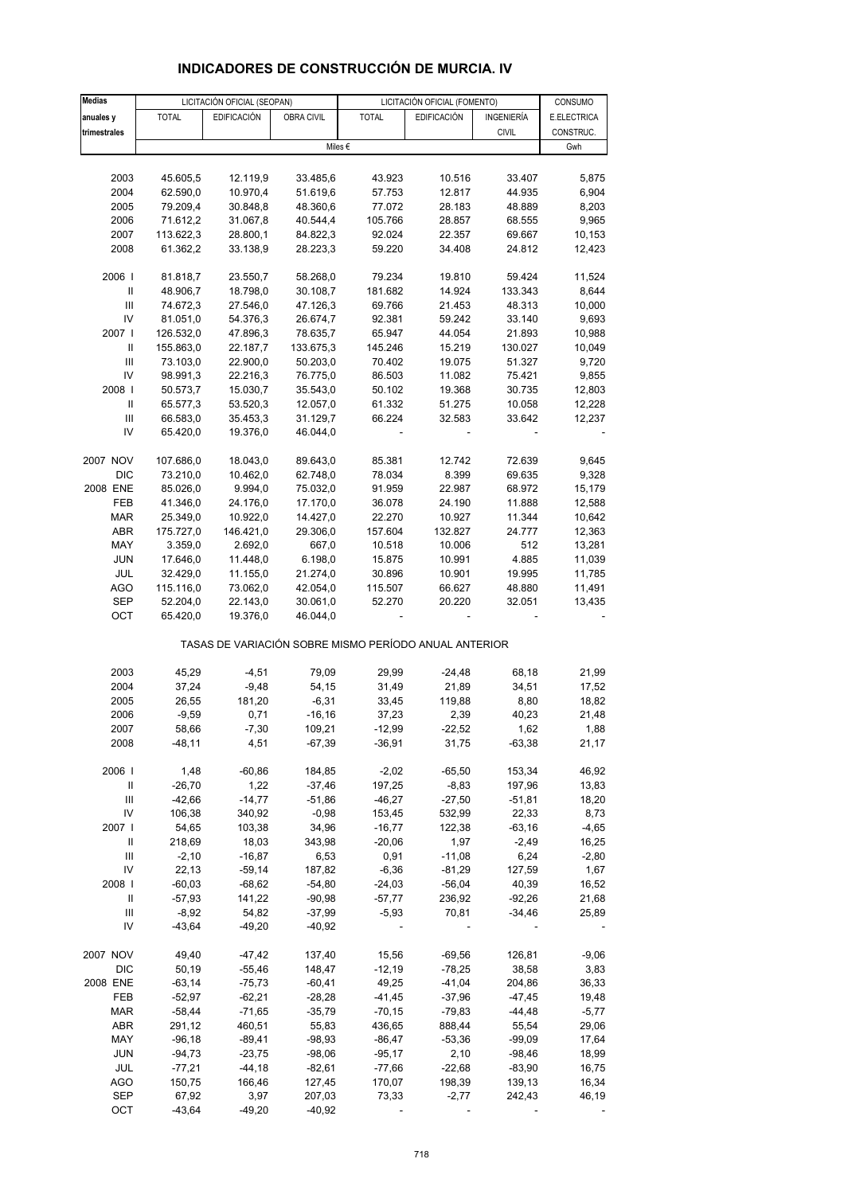| <b>Medias</b>                                                    |                       | LICITACIÓN OFICIAL (SEOPAN) |                      | LICITACIÓN OFICIAL (FOMENTO)                          |                     | CONSUMO           |                  |
|------------------------------------------------------------------|-----------------------|-----------------------------|----------------------|-------------------------------------------------------|---------------------|-------------------|------------------|
| anuales y                                                        | <b>TOTAL</b>          | <b>EDIFICACIÓN</b>          | OBRA CIVIL           | <b>TOTAL</b>                                          | <b>EDIFICACIÓN</b>  | INGENIERÍA        | E.ELECTRICA      |
| trimestrales                                                     |                       |                             |                      |                                                       |                     | <b>CIVIL</b>      | CONSTRUC.        |
|                                                                  |                       |                             |                      | Miles €                                               |                     |                   | Gwh              |
|                                                                  |                       |                             |                      |                                                       |                     |                   |                  |
| 2003                                                             | 45.605,5              | 12.119,9                    | 33.485,6             | 43.923                                                | 10.516              | 33.407            | 5,875            |
| 2004                                                             | 62.590,0              | 10.970,4                    | 51.619,6             | 57.753                                                | 12.817              | 44.935            | 6,904            |
| 2005                                                             | 79.209,4              | 30.848,8                    | 48.360,6             | 77.072                                                | 28.183              | 48.889            | 8,203            |
| 2006                                                             | 71.612,2              | 31.067,8                    | 40.544,4             | 105.766                                               | 28.857              | 68.555            | 9,965            |
| 2007                                                             | 113.622,3             | 28.800,1                    | 84.822,3             | 92.024                                                | 22.357              | 69.667            | 10,153           |
| 2008                                                             | 61.362,2              | 33.138,9                    | 28.223,3             | 59.220                                                | 34.408              | 24.812            | 12,423           |
|                                                                  |                       |                             |                      |                                                       |                     |                   |                  |
| 2006                                                             | 81.818,7              | 23.550,7                    | 58.268,0             | 79.234                                                | 19.810              | 59.424            | 11,524           |
| $\ensuremath{\mathsf{II}}$<br>$\ensuremath{\mathsf{III}}\xspace$ | 48.906,7<br>74.672,3  | 18.798,0<br>27.546,0        | 30.108,7             | 181.682<br>69.766                                     | 14.924              | 133.343<br>48.313 | 8,644<br>10,000  |
| IV                                                               | 81.051,0              | 54.376,3                    | 47.126,3<br>26.674,7 | 92.381                                                | 21.453<br>59.242    | 33.140            | 9,693            |
| 2007 l                                                           | 126.532,0             | 47.896,3                    | 78.635,7             | 65.947                                                | 44.054              | 21.893            | 10,988           |
| $\ensuremath{\mathsf{II}}$                                       | 155.863,0             | 22.187,7                    | 133.675,3            | 145.246                                               | 15.219              | 130.027           | 10,049           |
| $\mathsf{III}$                                                   | 73.103,0              | 22.900,0                    | 50.203,0             | 70.402                                                | 19.075              | 51.327            | 9,720            |
| IV                                                               | 98.991,3              | 22.216,3                    | 76.775,0             | 86.503                                                | 11.082              | 75.421            | 9,855            |
| 2008                                                             | 50.573,7              | 15.030,7                    | 35.543,0             | 50.102                                                | 19.368              | 30.735            | 12,803           |
| $\mathbf{II}$                                                    | 65.577,3              | 53.520,3                    | 12.057,0             | 61.332                                                | 51.275              | 10.058            | 12,228           |
| $\mathsf{III}$                                                   | 66.583,0              | 35.453,3                    | 31.129,7             | 66.224                                                | 32.583              | 33.642            | 12,237           |
| IV                                                               | 65.420,0              | 19.376,0                    | 46.044,0             |                                                       |                     |                   |                  |
|                                                                  |                       |                             |                      |                                                       |                     |                   |                  |
| 2007 NOV                                                         | 107.686,0             | 18.043,0                    | 89.643,0             | 85.381                                                | 12.742              | 72.639            | 9,645            |
| <b>DIC</b>                                                       | 73.210,0              | 10.462,0                    | 62.748,0             | 78.034                                                | 8.399               | 69.635            | 9,328            |
| 2008 ENE                                                         | 85.026,0              | 9.994,0                     | 75.032,0             | 91.959                                                | 22.987              | 68.972            | 15,179           |
| FEB                                                              | 41.346,0              | 24.176,0                    | 17.170,0             | 36.078                                                | 24.190              | 11.888            | 12,588           |
| MAR                                                              | 25.349,0              | 10.922,0                    | 14.427,0             | 22.270                                                | 10.927              | 11.344            | 10,642           |
| ABR                                                              | 175.727,0             | 146.421,0                   | 29.306,0             | 157.604                                               | 132.827             | 24.777            | 12,363           |
| MAY                                                              | 3.359,0               | 2.692,0                     | 667,0                | 10.518                                                | 10.006              | 512               | 13,281           |
| <b>JUN</b>                                                       | 17.646,0              | 11.448,0                    | 6.198,0              | 15.875                                                | 10.991              | 4.885             | 11,039           |
| JUL<br>AGO                                                       | 32.429,0<br>115.116,0 | 11.155,0<br>73.062,0        | 21.274,0<br>42.054,0 | 30.896<br>115.507                                     | 10.901<br>66.627    | 19.995<br>48.880  | 11,785<br>11,491 |
| SEP                                                              | 52.204,0              | 22.143,0                    | 30.061,0             | 52.270                                                | 20.220              | 32.051            | 13,435           |
| OCT                                                              | 65.420,0              | 19.376,0                    | 46.044,0             |                                                       |                     |                   |                  |
|                                                                  |                       |                             |                      |                                                       |                     |                   |                  |
|                                                                  |                       |                             |                      | TASAS DE VARIACIÓN SOBRE MISMO PERÍODO ANUAL ANTERIOR |                     |                   |                  |
|                                                                  |                       |                             |                      |                                                       |                     |                   |                  |
| 2003                                                             | 45,29                 | $-4,51$                     | 79,09                | 29,99                                                 | $-24,48$            | 68,18             | 21,99            |
| 2004                                                             | 37,24                 | $-9,48$                     | 54,15                | 31,49                                                 | 21,89               | 34,51             | 17,52            |
| 2005                                                             | 26,55                 | 181,20                      | $-6,31$              | 33,45                                                 | 119,88              | 8,80              | 18,82            |
| 2006                                                             | $-9,59$               | 0,71                        | $-16, 16$            | 37,23                                                 | 2,39                | 40,23             | 21,48            |
| 2007                                                             | 58,66                 | $-7,30$                     | 109,21               | $-12,99$                                              | $-22,52$            | 1,62              | 1,88             |
| 2008                                                             | $-48,11$              | 4,51                        | $-67,39$             | $-36,91$                                              | 31,75               | $-63,38$          | 21,17            |
| 2006                                                             |                       |                             |                      |                                                       |                     |                   |                  |
| Ш                                                                | 1,48<br>$-26,70$      | $-60,86$<br>1,22            | 184,85<br>$-37,46$   | $-2,02$<br>197,25                                     | $-65,50$<br>$-8,83$ | 153,34<br>197,96  | 46,92<br>13,83   |
| Ш                                                                | $-42,66$              | $-14,77$                    | $-51,86$             | $-46,27$                                              | $-27,50$            | $-51,81$          | 18,20            |
| IV                                                               | 106,38                | 340,92                      | $-0,98$              | 153,45                                                | 532,99              | 22,33             | 8,73             |
| 2007                                                             | 54,65                 | 103,38                      | 34,96                | $-16,77$                                              | 122,38              | $-63,16$          | $-4,65$          |
| Ш                                                                | 218,69                | 18,03                       | 343,98               | $-20,06$                                              | 1,97                | $-2,49$           | 16,25            |
| $\ensuremath{\mathsf{III}}\xspace$                               | $-2,10$               | $-16,87$                    | 6,53                 | 0,91                                                  | $-11,08$            | 6,24              | $-2,80$          |
| IV                                                               | 22,13                 | $-59,14$                    | 187,82               | $-6,36$                                               | $-81,29$            | 127,59            | 1,67             |
| 2008                                                             | $-60,03$              | $-68,62$                    | $-54,80$             | $-24,03$                                              | $-56,04$            | 40,39             | 16,52            |
| Ш                                                                | $-57,93$              | 141,22                      | $-90,98$             | $-57,77$                                              | 236,92              | $-92,26$          | 21,68            |
| $\mathsf{III}$                                                   | $-8,92$               | 54,82                       | $-37,99$             | $-5,93$                                               | 70,81               | $-34,46$          | 25,89            |
| IV                                                               | $-43,64$              | $-49,20$                    | $-40,92$             |                                                       |                     |                   |                  |
|                                                                  |                       |                             |                      |                                                       |                     |                   |                  |
| 2007 NOV                                                         | 49,40                 | $-47,42$                    | 137,40               | 15,56                                                 | $-69,56$            | 126,81            | $-9,06$          |
| DIC                                                              | 50,19                 | $-55,46$                    | 148,47               | $-12,19$                                              | $-78,25$            | 38,58             | 3,83             |
| 2008 ENE                                                         | $-63,14$              | $-75,73$                    | $-60,41$             | 49,25                                                 | $-41,04$            | 204,86            | 36,33            |
| FEB                                                              | $-52,97$              | $-62,21$                    | $-28,28$             | $-41,45$                                              | $-37,96$            | $-47,45$          | 19,48            |
| <b>MAR</b>                                                       | $-58,44$              | $-71,65$                    | $-35,79$             | $-70,15$                                              | $-79,83$            | $-44,48$          | $-5,77$          |
| ABR<br>MAY                                                       | 291,12<br>$-96,18$    | 460,51<br>$-89,41$          | 55,83<br>$-98,93$    | 436,65<br>$-86,47$                                    | 888,44<br>$-53,36$  | 55,54<br>$-99,09$ | 29,06<br>17,64   |
| <b>JUN</b>                                                       | $-94,73$              | $-23,75$                    | $-98,06$             | $-95,17$                                              | 2,10                | $-98,46$          | 18,99            |
| JUL                                                              | $-77,21$              | $-44,18$                    | $-82,61$             | $-77,66$                                              | $-22,68$            | $-83,90$          | 16,75            |
| AGO                                                              | 150,75                | 166,46                      | 127,45               | 170,07                                                | 198,39              | 139,13            | 16,34            |
| <b>SEP</b>                                                       | 67,92                 | 3,97                        | 207,03               | 73,33                                                 | $-2,77$             | 242,43            | 46,19            |

## **INDICADORES DE CONSTRUCCIÓN DE MURCIA. IV**

OCT -43,64 -49,20 -40,92 ----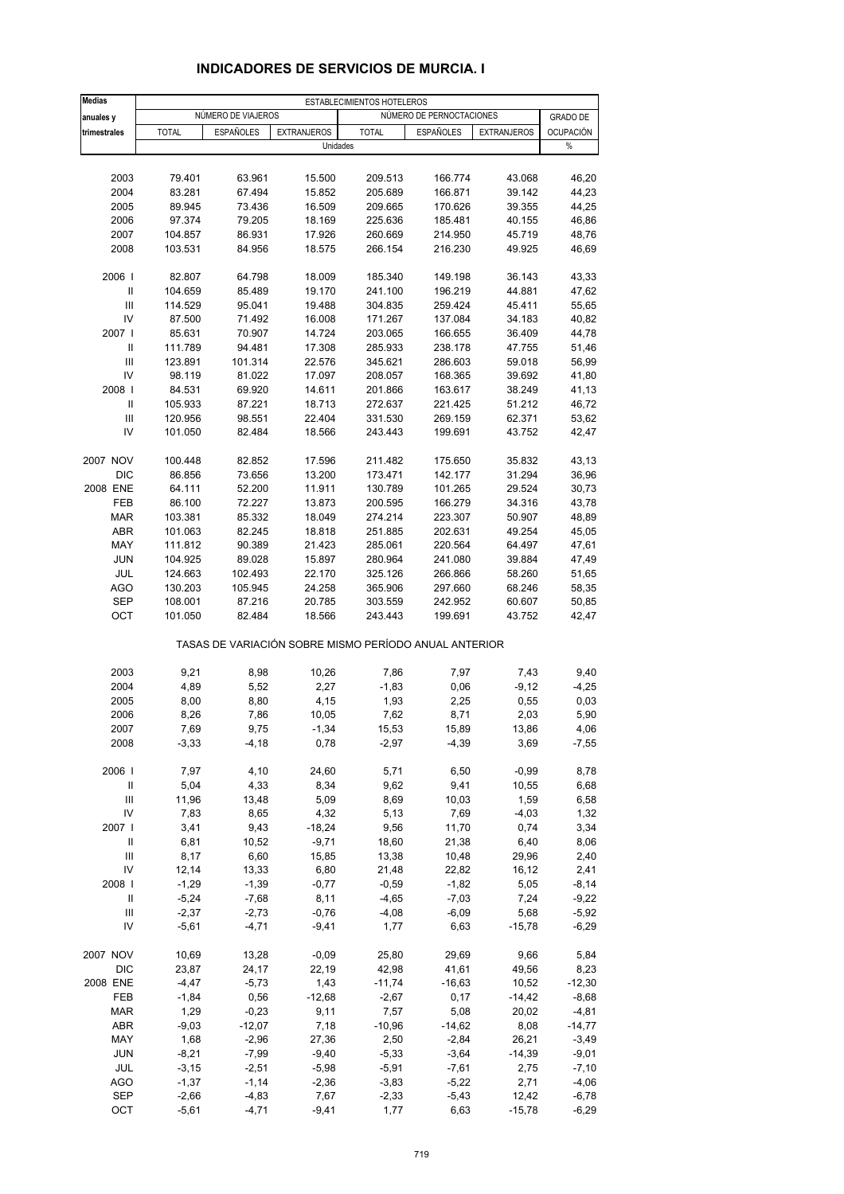| <b>Medias</b>                      |                    |                    |                                | ESTABLECIMIENTOS HOTELEROS |                                                       |                    |                       |
|------------------------------------|--------------------|--------------------|--------------------------------|----------------------------|-------------------------------------------------------|--------------------|-----------------------|
| anuales y                          |                    | NÚMERO DE VIAJEROS |                                |                            | NÚMERO DE PERNOCTACIONES                              |                    | <b>GRADO DE</b>       |
| trimestrales                       | <b>TOTAL</b>       | <b>ESPAÑOLES</b>   | <b>EXTRANJEROS</b><br>Unidades | <b>TOTAL</b>               | <b>ESPAÑOLES</b>                                      | <b>EXTRANJEROS</b> | <b>OCUPACIÓN</b><br>% |
|                                    |                    |                    |                                |                            |                                                       |                    |                       |
| 2003                               | 79.401             | 63.961             | 15.500                         | 209.513                    | 166.774                                               | 43.068             | 46,20                 |
| 2004                               | 83.281             | 67.494             | 15.852                         | 205.689                    | 166.871                                               | 39.142             | 44,23                 |
| 2005                               | 89.945             | 73.436             | 16.509                         | 209.665                    | 170.626                                               | 39.355             | 44,25                 |
| 2006                               | 97.374             | 79.205             | 18.169                         | 225.636                    | 185.481                                               | 40.155             | 46,86                 |
| 2007                               | 104.857            | 86.931             | 17.926                         | 260.669                    | 214.950                                               | 45.719             | 48,76                 |
| 2008                               | 103.531            | 84.956             | 18.575                         | 266.154                    | 216.230                                               | 49.925             | 46,69                 |
| 2006                               |                    |                    | 18.009                         |                            |                                                       | 36.143             | 43,33                 |
| Ш                                  | 82.807<br>104.659  | 64.798<br>85.489   | 19.170                         | 185.340<br>241.100         | 149.198<br>196.219                                    | 44.881             | 47,62                 |
| Ш                                  | 114.529            | 95.041             | 19.488                         | 304.835                    | 259.424                                               | 45.411             | 55,65                 |
| IV                                 | 87.500             | 71.492             | 16.008                         | 171.267                    | 137.084                                               | 34.183             | 40,82                 |
| 2007 l                             | 85.631             | 70.907             | 14.724                         | 203.065                    | 166.655                                               | 36.409             | 44,78                 |
| Ш                                  | 111.789            | 94.481             | 17.308                         | 285.933                    | 238.178                                               | 47.755             | 51,46                 |
| Ш                                  | 123.891            | 101.314            | 22.576                         | 345.621                    | 286.603                                               | 59.018             | 56,99                 |
| IV                                 | 98.119             | 81.022             | 17.097                         | 208.057                    | 168.365                                               | 39.692             | 41,80                 |
| 2008                               | 84.531             | 69.920             | 14.611                         | 201.866                    | 163.617                                               | 38.249             | 41,13                 |
| Ш                                  | 105.933            | 87.221             | 18.713                         | 272.637                    | 221.425                                               | 51.212             | 46,72                 |
| Ш                                  | 120.956            | 98.551             | 22.404                         | 331.530                    | 269.159                                               | 62.371             | 53,62                 |
| IV                                 | 101.050            | 82.484             | 18.566                         | 243.443                    | 199.691                                               | 43.752             | 42,47                 |
|                                    |                    |                    |                                |                            |                                                       |                    |                       |
| 2007 NOV                           | 100.448            | 82.852             | 17.596                         | 211.482                    | 175.650                                               | 35.832             | 43,13                 |
| <b>DIC</b>                         | 86.856             | 73.656             | 13.200                         | 173.471                    | 142.177                                               | 31.294             | 36,96                 |
| 2008 ENE                           | 64.111             | 52.200             | 11.911                         | 130.789                    | 101.265                                               | 29.524             | 30,73                 |
| FEB                                | 86.100             | 72.227             | 13.873                         | 200.595                    | 166.279                                               | 34.316             | 43,78                 |
| <b>MAR</b>                         | 103.381            | 85.332             | 18.049                         | 274.214                    | 223.307                                               | 50.907             | 48,89                 |
| ABR                                | 101.063            | 82.245             | 18.818                         | 251.885                    | 202.631                                               | 49.254             | 45,05                 |
| MAY                                | 111.812            | 90.389             | 21.423                         | 285.061                    | 220.564                                               | 64.497             | 47,61                 |
| <b>JUN</b>                         | 104.925            | 89.028             | 15.897                         | 280.964                    | 241.080                                               | 39.884             | 47,49                 |
| JUL                                | 124.663            | 102.493            | 22.170                         | 325.126                    | 266.866                                               | 58.260             | 51,65                 |
| AGO                                | 130.203            | 105.945            | 24.258                         | 365.906                    | 297.660                                               | 68.246             | 58,35                 |
| <b>SEP</b>                         | 108.001            | 87.216             | 20.785                         | 303.559                    | 242.952                                               | 60.607             | 50,85                 |
| OCT                                | 101.050            | 82.484             | 18.566                         | 243.443                    | 199.691                                               | 43.752             | 42,47                 |
|                                    |                    |                    |                                |                            | TASAS DE VARIACIÓN SOBRE MISMO PERÍODO ANUAL ANTERIOR |                    |                       |
| 2003                               | 9,21               | 8,98               | 10,26                          | 7,86                       | 7,97                                                  | 7,43               | 9,40                  |
| 2004                               | 4,89               | 5,52               | 2,27                           | $-1,83$                    | 0,06                                                  | $-9,12$            | $-4,25$               |
| 2005                               | 8,00               | 8,80               | 4,15                           | 1,93                       | 2,25                                                  | 0,55               | 0,03                  |
| 2006                               | 8,26               | 7,86               | 10,05                          | 7,62                       | 8,71                                                  | 2,03               | 5,90                  |
| 2007                               | 7,69               | 9,75               | $-1,34$                        | 15,53                      | 15,89                                                 | 13,86              | 4,06                  |
| 2008                               | $-3,33$            | $-4, 18$           | 0,78                           | $-2,97$                    | $-4,39$                                               | 3,69               | $-7,55$               |
| 2006                               | 7,97               | 4,10               | 24,60                          | 5,71                       | 6,50                                                  | $-0,99$            | 8,78                  |
| $\ensuremath{\mathsf{II}}$         | 5,04               | 4,33               | 8,34                           | 9,62                       | 9,41                                                  | 10,55              | 6,68                  |
| $\mathsf{III}$                     | 11,96              | 13,48              | 5,09                           | 8,69                       | 10,03                                                 | 1,59               | 6,58                  |
| IV                                 | 7,83               | 8,65               | 4,32                           | 5,13                       | 7,69                                                  | $-4,03$            | 1,32                  |
| 2007                               | 3,41               | 9,43               | $-18,24$                       | 9,56                       | 11,70                                                 | 0,74               | 3,34                  |
| Ш                                  | 6,81               | 10,52              | $-9,71$                        | 18,60                      | 21,38                                                 | 6,40               | 8,06                  |
| Ш                                  | 8,17               | 6,60               | 15,85                          | 13,38                      | 10,48                                                 | 29,96              | 2,40                  |
| IV                                 | 12,14              | 13,33              | 6,80                           | 21,48                      | 22,82                                                 | 16,12              | 2,41                  |
| 2008                               | $-1,29$            | $-1,39$            | $-0,77$                        | $-0,59$                    | $-1,82$                                               | 5,05               | $-8,14$               |
| Ш                                  | $-5,24$            | $-7,68$            | 8,11                           | $-4,65$                    | $-7,03$                                               | 7,24               | $-9,22$               |
| $\ensuremath{\mathsf{III}}\xspace$ | $-2,37$            | $-2,73$            | $-0,76$                        | $-4,08$                    | $-6,09$                                               | 5,68               | $-5,92$               |
| IV                                 | $-5,61$            | $-4,71$            | $-9,41$                        | 1,77                       | 6,63                                                  | $-15,78$           | $-6,29$               |
| 2007 NOV                           | 10,69              | 13,28              | $-0,09$                        | 25,80                      | 29,69                                                 |                    | 5,84                  |
| DIC                                | 23,87              | 24,17              | 22,19                          | 42,98                      | 41,61                                                 | 9,66<br>49,56      | 8,23                  |
| 2008 ENE                           | $-4,47$            | $-5,73$            | 1,43                           | $-11,74$                   | $-16,63$                                              | 10,52              | $-12,30$              |
| FEB                                | $-1,84$            | 0,56               | $-12,68$                       | $-2,67$                    | 0,17                                                  | $-14,42$           | $-8,68$               |
|                                    |                    |                    |                                |                            |                                                       |                    |                       |
| <b>MAR</b>                         | 1,29               | $-0,23$            | 9,11                           | 7,57                       | 5,08                                                  | 20,02              | $-4,81$               |
| ABR                                | $-9,03$            | $-12,07$           | 7,18                           | $-10,96$                   | $-14,62$                                              | 8,08               | $-14,77$              |
| MAY                                | 1,68               | $-2,96$            | 27,36                          | 2,50                       | $-2,84$                                               | 26,21              | $-3,49$               |
| <b>JUN</b>                         | $-8,21$            | $-7,99$            | $-9,40$                        | $-5,33$                    | $-3,64$                                               | $-14,39$           | $-9,01$               |
| JUL                                | $-3,15$            | $-2,51$            | $-5,98$                        | $-5,91$                    | $-7,61$                                               | 2,75               | $-7,10$               |
| <b>AGO</b><br><b>SEP</b>           | $-1,37$<br>$-2,66$ | $-1,14$<br>$-4,83$ | $-2,36$<br>7,67                | $-3,83$<br>$-2,33$         | $-5,22$<br>$-5,43$                                    | 2,71<br>12,42      | $-4,06$<br>$-6,78$    |
| OCT                                | $-5,61$            | $-4,71$            | $-9,41$                        | 1,77                       | 6,63                                                  | $-15,78$           | $-6,29$               |
|                                    |                    |                    |                                |                            |                                                       |                    |                       |

## **INDICADORES DE SERVICIOS DE MURCIA. I**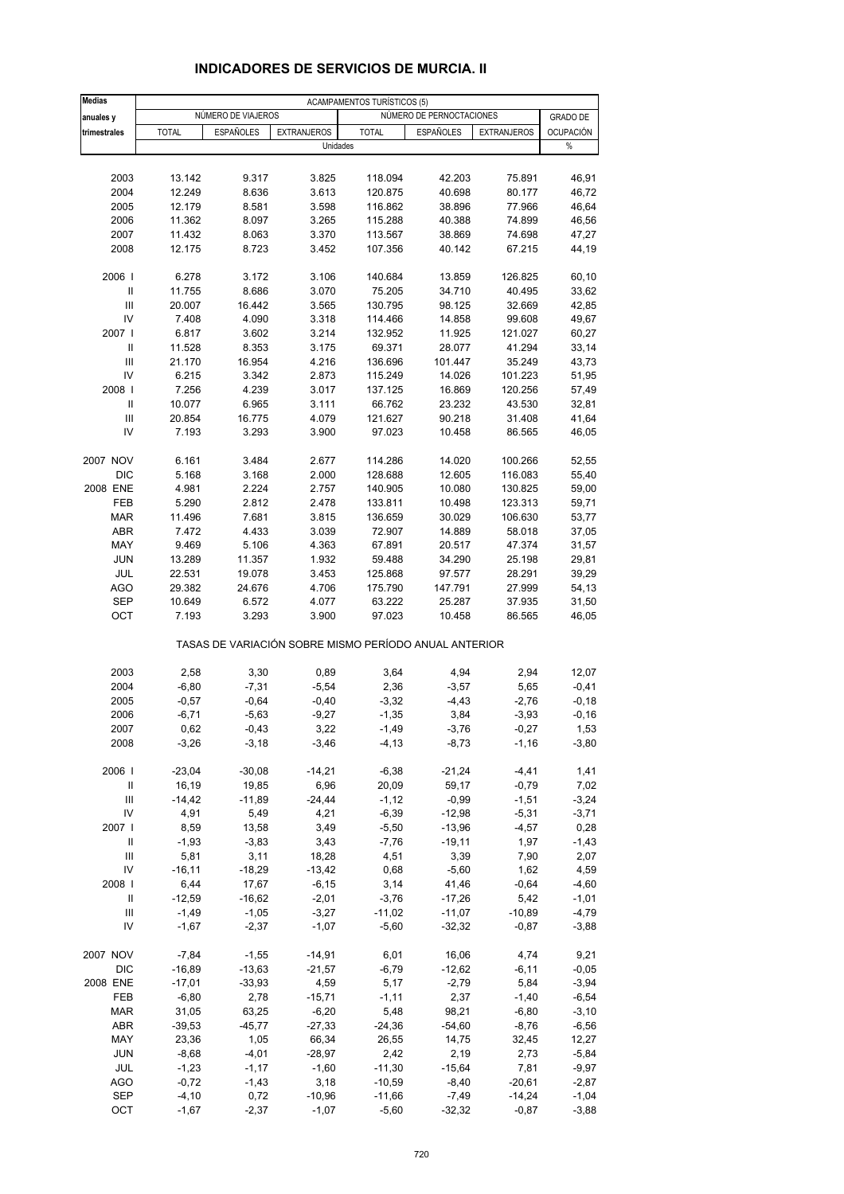| NÚMERO DE VIAJEROS<br>NÚMERO DE PERNOCTACIONES<br><b>GRADO DE</b><br>anuales y<br><b>ESPAÑOLES</b><br><b>EXTRANJEROS</b><br><b>TOTAL</b><br><b>OCUPACIÓN</b><br>trimestrales<br><b>TOTAL</b><br><b>ESPAÑOLES</b><br><b>EXTRANJEROS</b><br>$\%$<br>Unidades<br>2003<br>13.142<br>9.317<br>3.825<br>118.094<br>42.203<br>75.891<br>46,91<br>2004<br>12.249<br>8.636<br>3.613<br>120.875<br>40.698<br>80.177<br>46,72<br>2005<br>12.179<br>8.581<br>3.598<br>77.966<br>46,64<br>116.862<br>38.896<br>2006<br>11.362<br>8.097<br>3.265<br>115.288<br>40.388<br>74.899<br>46,56<br>2007<br>11.432<br>8.063<br>3.370<br>113.567<br>38.869<br>74.698<br>47,27<br>2008<br>12.175<br>8.723<br>3.452<br>40.142<br>44,19<br>107.356<br>67.215<br>2006  <br>6.278<br>3.172<br>3.106<br>140.684<br>13.859<br>126.825<br>$\mathbf{I}$<br>11.755<br>8.686<br>3.070<br>75.205<br>34.710<br>40.495<br>33,62<br>III<br>20.007<br>16.442<br>3.565<br>130.795<br>98.125<br>32.669<br>42,85<br>IV<br>7.408<br>4.090<br>3.318<br>114.466<br>14.858<br>99.608<br>2007 l<br>6.817<br>3.602<br>3.214<br>132.952<br>11.925<br>121.027<br>Ш<br>11.528<br>8.353<br>3.175<br>69.371<br>28.077<br>41.294<br>III<br>21.170<br>16.954<br>4.216<br>136.696<br>101.447<br>35.249<br>IV<br>6.215<br>3.342<br>2.873<br>115.249<br>14.026<br>101.223<br>2008  <br>7.256<br>4.239<br>3.017<br>137.125<br>16.869<br>120.256<br>$\mathbf{I}$<br>10.077<br>6.965<br>3.111<br>66.762<br>23.232<br>43.530<br>$\mathbf{III}$<br>90.218<br>20.854<br>16.775<br>4.079<br>121.627<br>31.408<br>IV<br>7.193<br>3.293<br>3.900<br>97.023<br>10.458<br>86.565<br>2007 NOV<br>6.161<br>3.484<br>2.677<br>114.286<br>14.020<br>100.266<br>DIC<br>5.168<br>3.168<br>2.000<br>128.688<br>12.605<br>116.083<br>55,40<br>2008 ENE<br>4.981<br>2.224<br>2.757<br>140.905<br>10.080<br>130.825<br>59,00<br>FEB<br>5.290<br>2.812<br>2.478<br>133.811<br>10.498<br>123.313<br><b>MAR</b><br>11.496<br>7.681<br>3.815<br>136.659<br>30.029<br>106.630<br>ABR<br>7.472<br>4.433<br>72.907<br>14.889<br>3.039<br>58.018<br>MAY<br>9.469<br>5.106<br>4.363<br>67.891<br>20.517<br>47.374<br><b>JUN</b><br>13.289<br>11.357<br>1.932<br>59.488<br>34.290<br>25.198<br>JUL<br>22.531<br>19.078<br>3.453<br>125.868<br>97.577<br>28.291<br><b>AGO</b><br>29.382<br>24.676<br>4.706<br>175.790<br>147.791<br>27.999<br><b>SEP</b><br>10.649<br>6.572<br>4.077<br>63.222<br>25.287<br>37.935<br>OCT<br>7.193<br>3.293<br>3.900<br>97.023<br>10.458<br>86.565<br>TASAS DE VARIACIÓN SOBRE MISMO PERÍODO ANUAL ANTERIOR<br>2003<br>2,58<br>3,30<br>0,89<br>3,64<br>4,94<br>2,94<br>12,07<br>$-6,80$<br>2004<br>$-7,31$<br>$-5,54$<br>2,36<br>$-3,57$<br>5,65<br>$-0,41$<br>2005<br>$-0,57$<br>$-3,32$<br>$-2,76$<br>$-0,18$<br>$-0,64$<br>$-0,40$<br>$-4,43$<br>2006<br>$-6,71$<br>$-5,63$<br>$-9,27$<br>$-1,35$<br>3,84<br>$-3,93$<br>$-0, 16$<br>2007<br>0,62<br>-0,43<br>3,22<br>-1,49<br>$-3,76$<br>$-0,27$<br>1,53<br>2008<br>$-3,26$<br>$-3,18$<br>$-3,46$<br>$-4, 13$<br>$-1,16$<br>$-8,73$<br>2006  <br>$-23,04$<br>$-30,08$<br>$-14,21$<br>$-6,38$<br>$-21,24$<br>$-4, 41$<br>1,41<br>16,19<br>19,85<br>6,96<br>20,09<br>Ш<br>59,17<br>$-0,79$<br>7,02<br>$\mathsf{III}$<br>$-1,51$<br>$-14,42$<br>$-11,89$<br>$-24,44$<br>$-1, 12$<br>$-0,99$<br>$-3,24$<br>IV<br>4,91<br>5,49<br>4,21<br>$-6,39$<br>$-12,98$<br>$-5,31$<br>$-3,71$<br>2007 l<br>8,59<br>13,58<br>3,49<br>$-5,50$<br>$-13,96$<br>$-4,57$<br>0,28<br>Ш<br>$-1,93$<br>$-3,83$<br>3,43<br>$-7,76$<br>$-19,11$<br>1,97<br>$-1,43$<br>Ш<br>5,81<br>3,11<br>18,28<br>4,51<br>3,39<br>7,90<br>2,07<br>IV<br>$-16,11$<br>$-18,29$<br>0,68<br>$-13,42$<br>$-5,60$<br>1,62<br>4,59<br>2008  <br>6,44<br>17,67<br>$-6, 15$<br>3,14<br>$-0,64$<br>41,46<br>Ш<br>$-12,59$<br>$-16,62$<br>$-2,01$<br>$-3,76$<br>$-17,26$<br>5,42<br>Ш<br>$-1,49$<br>$-1,05$<br>$-3,27$<br>$-11,02$<br>$-11,07$<br>$-10,89$<br>IV<br>$-1,67$<br>$-2,37$<br>$-1,07$<br>$-5,60$<br>$-32,32$<br>$-0,87$<br>2007 NOV<br>$-7,84$<br>$-1,55$<br>$-14,91$<br>6,01<br>16,06<br>4,74<br>$-16,89$<br>$-6,79$<br>$-6,11$<br>DIC<br>$-13,63$<br>$-21,57$<br>$-12,62$<br>$-17,01$<br>2008 ENE<br>$-33,93$<br>4,59<br>5,17<br>$-2,79$<br>5,84<br>FEB<br>$-6,80$<br>2,78<br>$-15,71$<br>$-1, 11$<br>2,37<br>$-1,40$<br>31,05<br><b>MAR</b><br>63,25<br>$-6,20$<br>5,48<br>98,21<br>$-6,80$<br>$-3,10$<br>ABR<br>$-39,53$<br>$-45,77$<br>$-27,33$<br>$-24,36$<br>$-54,60$<br>$-8,76$<br>$-6,56$<br>23,36<br>1,05<br>14,75<br>MAY<br>66,34<br>26,55<br>32,45<br>12,27<br><b>JUN</b><br>$-8,68$<br>$-4,01$<br>$-28,97$<br>2,42<br>2,19<br>2,73<br>$-5,84$<br>JUL<br>$-1,23$<br>$-1,17$<br>$-1,60$<br>$-11,30$<br>$-15,64$<br>7,81<br>$-9,97$<br><b>AGO</b><br>$-0,72$<br>$-1,43$<br>3,18<br>$-10,59$<br>$-20,61$<br>$-8,40$<br>$-2,87$<br><b>SEP</b><br>$-4,10$<br>0,72<br>$-10,96$<br>$-11,66$<br>$-7,49$<br>$-14,24$<br>$-1,04$ | <b>Medias</b> |         |         |         | <b>ACAMPAMENTOS TURÍSTICOS (5)</b> |          |         |         |
|--------------------------------------------------------------------------------------------------------------------------------------------------------------------------------------------------------------------------------------------------------------------------------------------------------------------------------------------------------------------------------------------------------------------------------------------------------------------------------------------------------------------------------------------------------------------------------------------------------------------------------------------------------------------------------------------------------------------------------------------------------------------------------------------------------------------------------------------------------------------------------------------------------------------------------------------------------------------------------------------------------------------------------------------------------------------------------------------------------------------------------------------------------------------------------------------------------------------------------------------------------------------------------------------------------------------------------------------------------------------------------------------------------------------------------------------------------------------------------------------------------------------------------------------------------------------------------------------------------------------------------------------------------------------------------------------------------------------------------------------------------------------------------------------------------------------------------------------------------------------------------------------------------------------------------------------------------------------------------------------------------------------------------------------------------------------------------------------------------------------------------------------------------------------------------------------------------------------------------------------------------------------------------------------------------------------------------------------------------------------------------------------------------------------------------------------------------------------------------------------------------------------------------------------------------------------------------------------------------------------------------------------------------------------------------------------------------------------------------------------------------------------------------------------------------------------------------------------------------------------------------------------------------------------------------------------------------------------------------------------------------------------------------------------------------------------------------------------------------------------------------------------------------------------------------------------------------------------------------------------------------------------------------------------------------------------------------------------------------------------------------------------------------------------------------------------------------------------------------------------------------------------------------------------------------------------------------------------------------------------------------------------------------------------------------------------------------------------------------------------------------------------------------------------------------------------------------------------------------------------------------------------------------------------------------------------------------------------------------------------------------------------------------------------------------------------------------------------------------------------------------------------------------------------------------------------------------------------------------------------------------------------------------------------------------------------------------------------------------------------------------------------------------------------------------------------------------------------------------------------------------------------------------------------------------------------------------------------------------------------------------------------------------------------------------------------------------------------------------------------------------------------------------------------------------------------------------------------------------------------------------------|---------------|---------|---------|---------|------------------------------------|----------|---------|---------|
|                                                                                                                                                                                                                                                                                                                                                                                                                                                                                                                                                                                                                                                                                                                                                                                                                                                                                                                                                                                                                                                                                                                                                                                                                                                                                                                                                                                                                                                                                                                                                                                                                                                                                                                                                                                                                                                                                                                                                                                                                                                                                                                                                                                                                                                                                                                                                                                                                                                                                                                                                                                                                                                                                                                                                                                                                                                                                                                                                                                                                                                                                                                                                                                                                                                                                                                                                                                                                                                                                                                                                                                                                                                                                                                                                                                                                                                                                                                                                                                                                                                                                                                                                                                                                                                                                                                                                                                                                                                                                                                                                                                                                                                                                                                                                                                                                                                                                      |               |         |         |         |                                    |          |         |         |
|                                                                                                                                                                                                                                                                                                                                                                                                                                                                                                                                                                                                                                                                                                                                                                                                                                                                                                                                                                                                                                                                                                                                                                                                                                                                                                                                                                                                                                                                                                                                                                                                                                                                                                                                                                                                                                                                                                                                                                                                                                                                                                                                                                                                                                                                                                                                                                                                                                                                                                                                                                                                                                                                                                                                                                                                                                                                                                                                                                                                                                                                                                                                                                                                                                                                                                                                                                                                                                                                                                                                                                                                                                                                                                                                                                                                                                                                                                                                                                                                                                                                                                                                                                                                                                                                                                                                                                                                                                                                                                                                                                                                                                                                                                                                                                                                                                                                                      |               |         |         |         |                                    |          |         |         |
|                                                                                                                                                                                                                                                                                                                                                                                                                                                                                                                                                                                                                                                                                                                                                                                                                                                                                                                                                                                                                                                                                                                                                                                                                                                                                                                                                                                                                                                                                                                                                                                                                                                                                                                                                                                                                                                                                                                                                                                                                                                                                                                                                                                                                                                                                                                                                                                                                                                                                                                                                                                                                                                                                                                                                                                                                                                                                                                                                                                                                                                                                                                                                                                                                                                                                                                                                                                                                                                                                                                                                                                                                                                                                                                                                                                                                                                                                                                                                                                                                                                                                                                                                                                                                                                                                                                                                                                                                                                                                                                                                                                                                                                                                                                                                                                                                                                                                      |               |         |         |         |                                    |          |         |         |
|                                                                                                                                                                                                                                                                                                                                                                                                                                                                                                                                                                                                                                                                                                                                                                                                                                                                                                                                                                                                                                                                                                                                                                                                                                                                                                                                                                                                                                                                                                                                                                                                                                                                                                                                                                                                                                                                                                                                                                                                                                                                                                                                                                                                                                                                                                                                                                                                                                                                                                                                                                                                                                                                                                                                                                                                                                                                                                                                                                                                                                                                                                                                                                                                                                                                                                                                                                                                                                                                                                                                                                                                                                                                                                                                                                                                                                                                                                                                                                                                                                                                                                                                                                                                                                                                                                                                                                                                                                                                                                                                                                                                                                                                                                                                                                                                                                                                                      |               |         |         |         |                                    |          |         |         |
|                                                                                                                                                                                                                                                                                                                                                                                                                                                                                                                                                                                                                                                                                                                                                                                                                                                                                                                                                                                                                                                                                                                                                                                                                                                                                                                                                                                                                                                                                                                                                                                                                                                                                                                                                                                                                                                                                                                                                                                                                                                                                                                                                                                                                                                                                                                                                                                                                                                                                                                                                                                                                                                                                                                                                                                                                                                                                                                                                                                                                                                                                                                                                                                                                                                                                                                                                                                                                                                                                                                                                                                                                                                                                                                                                                                                                                                                                                                                                                                                                                                                                                                                                                                                                                                                                                                                                                                                                                                                                                                                                                                                                                                                                                                                                                                                                                                                                      |               |         |         |         |                                    |          |         |         |
|                                                                                                                                                                                                                                                                                                                                                                                                                                                                                                                                                                                                                                                                                                                                                                                                                                                                                                                                                                                                                                                                                                                                                                                                                                                                                                                                                                                                                                                                                                                                                                                                                                                                                                                                                                                                                                                                                                                                                                                                                                                                                                                                                                                                                                                                                                                                                                                                                                                                                                                                                                                                                                                                                                                                                                                                                                                                                                                                                                                                                                                                                                                                                                                                                                                                                                                                                                                                                                                                                                                                                                                                                                                                                                                                                                                                                                                                                                                                                                                                                                                                                                                                                                                                                                                                                                                                                                                                                                                                                                                                                                                                                                                                                                                                                                                                                                                                                      |               |         |         |         |                                    |          |         |         |
|                                                                                                                                                                                                                                                                                                                                                                                                                                                                                                                                                                                                                                                                                                                                                                                                                                                                                                                                                                                                                                                                                                                                                                                                                                                                                                                                                                                                                                                                                                                                                                                                                                                                                                                                                                                                                                                                                                                                                                                                                                                                                                                                                                                                                                                                                                                                                                                                                                                                                                                                                                                                                                                                                                                                                                                                                                                                                                                                                                                                                                                                                                                                                                                                                                                                                                                                                                                                                                                                                                                                                                                                                                                                                                                                                                                                                                                                                                                                                                                                                                                                                                                                                                                                                                                                                                                                                                                                                                                                                                                                                                                                                                                                                                                                                                                                                                                                                      |               |         |         |         |                                    |          |         |         |
|                                                                                                                                                                                                                                                                                                                                                                                                                                                                                                                                                                                                                                                                                                                                                                                                                                                                                                                                                                                                                                                                                                                                                                                                                                                                                                                                                                                                                                                                                                                                                                                                                                                                                                                                                                                                                                                                                                                                                                                                                                                                                                                                                                                                                                                                                                                                                                                                                                                                                                                                                                                                                                                                                                                                                                                                                                                                                                                                                                                                                                                                                                                                                                                                                                                                                                                                                                                                                                                                                                                                                                                                                                                                                                                                                                                                                                                                                                                                                                                                                                                                                                                                                                                                                                                                                                                                                                                                                                                                                                                                                                                                                                                                                                                                                                                                                                                                                      |               |         |         |         |                                    |          |         |         |
|                                                                                                                                                                                                                                                                                                                                                                                                                                                                                                                                                                                                                                                                                                                                                                                                                                                                                                                                                                                                                                                                                                                                                                                                                                                                                                                                                                                                                                                                                                                                                                                                                                                                                                                                                                                                                                                                                                                                                                                                                                                                                                                                                                                                                                                                                                                                                                                                                                                                                                                                                                                                                                                                                                                                                                                                                                                                                                                                                                                                                                                                                                                                                                                                                                                                                                                                                                                                                                                                                                                                                                                                                                                                                                                                                                                                                                                                                                                                                                                                                                                                                                                                                                                                                                                                                                                                                                                                                                                                                                                                                                                                                                                                                                                                                                                                                                                                                      |               |         |         |         |                                    |          |         |         |
|                                                                                                                                                                                                                                                                                                                                                                                                                                                                                                                                                                                                                                                                                                                                                                                                                                                                                                                                                                                                                                                                                                                                                                                                                                                                                                                                                                                                                                                                                                                                                                                                                                                                                                                                                                                                                                                                                                                                                                                                                                                                                                                                                                                                                                                                                                                                                                                                                                                                                                                                                                                                                                                                                                                                                                                                                                                                                                                                                                                                                                                                                                                                                                                                                                                                                                                                                                                                                                                                                                                                                                                                                                                                                                                                                                                                                                                                                                                                                                                                                                                                                                                                                                                                                                                                                                                                                                                                                                                                                                                                                                                                                                                                                                                                                                                                                                                                                      |               |         |         |         |                                    |          |         |         |
|                                                                                                                                                                                                                                                                                                                                                                                                                                                                                                                                                                                                                                                                                                                                                                                                                                                                                                                                                                                                                                                                                                                                                                                                                                                                                                                                                                                                                                                                                                                                                                                                                                                                                                                                                                                                                                                                                                                                                                                                                                                                                                                                                                                                                                                                                                                                                                                                                                                                                                                                                                                                                                                                                                                                                                                                                                                                                                                                                                                                                                                                                                                                                                                                                                                                                                                                                                                                                                                                                                                                                                                                                                                                                                                                                                                                                                                                                                                                                                                                                                                                                                                                                                                                                                                                                                                                                                                                                                                                                                                                                                                                                                                                                                                                                                                                                                                                                      |               |         |         |         |                                    |          |         |         |
|                                                                                                                                                                                                                                                                                                                                                                                                                                                                                                                                                                                                                                                                                                                                                                                                                                                                                                                                                                                                                                                                                                                                                                                                                                                                                                                                                                                                                                                                                                                                                                                                                                                                                                                                                                                                                                                                                                                                                                                                                                                                                                                                                                                                                                                                                                                                                                                                                                                                                                                                                                                                                                                                                                                                                                                                                                                                                                                                                                                                                                                                                                                                                                                                                                                                                                                                                                                                                                                                                                                                                                                                                                                                                                                                                                                                                                                                                                                                                                                                                                                                                                                                                                                                                                                                                                                                                                                                                                                                                                                                                                                                                                                                                                                                                                                                                                                                                      |               |         |         |         |                                    |          |         | 60,10   |
|                                                                                                                                                                                                                                                                                                                                                                                                                                                                                                                                                                                                                                                                                                                                                                                                                                                                                                                                                                                                                                                                                                                                                                                                                                                                                                                                                                                                                                                                                                                                                                                                                                                                                                                                                                                                                                                                                                                                                                                                                                                                                                                                                                                                                                                                                                                                                                                                                                                                                                                                                                                                                                                                                                                                                                                                                                                                                                                                                                                                                                                                                                                                                                                                                                                                                                                                                                                                                                                                                                                                                                                                                                                                                                                                                                                                                                                                                                                                                                                                                                                                                                                                                                                                                                                                                                                                                                                                                                                                                                                                                                                                                                                                                                                                                                                                                                                                                      |               |         |         |         |                                    |          |         |         |
|                                                                                                                                                                                                                                                                                                                                                                                                                                                                                                                                                                                                                                                                                                                                                                                                                                                                                                                                                                                                                                                                                                                                                                                                                                                                                                                                                                                                                                                                                                                                                                                                                                                                                                                                                                                                                                                                                                                                                                                                                                                                                                                                                                                                                                                                                                                                                                                                                                                                                                                                                                                                                                                                                                                                                                                                                                                                                                                                                                                                                                                                                                                                                                                                                                                                                                                                                                                                                                                                                                                                                                                                                                                                                                                                                                                                                                                                                                                                                                                                                                                                                                                                                                                                                                                                                                                                                                                                                                                                                                                                                                                                                                                                                                                                                                                                                                                                                      |               |         |         |         |                                    |          |         |         |
|                                                                                                                                                                                                                                                                                                                                                                                                                                                                                                                                                                                                                                                                                                                                                                                                                                                                                                                                                                                                                                                                                                                                                                                                                                                                                                                                                                                                                                                                                                                                                                                                                                                                                                                                                                                                                                                                                                                                                                                                                                                                                                                                                                                                                                                                                                                                                                                                                                                                                                                                                                                                                                                                                                                                                                                                                                                                                                                                                                                                                                                                                                                                                                                                                                                                                                                                                                                                                                                                                                                                                                                                                                                                                                                                                                                                                                                                                                                                                                                                                                                                                                                                                                                                                                                                                                                                                                                                                                                                                                                                                                                                                                                                                                                                                                                                                                                                                      |               |         |         |         |                                    |          |         | 49,67   |
|                                                                                                                                                                                                                                                                                                                                                                                                                                                                                                                                                                                                                                                                                                                                                                                                                                                                                                                                                                                                                                                                                                                                                                                                                                                                                                                                                                                                                                                                                                                                                                                                                                                                                                                                                                                                                                                                                                                                                                                                                                                                                                                                                                                                                                                                                                                                                                                                                                                                                                                                                                                                                                                                                                                                                                                                                                                                                                                                                                                                                                                                                                                                                                                                                                                                                                                                                                                                                                                                                                                                                                                                                                                                                                                                                                                                                                                                                                                                                                                                                                                                                                                                                                                                                                                                                                                                                                                                                                                                                                                                                                                                                                                                                                                                                                                                                                                                                      |               |         |         |         |                                    |          |         | 60,27   |
|                                                                                                                                                                                                                                                                                                                                                                                                                                                                                                                                                                                                                                                                                                                                                                                                                                                                                                                                                                                                                                                                                                                                                                                                                                                                                                                                                                                                                                                                                                                                                                                                                                                                                                                                                                                                                                                                                                                                                                                                                                                                                                                                                                                                                                                                                                                                                                                                                                                                                                                                                                                                                                                                                                                                                                                                                                                                                                                                                                                                                                                                                                                                                                                                                                                                                                                                                                                                                                                                                                                                                                                                                                                                                                                                                                                                                                                                                                                                                                                                                                                                                                                                                                                                                                                                                                                                                                                                                                                                                                                                                                                                                                                                                                                                                                                                                                                                                      |               |         |         |         |                                    |          |         | 33,14   |
|                                                                                                                                                                                                                                                                                                                                                                                                                                                                                                                                                                                                                                                                                                                                                                                                                                                                                                                                                                                                                                                                                                                                                                                                                                                                                                                                                                                                                                                                                                                                                                                                                                                                                                                                                                                                                                                                                                                                                                                                                                                                                                                                                                                                                                                                                                                                                                                                                                                                                                                                                                                                                                                                                                                                                                                                                                                                                                                                                                                                                                                                                                                                                                                                                                                                                                                                                                                                                                                                                                                                                                                                                                                                                                                                                                                                                                                                                                                                                                                                                                                                                                                                                                                                                                                                                                                                                                                                                                                                                                                                                                                                                                                                                                                                                                                                                                                                                      |               |         |         |         |                                    |          |         | 43,73   |
|                                                                                                                                                                                                                                                                                                                                                                                                                                                                                                                                                                                                                                                                                                                                                                                                                                                                                                                                                                                                                                                                                                                                                                                                                                                                                                                                                                                                                                                                                                                                                                                                                                                                                                                                                                                                                                                                                                                                                                                                                                                                                                                                                                                                                                                                                                                                                                                                                                                                                                                                                                                                                                                                                                                                                                                                                                                                                                                                                                                                                                                                                                                                                                                                                                                                                                                                                                                                                                                                                                                                                                                                                                                                                                                                                                                                                                                                                                                                                                                                                                                                                                                                                                                                                                                                                                                                                                                                                                                                                                                                                                                                                                                                                                                                                                                                                                                                                      |               |         |         |         |                                    |          |         | 51,95   |
|                                                                                                                                                                                                                                                                                                                                                                                                                                                                                                                                                                                                                                                                                                                                                                                                                                                                                                                                                                                                                                                                                                                                                                                                                                                                                                                                                                                                                                                                                                                                                                                                                                                                                                                                                                                                                                                                                                                                                                                                                                                                                                                                                                                                                                                                                                                                                                                                                                                                                                                                                                                                                                                                                                                                                                                                                                                                                                                                                                                                                                                                                                                                                                                                                                                                                                                                                                                                                                                                                                                                                                                                                                                                                                                                                                                                                                                                                                                                                                                                                                                                                                                                                                                                                                                                                                                                                                                                                                                                                                                                                                                                                                                                                                                                                                                                                                                                                      |               |         |         |         |                                    |          |         | 57,49   |
|                                                                                                                                                                                                                                                                                                                                                                                                                                                                                                                                                                                                                                                                                                                                                                                                                                                                                                                                                                                                                                                                                                                                                                                                                                                                                                                                                                                                                                                                                                                                                                                                                                                                                                                                                                                                                                                                                                                                                                                                                                                                                                                                                                                                                                                                                                                                                                                                                                                                                                                                                                                                                                                                                                                                                                                                                                                                                                                                                                                                                                                                                                                                                                                                                                                                                                                                                                                                                                                                                                                                                                                                                                                                                                                                                                                                                                                                                                                                                                                                                                                                                                                                                                                                                                                                                                                                                                                                                                                                                                                                                                                                                                                                                                                                                                                                                                                                                      |               |         |         |         |                                    |          |         | 32,81   |
|                                                                                                                                                                                                                                                                                                                                                                                                                                                                                                                                                                                                                                                                                                                                                                                                                                                                                                                                                                                                                                                                                                                                                                                                                                                                                                                                                                                                                                                                                                                                                                                                                                                                                                                                                                                                                                                                                                                                                                                                                                                                                                                                                                                                                                                                                                                                                                                                                                                                                                                                                                                                                                                                                                                                                                                                                                                                                                                                                                                                                                                                                                                                                                                                                                                                                                                                                                                                                                                                                                                                                                                                                                                                                                                                                                                                                                                                                                                                                                                                                                                                                                                                                                                                                                                                                                                                                                                                                                                                                                                                                                                                                                                                                                                                                                                                                                                                                      |               |         |         |         |                                    |          |         | 41,64   |
|                                                                                                                                                                                                                                                                                                                                                                                                                                                                                                                                                                                                                                                                                                                                                                                                                                                                                                                                                                                                                                                                                                                                                                                                                                                                                                                                                                                                                                                                                                                                                                                                                                                                                                                                                                                                                                                                                                                                                                                                                                                                                                                                                                                                                                                                                                                                                                                                                                                                                                                                                                                                                                                                                                                                                                                                                                                                                                                                                                                                                                                                                                                                                                                                                                                                                                                                                                                                                                                                                                                                                                                                                                                                                                                                                                                                                                                                                                                                                                                                                                                                                                                                                                                                                                                                                                                                                                                                                                                                                                                                                                                                                                                                                                                                                                                                                                                                                      |               |         |         |         |                                    |          |         | 46,05   |
|                                                                                                                                                                                                                                                                                                                                                                                                                                                                                                                                                                                                                                                                                                                                                                                                                                                                                                                                                                                                                                                                                                                                                                                                                                                                                                                                                                                                                                                                                                                                                                                                                                                                                                                                                                                                                                                                                                                                                                                                                                                                                                                                                                                                                                                                                                                                                                                                                                                                                                                                                                                                                                                                                                                                                                                                                                                                                                                                                                                                                                                                                                                                                                                                                                                                                                                                                                                                                                                                                                                                                                                                                                                                                                                                                                                                                                                                                                                                                                                                                                                                                                                                                                                                                                                                                                                                                                                                                                                                                                                                                                                                                                                                                                                                                                                                                                                                                      |               |         |         |         |                                    |          |         |         |
|                                                                                                                                                                                                                                                                                                                                                                                                                                                                                                                                                                                                                                                                                                                                                                                                                                                                                                                                                                                                                                                                                                                                                                                                                                                                                                                                                                                                                                                                                                                                                                                                                                                                                                                                                                                                                                                                                                                                                                                                                                                                                                                                                                                                                                                                                                                                                                                                                                                                                                                                                                                                                                                                                                                                                                                                                                                                                                                                                                                                                                                                                                                                                                                                                                                                                                                                                                                                                                                                                                                                                                                                                                                                                                                                                                                                                                                                                                                                                                                                                                                                                                                                                                                                                                                                                                                                                                                                                                                                                                                                                                                                                                                                                                                                                                                                                                                                                      |               |         |         |         |                                    |          |         | 52,55   |
|                                                                                                                                                                                                                                                                                                                                                                                                                                                                                                                                                                                                                                                                                                                                                                                                                                                                                                                                                                                                                                                                                                                                                                                                                                                                                                                                                                                                                                                                                                                                                                                                                                                                                                                                                                                                                                                                                                                                                                                                                                                                                                                                                                                                                                                                                                                                                                                                                                                                                                                                                                                                                                                                                                                                                                                                                                                                                                                                                                                                                                                                                                                                                                                                                                                                                                                                                                                                                                                                                                                                                                                                                                                                                                                                                                                                                                                                                                                                                                                                                                                                                                                                                                                                                                                                                                                                                                                                                                                                                                                                                                                                                                                                                                                                                                                                                                                                                      |               |         |         |         |                                    |          |         |         |
|                                                                                                                                                                                                                                                                                                                                                                                                                                                                                                                                                                                                                                                                                                                                                                                                                                                                                                                                                                                                                                                                                                                                                                                                                                                                                                                                                                                                                                                                                                                                                                                                                                                                                                                                                                                                                                                                                                                                                                                                                                                                                                                                                                                                                                                                                                                                                                                                                                                                                                                                                                                                                                                                                                                                                                                                                                                                                                                                                                                                                                                                                                                                                                                                                                                                                                                                                                                                                                                                                                                                                                                                                                                                                                                                                                                                                                                                                                                                                                                                                                                                                                                                                                                                                                                                                                                                                                                                                                                                                                                                                                                                                                                                                                                                                                                                                                                                                      |               |         |         |         |                                    |          |         |         |
|                                                                                                                                                                                                                                                                                                                                                                                                                                                                                                                                                                                                                                                                                                                                                                                                                                                                                                                                                                                                                                                                                                                                                                                                                                                                                                                                                                                                                                                                                                                                                                                                                                                                                                                                                                                                                                                                                                                                                                                                                                                                                                                                                                                                                                                                                                                                                                                                                                                                                                                                                                                                                                                                                                                                                                                                                                                                                                                                                                                                                                                                                                                                                                                                                                                                                                                                                                                                                                                                                                                                                                                                                                                                                                                                                                                                                                                                                                                                                                                                                                                                                                                                                                                                                                                                                                                                                                                                                                                                                                                                                                                                                                                                                                                                                                                                                                                                                      |               |         |         |         |                                    |          |         | 59,71   |
|                                                                                                                                                                                                                                                                                                                                                                                                                                                                                                                                                                                                                                                                                                                                                                                                                                                                                                                                                                                                                                                                                                                                                                                                                                                                                                                                                                                                                                                                                                                                                                                                                                                                                                                                                                                                                                                                                                                                                                                                                                                                                                                                                                                                                                                                                                                                                                                                                                                                                                                                                                                                                                                                                                                                                                                                                                                                                                                                                                                                                                                                                                                                                                                                                                                                                                                                                                                                                                                                                                                                                                                                                                                                                                                                                                                                                                                                                                                                                                                                                                                                                                                                                                                                                                                                                                                                                                                                                                                                                                                                                                                                                                                                                                                                                                                                                                                                                      |               |         |         |         |                                    |          |         | 53,77   |
|                                                                                                                                                                                                                                                                                                                                                                                                                                                                                                                                                                                                                                                                                                                                                                                                                                                                                                                                                                                                                                                                                                                                                                                                                                                                                                                                                                                                                                                                                                                                                                                                                                                                                                                                                                                                                                                                                                                                                                                                                                                                                                                                                                                                                                                                                                                                                                                                                                                                                                                                                                                                                                                                                                                                                                                                                                                                                                                                                                                                                                                                                                                                                                                                                                                                                                                                                                                                                                                                                                                                                                                                                                                                                                                                                                                                                                                                                                                                                                                                                                                                                                                                                                                                                                                                                                                                                                                                                                                                                                                                                                                                                                                                                                                                                                                                                                                                                      |               |         |         |         |                                    |          |         | 37,05   |
|                                                                                                                                                                                                                                                                                                                                                                                                                                                                                                                                                                                                                                                                                                                                                                                                                                                                                                                                                                                                                                                                                                                                                                                                                                                                                                                                                                                                                                                                                                                                                                                                                                                                                                                                                                                                                                                                                                                                                                                                                                                                                                                                                                                                                                                                                                                                                                                                                                                                                                                                                                                                                                                                                                                                                                                                                                                                                                                                                                                                                                                                                                                                                                                                                                                                                                                                                                                                                                                                                                                                                                                                                                                                                                                                                                                                                                                                                                                                                                                                                                                                                                                                                                                                                                                                                                                                                                                                                                                                                                                                                                                                                                                                                                                                                                                                                                                                                      |               |         |         |         |                                    |          |         | 31,57   |
|                                                                                                                                                                                                                                                                                                                                                                                                                                                                                                                                                                                                                                                                                                                                                                                                                                                                                                                                                                                                                                                                                                                                                                                                                                                                                                                                                                                                                                                                                                                                                                                                                                                                                                                                                                                                                                                                                                                                                                                                                                                                                                                                                                                                                                                                                                                                                                                                                                                                                                                                                                                                                                                                                                                                                                                                                                                                                                                                                                                                                                                                                                                                                                                                                                                                                                                                                                                                                                                                                                                                                                                                                                                                                                                                                                                                                                                                                                                                                                                                                                                                                                                                                                                                                                                                                                                                                                                                                                                                                                                                                                                                                                                                                                                                                                                                                                                                                      |               |         |         |         |                                    |          |         | 29,81   |
|                                                                                                                                                                                                                                                                                                                                                                                                                                                                                                                                                                                                                                                                                                                                                                                                                                                                                                                                                                                                                                                                                                                                                                                                                                                                                                                                                                                                                                                                                                                                                                                                                                                                                                                                                                                                                                                                                                                                                                                                                                                                                                                                                                                                                                                                                                                                                                                                                                                                                                                                                                                                                                                                                                                                                                                                                                                                                                                                                                                                                                                                                                                                                                                                                                                                                                                                                                                                                                                                                                                                                                                                                                                                                                                                                                                                                                                                                                                                                                                                                                                                                                                                                                                                                                                                                                                                                                                                                                                                                                                                                                                                                                                                                                                                                                                                                                                                                      |               |         |         |         |                                    |          |         | 39,29   |
|                                                                                                                                                                                                                                                                                                                                                                                                                                                                                                                                                                                                                                                                                                                                                                                                                                                                                                                                                                                                                                                                                                                                                                                                                                                                                                                                                                                                                                                                                                                                                                                                                                                                                                                                                                                                                                                                                                                                                                                                                                                                                                                                                                                                                                                                                                                                                                                                                                                                                                                                                                                                                                                                                                                                                                                                                                                                                                                                                                                                                                                                                                                                                                                                                                                                                                                                                                                                                                                                                                                                                                                                                                                                                                                                                                                                                                                                                                                                                                                                                                                                                                                                                                                                                                                                                                                                                                                                                                                                                                                                                                                                                                                                                                                                                                                                                                                                                      |               |         |         |         |                                    |          |         | 54,13   |
|                                                                                                                                                                                                                                                                                                                                                                                                                                                                                                                                                                                                                                                                                                                                                                                                                                                                                                                                                                                                                                                                                                                                                                                                                                                                                                                                                                                                                                                                                                                                                                                                                                                                                                                                                                                                                                                                                                                                                                                                                                                                                                                                                                                                                                                                                                                                                                                                                                                                                                                                                                                                                                                                                                                                                                                                                                                                                                                                                                                                                                                                                                                                                                                                                                                                                                                                                                                                                                                                                                                                                                                                                                                                                                                                                                                                                                                                                                                                                                                                                                                                                                                                                                                                                                                                                                                                                                                                                                                                                                                                                                                                                                                                                                                                                                                                                                                                                      |               |         |         |         |                                    |          |         | 31,50   |
|                                                                                                                                                                                                                                                                                                                                                                                                                                                                                                                                                                                                                                                                                                                                                                                                                                                                                                                                                                                                                                                                                                                                                                                                                                                                                                                                                                                                                                                                                                                                                                                                                                                                                                                                                                                                                                                                                                                                                                                                                                                                                                                                                                                                                                                                                                                                                                                                                                                                                                                                                                                                                                                                                                                                                                                                                                                                                                                                                                                                                                                                                                                                                                                                                                                                                                                                                                                                                                                                                                                                                                                                                                                                                                                                                                                                                                                                                                                                                                                                                                                                                                                                                                                                                                                                                                                                                                                                                                                                                                                                                                                                                                                                                                                                                                                                                                                                                      |               |         |         |         |                                    |          |         | 46,05   |
|                                                                                                                                                                                                                                                                                                                                                                                                                                                                                                                                                                                                                                                                                                                                                                                                                                                                                                                                                                                                                                                                                                                                                                                                                                                                                                                                                                                                                                                                                                                                                                                                                                                                                                                                                                                                                                                                                                                                                                                                                                                                                                                                                                                                                                                                                                                                                                                                                                                                                                                                                                                                                                                                                                                                                                                                                                                                                                                                                                                                                                                                                                                                                                                                                                                                                                                                                                                                                                                                                                                                                                                                                                                                                                                                                                                                                                                                                                                                                                                                                                                                                                                                                                                                                                                                                                                                                                                                                                                                                                                                                                                                                                                                                                                                                                                                                                                                                      |               |         |         |         |                                    |          |         |         |
|                                                                                                                                                                                                                                                                                                                                                                                                                                                                                                                                                                                                                                                                                                                                                                                                                                                                                                                                                                                                                                                                                                                                                                                                                                                                                                                                                                                                                                                                                                                                                                                                                                                                                                                                                                                                                                                                                                                                                                                                                                                                                                                                                                                                                                                                                                                                                                                                                                                                                                                                                                                                                                                                                                                                                                                                                                                                                                                                                                                                                                                                                                                                                                                                                                                                                                                                                                                                                                                                                                                                                                                                                                                                                                                                                                                                                                                                                                                                                                                                                                                                                                                                                                                                                                                                                                                                                                                                                                                                                                                                                                                                                                                                                                                                                                                                                                                                                      |               |         |         |         |                                    |          |         |         |
|                                                                                                                                                                                                                                                                                                                                                                                                                                                                                                                                                                                                                                                                                                                                                                                                                                                                                                                                                                                                                                                                                                                                                                                                                                                                                                                                                                                                                                                                                                                                                                                                                                                                                                                                                                                                                                                                                                                                                                                                                                                                                                                                                                                                                                                                                                                                                                                                                                                                                                                                                                                                                                                                                                                                                                                                                                                                                                                                                                                                                                                                                                                                                                                                                                                                                                                                                                                                                                                                                                                                                                                                                                                                                                                                                                                                                                                                                                                                                                                                                                                                                                                                                                                                                                                                                                                                                                                                                                                                                                                                                                                                                                                                                                                                                                                                                                                                                      |               |         |         |         |                                    |          |         |         |
|                                                                                                                                                                                                                                                                                                                                                                                                                                                                                                                                                                                                                                                                                                                                                                                                                                                                                                                                                                                                                                                                                                                                                                                                                                                                                                                                                                                                                                                                                                                                                                                                                                                                                                                                                                                                                                                                                                                                                                                                                                                                                                                                                                                                                                                                                                                                                                                                                                                                                                                                                                                                                                                                                                                                                                                                                                                                                                                                                                                                                                                                                                                                                                                                                                                                                                                                                                                                                                                                                                                                                                                                                                                                                                                                                                                                                                                                                                                                                                                                                                                                                                                                                                                                                                                                                                                                                                                                                                                                                                                                                                                                                                                                                                                                                                                                                                                                                      |               |         |         |         |                                    |          |         |         |
|                                                                                                                                                                                                                                                                                                                                                                                                                                                                                                                                                                                                                                                                                                                                                                                                                                                                                                                                                                                                                                                                                                                                                                                                                                                                                                                                                                                                                                                                                                                                                                                                                                                                                                                                                                                                                                                                                                                                                                                                                                                                                                                                                                                                                                                                                                                                                                                                                                                                                                                                                                                                                                                                                                                                                                                                                                                                                                                                                                                                                                                                                                                                                                                                                                                                                                                                                                                                                                                                                                                                                                                                                                                                                                                                                                                                                                                                                                                                                                                                                                                                                                                                                                                                                                                                                                                                                                                                                                                                                                                                                                                                                                                                                                                                                                                                                                                                                      |               |         |         |         |                                    |          |         |         |
|                                                                                                                                                                                                                                                                                                                                                                                                                                                                                                                                                                                                                                                                                                                                                                                                                                                                                                                                                                                                                                                                                                                                                                                                                                                                                                                                                                                                                                                                                                                                                                                                                                                                                                                                                                                                                                                                                                                                                                                                                                                                                                                                                                                                                                                                                                                                                                                                                                                                                                                                                                                                                                                                                                                                                                                                                                                                                                                                                                                                                                                                                                                                                                                                                                                                                                                                                                                                                                                                                                                                                                                                                                                                                                                                                                                                                                                                                                                                                                                                                                                                                                                                                                                                                                                                                                                                                                                                                                                                                                                                                                                                                                                                                                                                                                                                                                                                                      |               |         |         |         |                                    |          |         |         |
|                                                                                                                                                                                                                                                                                                                                                                                                                                                                                                                                                                                                                                                                                                                                                                                                                                                                                                                                                                                                                                                                                                                                                                                                                                                                                                                                                                                                                                                                                                                                                                                                                                                                                                                                                                                                                                                                                                                                                                                                                                                                                                                                                                                                                                                                                                                                                                                                                                                                                                                                                                                                                                                                                                                                                                                                                                                                                                                                                                                                                                                                                                                                                                                                                                                                                                                                                                                                                                                                                                                                                                                                                                                                                                                                                                                                                                                                                                                                                                                                                                                                                                                                                                                                                                                                                                                                                                                                                                                                                                                                                                                                                                                                                                                                                                                                                                                                                      |               |         |         |         |                                    |          |         | $-3,80$ |
|                                                                                                                                                                                                                                                                                                                                                                                                                                                                                                                                                                                                                                                                                                                                                                                                                                                                                                                                                                                                                                                                                                                                                                                                                                                                                                                                                                                                                                                                                                                                                                                                                                                                                                                                                                                                                                                                                                                                                                                                                                                                                                                                                                                                                                                                                                                                                                                                                                                                                                                                                                                                                                                                                                                                                                                                                                                                                                                                                                                                                                                                                                                                                                                                                                                                                                                                                                                                                                                                                                                                                                                                                                                                                                                                                                                                                                                                                                                                                                                                                                                                                                                                                                                                                                                                                                                                                                                                                                                                                                                                                                                                                                                                                                                                                                                                                                                                                      |               |         |         |         |                                    |          |         |         |
|                                                                                                                                                                                                                                                                                                                                                                                                                                                                                                                                                                                                                                                                                                                                                                                                                                                                                                                                                                                                                                                                                                                                                                                                                                                                                                                                                                                                                                                                                                                                                                                                                                                                                                                                                                                                                                                                                                                                                                                                                                                                                                                                                                                                                                                                                                                                                                                                                                                                                                                                                                                                                                                                                                                                                                                                                                                                                                                                                                                                                                                                                                                                                                                                                                                                                                                                                                                                                                                                                                                                                                                                                                                                                                                                                                                                                                                                                                                                                                                                                                                                                                                                                                                                                                                                                                                                                                                                                                                                                                                                                                                                                                                                                                                                                                                                                                                                                      |               |         |         |         |                                    |          |         |         |
|                                                                                                                                                                                                                                                                                                                                                                                                                                                                                                                                                                                                                                                                                                                                                                                                                                                                                                                                                                                                                                                                                                                                                                                                                                                                                                                                                                                                                                                                                                                                                                                                                                                                                                                                                                                                                                                                                                                                                                                                                                                                                                                                                                                                                                                                                                                                                                                                                                                                                                                                                                                                                                                                                                                                                                                                                                                                                                                                                                                                                                                                                                                                                                                                                                                                                                                                                                                                                                                                                                                                                                                                                                                                                                                                                                                                                                                                                                                                                                                                                                                                                                                                                                                                                                                                                                                                                                                                                                                                                                                                                                                                                                                                                                                                                                                                                                                                                      |               |         |         |         |                                    |          |         |         |
|                                                                                                                                                                                                                                                                                                                                                                                                                                                                                                                                                                                                                                                                                                                                                                                                                                                                                                                                                                                                                                                                                                                                                                                                                                                                                                                                                                                                                                                                                                                                                                                                                                                                                                                                                                                                                                                                                                                                                                                                                                                                                                                                                                                                                                                                                                                                                                                                                                                                                                                                                                                                                                                                                                                                                                                                                                                                                                                                                                                                                                                                                                                                                                                                                                                                                                                                                                                                                                                                                                                                                                                                                                                                                                                                                                                                                                                                                                                                                                                                                                                                                                                                                                                                                                                                                                                                                                                                                                                                                                                                                                                                                                                                                                                                                                                                                                                                                      |               |         |         |         |                                    |          |         |         |
|                                                                                                                                                                                                                                                                                                                                                                                                                                                                                                                                                                                                                                                                                                                                                                                                                                                                                                                                                                                                                                                                                                                                                                                                                                                                                                                                                                                                                                                                                                                                                                                                                                                                                                                                                                                                                                                                                                                                                                                                                                                                                                                                                                                                                                                                                                                                                                                                                                                                                                                                                                                                                                                                                                                                                                                                                                                                                                                                                                                                                                                                                                                                                                                                                                                                                                                                                                                                                                                                                                                                                                                                                                                                                                                                                                                                                                                                                                                                                                                                                                                                                                                                                                                                                                                                                                                                                                                                                                                                                                                                                                                                                                                                                                                                                                                                                                                                                      |               |         |         |         |                                    |          |         |         |
|                                                                                                                                                                                                                                                                                                                                                                                                                                                                                                                                                                                                                                                                                                                                                                                                                                                                                                                                                                                                                                                                                                                                                                                                                                                                                                                                                                                                                                                                                                                                                                                                                                                                                                                                                                                                                                                                                                                                                                                                                                                                                                                                                                                                                                                                                                                                                                                                                                                                                                                                                                                                                                                                                                                                                                                                                                                                                                                                                                                                                                                                                                                                                                                                                                                                                                                                                                                                                                                                                                                                                                                                                                                                                                                                                                                                                                                                                                                                                                                                                                                                                                                                                                                                                                                                                                                                                                                                                                                                                                                                                                                                                                                                                                                                                                                                                                                                                      |               |         |         |         |                                    |          |         |         |
|                                                                                                                                                                                                                                                                                                                                                                                                                                                                                                                                                                                                                                                                                                                                                                                                                                                                                                                                                                                                                                                                                                                                                                                                                                                                                                                                                                                                                                                                                                                                                                                                                                                                                                                                                                                                                                                                                                                                                                                                                                                                                                                                                                                                                                                                                                                                                                                                                                                                                                                                                                                                                                                                                                                                                                                                                                                                                                                                                                                                                                                                                                                                                                                                                                                                                                                                                                                                                                                                                                                                                                                                                                                                                                                                                                                                                                                                                                                                                                                                                                                                                                                                                                                                                                                                                                                                                                                                                                                                                                                                                                                                                                                                                                                                                                                                                                                                                      |               |         |         |         |                                    |          |         |         |
|                                                                                                                                                                                                                                                                                                                                                                                                                                                                                                                                                                                                                                                                                                                                                                                                                                                                                                                                                                                                                                                                                                                                                                                                                                                                                                                                                                                                                                                                                                                                                                                                                                                                                                                                                                                                                                                                                                                                                                                                                                                                                                                                                                                                                                                                                                                                                                                                                                                                                                                                                                                                                                                                                                                                                                                                                                                                                                                                                                                                                                                                                                                                                                                                                                                                                                                                                                                                                                                                                                                                                                                                                                                                                                                                                                                                                                                                                                                                                                                                                                                                                                                                                                                                                                                                                                                                                                                                                                                                                                                                                                                                                                                                                                                                                                                                                                                                                      |               |         |         |         |                                    |          |         |         |
|                                                                                                                                                                                                                                                                                                                                                                                                                                                                                                                                                                                                                                                                                                                                                                                                                                                                                                                                                                                                                                                                                                                                                                                                                                                                                                                                                                                                                                                                                                                                                                                                                                                                                                                                                                                                                                                                                                                                                                                                                                                                                                                                                                                                                                                                                                                                                                                                                                                                                                                                                                                                                                                                                                                                                                                                                                                                                                                                                                                                                                                                                                                                                                                                                                                                                                                                                                                                                                                                                                                                                                                                                                                                                                                                                                                                                                                                                                                                                                                                                                                                                                                                                                                                                                                                                                                                                                                                                                                                                                                                                                                                                                                                                                                                                                                                                                                                                      |               |         |         |         |                                    |          |         |         |
|                                                                                                                                                                                                                                                                                                                                                                                                                                                                                                                                                                                                                                                                                                                                                                                                                                                                                                                                                                                                                                                                                                                                                                                                                                                                                                                                                                                                                                                                                                                                                                                                                                                                                                                                                                                                                                                                                                                                                                                                                                                                                                                                                                                                                                                                                                                                                                                                                                                                                                                                                                                                                                                                                                                                                                                                                                                                                                                                                                                                                                                                                                                                                                                                                                                                                                                                                                                                                                                                                                                                                                                                                                                                                                                                                                                                                                                                                                                                                                                                                                                                                                                                                                                                                                                                                                                                                                                                                                                                                                                                                                                                                                                                                                                                                                                                                                                                                      |               |         |         |         |                                    |          |         | $-4,60$ |
|                                                                                                                                                                                                                                                                                                                                                                                                                                                                                                                                                                                                                                                                                                                                                                                                                                                                                                                                                                                                                                                                                                                                                                                                                                                                                                                                                                                                                                                                                                                                                                                                                                                                                                                                                                                                                                                                                                                                                                                                                                                                                                                                                                                                                                                                                                                                                                                                                                                                                                                                                                                                                                                                                                                                                                                                                                                                                                                                                                                                                                                                                                                                                                                                                                                                                                                                                                                                                                                                                                                                                                                                                                                                                                                                                                                                                                                                                                                                                                                                                                                                                                                                                                                                                                                                                                                                                                                                                                                                                                                                                                                                                                                                                                                                                                                                                                                                                      |               |         |         |         |                                    |          |         | $-1,01$ |
|                                                                                                                                                                                                                                                                                                                                                                                                                                                                                                                                                                                                                                                                                                                                                                                                                                                                                                                                                                                                                                                                                                                                                                                                                                                                                                                                                                                                                                                                                                                                                                                                                                                                                                                                                                                                                                                                                                                                                                                                                                                                                                                                                                                                                                                                                                                                                                                                                                                                                                                                                                                                                                                                                                                                                                                                                                                                                                                                                                                                                                                                                                                                                                                                                                                                                                                                                                                                                                                                                                                                                                                                                                                                                                                                                                                                                                                                                                                                                                                                                                                                                                                                                                                                                                                                                                                                                                                                                                                                                                                                                                                                                                                                                                                                                                                                                                                                                      |               |         |         |         |                                    |          |         | $-4,79$ |
|                                                                                                                                                                                                                                                                                                                                                                                                                                                                                                                                                                                                                                                                                                                                                                                                                                                                                                                                                                                                                                                                                                                                                                                                                                                                                                                                                                                                                                                                                                                                                                                                                                                                                                                                                                                                                                                                                                                                                                                                                                                                                                                                                                                                                                                                                                                                                                                                                                                                                                                                                                                                                                                                                                                                                                                                                                                                                                                                                                                                                                                                                                                                                                                                                                                                                                                                                                                                                                                                                                                                                                                                                                                                                                                                                                                                                                                                                                                                                                                                                                                                                                                                                                                                                                                                                                                                                                                                                                                                                                                                                                                                                                                                                                                                                                                                                                                                                      |               |         |         |         |                                    |          |         | $-3,88$ |
|                                                                                                                                                                                                                                                                                                                                                                                                                                                                                                                                                                                                                                                                                                                                                                                                                                                                                                                                                                                                                                                                                                                                                                                                                                                                                                                                                                                                                                                                                                                                                                                                                                                                                                                                                                                                                                                                                                                                                                                                                                                                                                                                                                                                                                                                                                                                                                                                                                                                                                                                                                                                                                                                                                                                                                                                                                                                                                                                                                                                                                                                                                                                                                                                                                                                                                                                                                                                                                                                                                                                                                                                                                                                                                                                                                                                                                                                                                                                                                                                                                                                                                                                                                                                                                                                                                                                                                                                                                                                                                                                                                                                                                                                                                                                                                                                                                                                                      |               |         |         |         |                                    |          |         | 9,21    |
|                                                                                                                                                                                                                                                                                                                                                                                                                                                                                                                                                                                                                                                                                                                                                                                                                                                                                                                                                                                                                                                                                                                                                                                                                                                                                                                                                                                                                                                                                                                                                                                                                                                                                                                                                                                                                                                                                                                                                                                                                                                                                                                                                                                                                                                                                                                                                                                                                                                                                                                                                                                                                                                                                                                                                                                                                                                                                                                                                                                                                                                                                                                                                                                                                                                                                                                                                                                                                                                                                                                                                                                                                                                                                                                                                                                                                                                                                                                                                                                                                                                                                                                                                                                                                                                                                                                                                                                                                                                                                                                                                                                                                                                                                                                                                                                                                                                                                      |               |         |         |         |                                    |          |         | $-0,05$ |
|                                                                                                                                                                                                                                                                                                                                                                                                                                                                                                                                                                                                                                                                                                                                                                                                                                                                                                                                                                                                                                                                                                                                                                                                                                                                                                                                                                                                                                                                                                                                                                                                                                                                                                                                                                                                                                                                                                                                                                                                                                                                                                                                                                                                                                                                                                                                                                                                                                                                                                                                                                                                                                                                                                                                                                                                                                                                                                                                                                                                                                                                                                                                                                                                                                                                                                                                                                                                                                                                                                                                                                                                                                                                                                                                                                                                                                                                                                                                                                                                                                                                                                                                                                                                                                                                                                                                                                                                                                                                                                                                                                                                                                                                                                                                                                                                                                                                                      |               |         |         |         |                                    |          |         | $-3,94$ |
|                                                                                                                                                                                                                                                                                                                                                                                                                                                                                                                                                                                                                                                                                                                                                                                                                                                                                                                                                                                                                                                                                                                                                                                                                                                                                                                                                                                                                                                                                                                                                                                                                                                                                                                                                                                                                                                                                                                                                                                                                                                                                                                                                                                                                                                                                                                                                                                                                                                                                                                                                                                                                                                                                                                                                                                                                                                                                                                                                                                                                                                                                                                                                                                                                                                                                                                                                                                                                                                                                                                                                                                                                                                                                                                                                                                                                                                                                                                                                                                                                                                                                                                                                                                                                                                                                                                                                                                                                                                                                                                                                                                                                                                                                                                                                                                                                                                                                      |               |         |         |         |                                    |          |         | $-6,54$ |
|                                                                                                                                                                                                                                                                                                                                                                                                                                                                                                                                                                                                                                                                                                                                                                                                                                                                                                                                                                                                                                                                                                                                                                                                                                                                                                                                                                                                                                                                                                                                                                                                                                                                                                                                                                                                                                                                                                                                                                                                                                                                                                                                                                                                                                                                                                                                                                                                                                                                                                                                                                                                                                                                                                                                                                                                                                                                                                                                                                                                                                                                                                                                                                                                                                                                                                                                                                                                                                                                                                                                                                                                                                                                                                                                                                                                                                                                                                                                                                                                                                                                                                                                                                                                                                                                                                                                                                                                                                                                                                                                                                                                                                                                                                                                                                                                                                                                                      |               |         |         |         |                                    |          |         |         |
|                                                                                                                                                                                                                                                                                                                                                                                                                                                                                                                                                                                                                                                                                                                                                                                                                                                                                                                                                                                                                                                                                                                                                                                                                                                                                                                                                                                                                                                                                                                                                                                                                                                                                                                                                                                                                                                                                                                                                                                                                                                                                                                                                                                                                                                                                                                                                                                                                                                                                                                                                                                                                                                                                                                                                                                                                                                                                                                                                                                                                                                                                                                                                                                                                                                                                                                                                                                                                                                                                                                                                                                                                                                                                                                                                                                                                                                                                                                                                                                                                                                                                                                                                                                                                                                                                                                                                                                                                                                                                                                                                                                                                                                                                                                                                                                                                                                                                      |               |         |         |         |                                    |          |         |         |
|                                                                                                                                                                                                                                                                                                                                                                                                                                                                                                                                                                                                                                                                                                                                                                                                                                                                                                                                                                                                                                                                                                                                                                                                                                                                                                                                                                                                                                                                                                                                                                                                                                                                                                                                                                                                                                                                                                                                                                                                                                                                                                                                                                                                                                                                                                                                                                                                                                                                                                                                                                                                                                                                                                                                                                                                                                                                                                                                                                                                                                                                                                                                                                                                                                                                                                                                                                                                                                                                                                                                                                                                                                                                                                                                                                                                                                                                                                                                                                                                                                                                                                                                                                                                                                                                                                                                                                                                                                                                                                                                                                                                                                                                                                                                                                                                                                                                                      |               |         |         |         |                                    |          |         |         |
|                                                                                                                                                                                                                                                                                                                                                                                                                                                                                                                                                                                                                                                                                                                                                                                                                                                                                                                                                                                                                                                                                                                                                                                                                                                                                                                                                                                                                                                                                                                                                                                                                                                                                                                                                                                                                                                                                                                                                                                                                                                                                                                                                                                                                                                                                                                                                                                                                                                                                                                                                                                                                                                                                                                                                                                                                                                                                                                                                                                                                                                                                                                                                                                                                                                                                                                                                                                                                                                                                                                                                                                                                                                                                                                                                                                                                                                                                                                                                                                                                                                                                                                                                                                                                                                                                                                                                                                                                                                                                                                                                                                                                                                                                                                                                                                                                                                                                      |               |         |         |         |                                    |          |         |         |
|                                                                                                                                                                                                                                                                                                                                                                                                                                                                                                                                                                                                                                                                                                                                                                                                                                                                                                                                                                                                                                                                                                                                                                                                                                                                                                                                                                                                                                                                                                                                                                                                                                                                                                                                                                                                                                                                                                                                                                                                                                                                                                                                                                                                                                                                                                                                                                                                                                                                                                                                                                                                                                                                                                                                                                                                                                                                                                                                                                                                                                                                                                                                                                                                                                                                                                                                                                                                                                                                                                                                                                                                                                                                                                                                                                                                                                                                                                                                                                                                                                                                                                                                                                                                                                                                                                                                                                                                                                                                                                                                                                                                                                                                                                                                                                                                                                                                                      |               |         |         |         |                                    |          |         |         |
|                                                                                                                                                                                                                                                                                                                                                                                                                                                                                                                                                                                                                                                                                                                                                                                                                                                                                                                                                                                                                                                                                                                                                                                                                                                                                                                                                                                                                                                                                                                                                                                                                                                                                                                                                                                                                                                                                                                                                                                                                                                                                                                                                                                                                                                                                                                                                                                                                                                                                                                                                                                                                                                                                                                                                                                                                                                                                                                                                                                                                                                                                                                                                                                                                                                                                                                                                                                                                                                                                                                                                                                                                                                                                                                                                                                                                                                                                                                                                                                                                                                                                                                                                                                                                                                                                                                                                                                                                                                                                                                                                                                                                                                                                                                                                                                                                                                                                      |               |         |         |         |                                    |          |         |         |
|                                                                                                                                                                                                                                                                                                                                                                                                                                                                                                                                                                                                                                                                                                                                                                                                                                                                                                                                                                                                                                                                                                                                                                                                                                                                                                                                                                                                                                                                                                                                                                                                                                                                                                                                                                                                                                                                                                                                                                                                                                                                                                                                                                                                                                                                                                                                                                                                                                                                                                                                                                                                                                                                                                                                                                                                                                                                                                                                                                                                                                                                                                                                                                                                                                                                                                                                                                                                                                                                                                                                                                                                                                                                                                                                                                                                                                                                                                                                                                                                                                                                                                                                                                                                                                                                                                                                                                                                                                                                                                                                                                                                                                                                                                                                                                                                                                                                                      |               |         |         |         |                                    |          |         |         |
|                                                                                                                                                                                                                                                                                                                                                                                                                                                                                                                                                                                                                                                                                                                                                                                                                                                                                                                                                                                                                                                                                                                                                                                                                                                                                                                                                                                                                                                                                                                                                                                                                                                                                                                                                                                                                                                                                                                                                                                                                                                                                                                                                                                                                                                                                                                                                                                                                                                                                                                                                                                                                                                                                                                                                                                                                                                                                                                                                                                                                                                                                                                                                                                                                                                                                                                                                                                                                                                                                                                                                                                                                                                                                                                                                                                                                                                                                                                                                                                                                                                                                                                                                                                                                                                                                                                                                                                                                                                                                                                                                                                                                                                                                                                                                                                                                                                                                      | OCT           | $-1,67$ | $-2,37$ | $-1,07$ | $-5,60$                            | $-32,32$ | $-0,87$ | $-3,88$ |

### **INDICADORES DE SERVICIOS DE MURCIA. II**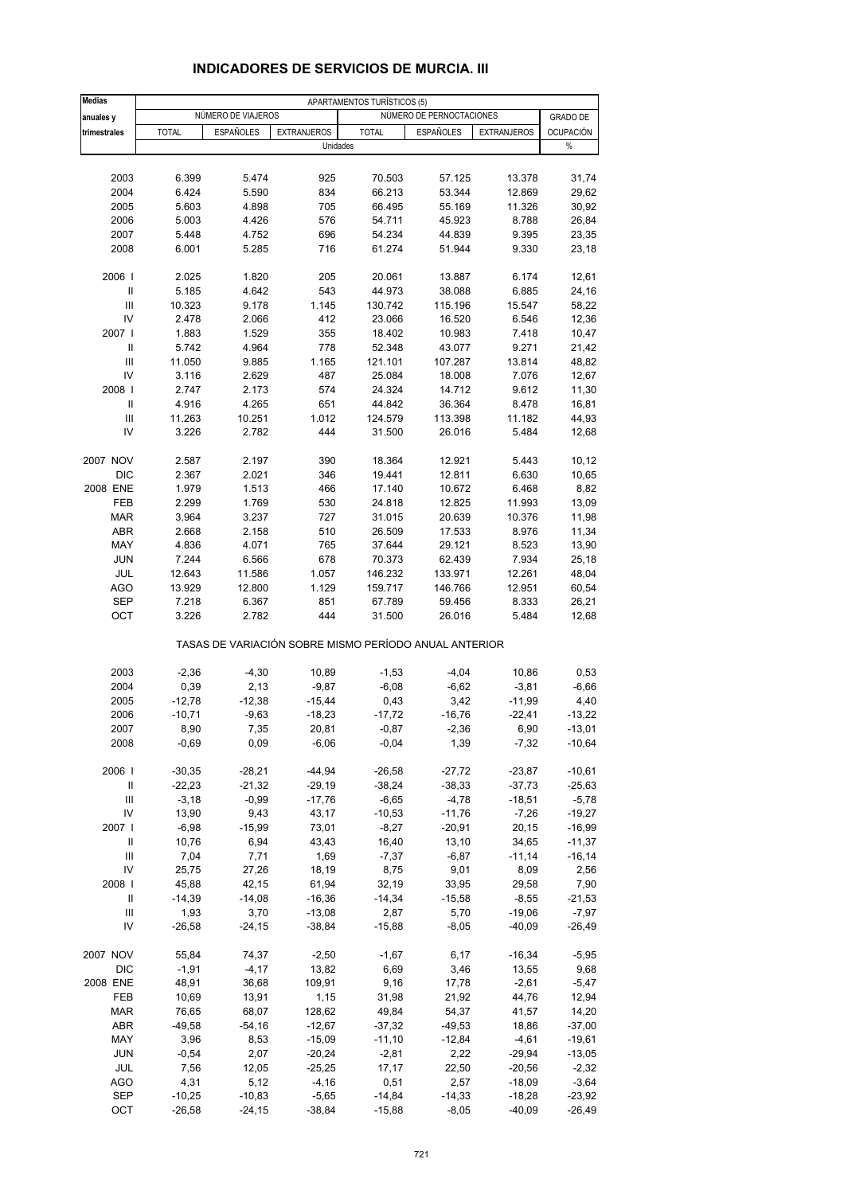| <b>Medias</b>              |              |                    |                                                       | APARTAMENTOS TURÍSTICOS (5) |                          |                    |                  |
|----------------------------|--------------|--------------------|-------------------------------------------------------|-----------------------------|--------------------------|--------------------|------------------|
| anuales y                  |              | NUMERO DE VIAJEROS |                                                       |                             | NÚMERO DE PERNOCTACIONES |                    | <b>GRADO DE</b>  |
| trimestrales               | <b>TOTAL</b> | <b>ESPAÑOLES</b>   | <b>EXTRANJEROS</b>                                    | <b>TOTAL</b>                | <b>ESPAÑOLES</b>         | <b>EXTRANJEROS</b> | <b>OCUPACIÓN</b> |
|                            |              |                    | Unidades                                              |                             |                          |                    | $\%$             |
|                            |              |                    |                                                       |                             |                          |                    |                  |
| 2003                       | 6.399        | 5.474              | 925                                                   | 70.503                      | 57.125                   | 13.378             | 31,74            |
| 2004                       | 6.424        | 5.590              | 834                                                   | 66.213                      | 53.344                   | 12.869             | 29,62            |
| 2005                       | 5.603        | 4.898              | 705                                                   | 66.495                      | 55.169                   | 11.326             | 30,92            |
| 2006                       | 5.003        | 4.426              | 576                                                   | 54.711                      | 45.923                   | 8.788              | 26,84            |
| 2007                       | 5.448        | 4.752              | 696                                                   | 54.234                      | 44.839                   | 9.395              | 23,35            |
| 2008                       | 6.001        | 5.285              | 716                                                   | 61.274                      | 51.944                   | 9.330              | 23,18            |
| 2006                       | 2.025        | 1.820              | 205                                                   | 20.061                      | 13.887                   | 6.174              | 12,61            |
| Ш                          | 5.185        | 4.642              | 543                                                   | 44.973                      | 38.088                   | 6.885              | 24,16            |
| Ш                          | 10.323       | 9.178              | 1.145                                                 | 130.742                     | 115.196                  | 15.547             | 58,22            |
| IV                         | 2.478        | 2.066              | 412                                                   | 23.066                      | 16.520                   | 6.546              | 12,36            |
| 2007 l                     | 1.883        | 1.529              | 355                                                   | 18.402                      | 10.983                   | 7.418              | 10,47            |
| $\mathbf{II}$              | 5.742        | 4.964              | 778                                                   | 52.348                      | 43.077                   | 9.271              | 21,42            |
| Ш                          | 11.050       | 9.885              | 1.165                                                 | 121.101                     | 107.287                  | 13.814             | 48,82            |
| IV                         | 3.116        | 2.629              | 487                                                   | 25.084                      | 18.008                   | 7.076              | 12,67            |
| 2008                       | 2.747        | 2.173              | 574                                                   | 24.324                      | 14.712                   | 9.612              | 11,30            |
| $\ensuremath{\mathsf{II}}$ | 4.916        | 4.265              | 651                                                   | 44.842                      | 36.364                   | 8.478              | 16,81            |
| III                        | 11.263       | 10.251             | 1.012                                                 | 124.579                     | 113.398                  | 11.182             | 44,93            |
| IV                         | 3.226        | 2.782              | 444                                                   | 31.500                      | 26.016                   | 5.484              | 12,68            |
| 2007 NOV                   | 2.587        | 2.197              | 390                                                   | 18.364                      | 12.921                   | 5.443              | 10, 12           |
| <b>DIC</b>                 | 2.367        | 2.021              | 346                                                   | 19.441                      | 12.811                   | 6.630              | 10,65            |
| 2008 ENE                   | 1.979        | 1.513              | 466                                                   | 17.140                      | 10.672                   | 6.468              | 8,82             |
| FEB                        | 2.299        | 1.769              | 530                                                   | 24.818                      | 12.825                   | 11.993             | 13,09            |
| <b>MAR</b>                 | 3.964        | 3.237              | 727                                                   | 31.015                      | 20.639                   | 10.376             | 11,98            |
| <b>ABR</b>                 | 2.668        | 2.158              | 510                                                   | 26.509                      | 17.533                   | 8.976              | 11,34            |
| MAY                        | 4.836        | 4.071              | 765                                                   | 37.644                      | 29.121                   | 8.523              | 13,90            |
| <b>JUN</b>                 | 7.244        | 6.566              | 678                                                   | 70.373                      | 62.439                   | 7.934              | 25,18            |
| JUL                        | 12.643       | 11.586             | 1.057                                                 | 146.232                     | 133.971                  | 12.261             | 48,04            |
| <b>AGO</b>                 | 13.929       | 12.800             | 1.129                                                 | 159.717                     | 146.766                  | 12.951             | 60,54            |
| SEP                        | 7.218        | 6.367              | 851                                                   | 67.789                      | 59.456                   | 8.333              | 26,21            |
| OCT                        | 3.226        | 2.782              | 444                                                   | 31.500                      | 26.016                   | 5.484              | 12,68            |
|                            |              |                    | TASAS DE VARIACIÓN SOBRE MISMO PERÍODO ANUAL ANTERIOR |                             |                          |                    |                  |
| 2003                       | $-2,36$      | $-4,30$            | 10,89                                                 | $-1,53$                     | $-4,04$                  | 10,86              | 0,53             |
| 2004                       | 0,39         | 2,13               | $-9,87$                                               | $-6,08$                     | $-6,62$                  | $-3,81$            | $-6,66$          |
| 2005                       | $-12,78$     | $-12,38$           | $-15,44$                                              | 0,43                        | 3,42                     | $-11,99$           | 4,40             |
| 2006                       | $-10,71$     | $-9,63$            | $-18,23$                                              | $-17,72$                    | $-16,76$                 | $-22,41$           | $-13,22$         |
| 2007                       | 8,90         | 7,35               | 20,81                                                 | $-0,87$                     | $-2,36$                  | 6,90               | -13,01           |
| 2008                       | $-0,69$      | 0,09               | $-6,06$                                               | $-0,04$                     | 1,39                     | $-7,32$            | $-10,64$         |
| 2006                       | $-30,35$     | $-28,21$           | $-44,94$                                              | $-26,58$                    | $-27,72$                 | $-23,87$           | $-10,61$         |
| $\ensuremath{\mathsf{II}}$ | $-22,23$     | $-21,32$           | $-29,19$                                              | $-38,24$                    | $-38,33$                 | $-37,73$           | $-25,63$         |
| $\mathsf{III}$             | $-3,18$      | $-0,99$            | $-17,76$                                              | $-6,65$                     | $-4,78$                  | $-18,51$           | $-5,78$          |
| IV                         | 13,90        | 9,43               | 43,17                                                 | $-10,53$                    | $-11,76$                 | $-7,26$            | $-19,27$         |
| 2007                       | $-6,98$      | $-15,99$           | 73,01                                                 | $-8,27$                     | $-20,91$                 | 20,15              | $-16,99$         |
| Ш                          | 10,76        | 6,94               | 43,43                                                 | 16,40                       | 13,10                    | 34,65              | $-11,37$         |
| Ш                          | 7,04         | 7,71               | 1,69                                                  | $-7,37$                     | $-6,87$                  | $-11,14$           | $-16,14$         |
| IV                         | 25,75        | 27,26              | 18,19                                                 | 8,75                        | 9,01                     | 8,09               | 2,56             |
| 2008                       | 45,88        | 42,15              | 61,94                                                 | 32,19                       | 33,95                    | 29,58              | 7,90             |
| Ш                          | $-14,39$     | $-14,08$           | $-16,36$                                              | $-14,34$                    | $-15,58$                 | $-8,55$            | $-21,53$         |
| Ш                          | 1,93         | 3,70               | $-13,08$                                              | 2,87                        | 5,70                     | $-19,06$           | $-7,97$          |
| IV                         | $-26,58$     | $-24,15$           | $-38,84$                                              | $-15,88$                    | $-8,05$                  | $-40,09$           | $-26,49$         |
| 2007 NOV                   | 55,84        | 74,37              | $-2,50$                                               | $-1,67$                     | 6,17                     | $-16,34$           | $-5,95$          |
| DIC                        | $-1,91$      | $-4, 17$           | 13,82                                                 | 6,69                        | 3,46                     | 13,55              | 9,68             |
| 2008 ENE                   | 48,91        | 36,68              | 109,91                                                | 9,16                        | 17,78                    | $-2,61$            | $-5,47$          |
| FEB                        | 10,69        | 13,91              | 1,15                                                  | 31,98                       | 21,92                    | 44,76              | 12,94            |
| <b>MAR</b>                 | 76,65        | 68,07              | 128,62                                                | 49,84                       | 54,37                    | 41,57              | 14,20            |
| ABR                        | $-49,58$     | $-54,16$           | $-12,67$                                              | $-37,32$                    | $-49,53$                 | 18,86              | $-37,00$         |
| MAY                        | 3,96         | 8,53               | $-15,09$                                              | $-11,10$                    | $-12,84$                 | $-4,61$            | $-19,61$         |
| <b>JUN</b>                 | $-0,54$      | 2,07               | $-20,24$                                              | $-2,81$                     | 2,22                     | $-29,94$           | $-13,05$         |
| JUL                        | 7,56         | 12,05              | $-25,25$                                              | 17,17                       | 22,50                    | $-20,56$           | $-2,32$          |
| <b>AGO</b>                 | 4,31         | 5,12               | $-4,16$                                               | 0,51                        | 2,57                     | $-18,09$           | $-3,64$          |
| <b>SEP</b>                 | $-10,25$     | $-10,83$           | $-5,65$                                               | $-14,84$                    | $-14,33$                 | $-18,28$           | $-23,92$         |
| OCT                        | $-26,58$     | $-24,15$           | $-38,84$                                              | $-15,88$                    | $-8,05$                  | $-40,09$           | $-26,49$         |

### **INDICADORES DE SERVICIOS DE MURCIA. III**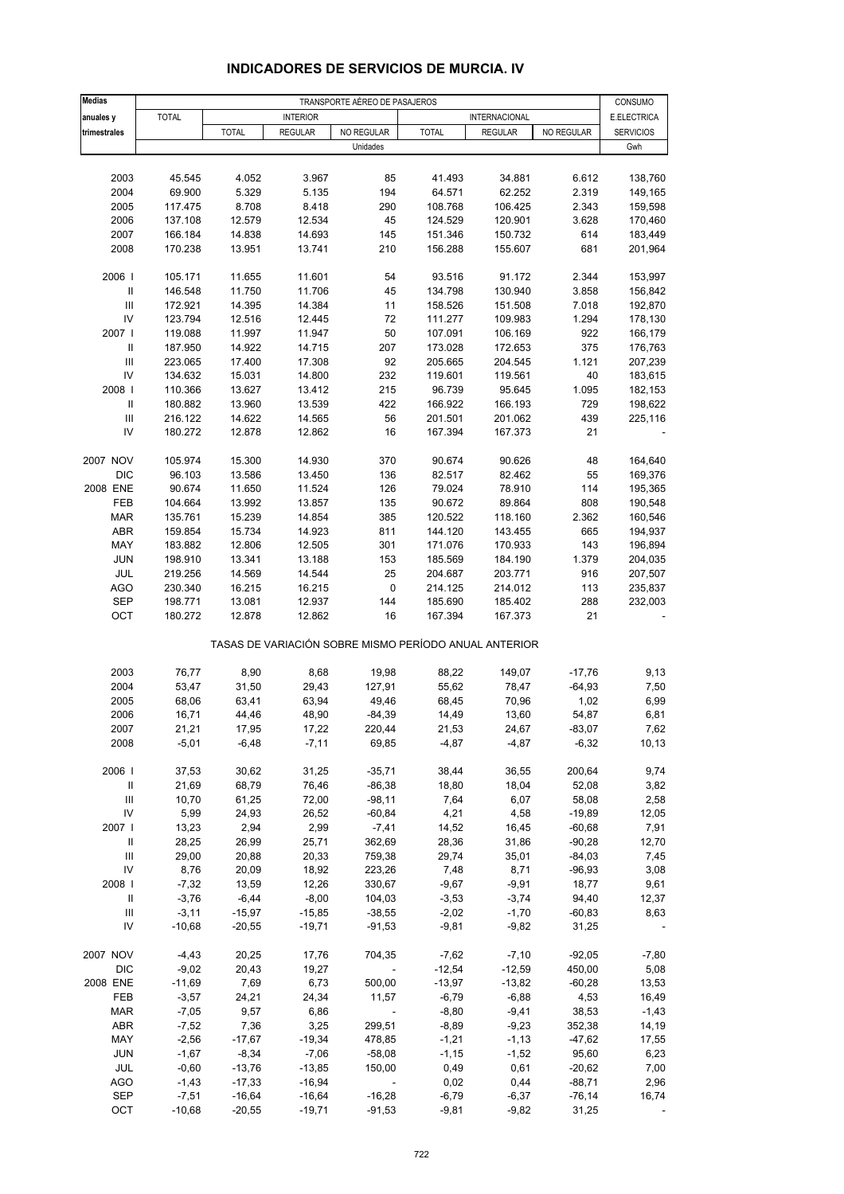| <b>Medias</b>                      | TRANSPORTE AÉREO DE PASAJEROS |                      |                      |                          |                                                       |                    |                      |                    |
|------------------------------------|-------------------------------|----------------------|----------------------|--------------------------|-------------------------------------------------------|--------------------|----------------------|--------------------|
| anuales y                          | <b>TOTAL</b>                  |                      | <b>INTERIOR</b>      |                          |                                                       | INTERNACIONAL      |                      | E.ELECTRICA        |
| trimestrales                       |                               | <b>TOTAL</b>         | <b>REGULAR</b>       | NO REGULAR               | <b>TOTAL</b>                                          | <b>REGULAR</b>     | NO REGULAR           | <b>SERVICIOS</b>   |
|                                    |                               |                      |                      | Unidades                 |                                                       |                    |                      | Gwh                |
|                                    |                               |                      |                      |                          |                                                       |                    |                      |                    |
| 2003                               | 45.545                        | 4.052                | 3.967                | 85                       | 41.493                                                | 34.881             | 6.612                | 138,760            |
| 2004                               | 69.900                        | 5.329                | 5.135                | 194                      | 64.571                                                | 62.252             | 2.319                | 149,165            |
| 2005                               | 117.475                       | 8.708                | 8.418                | 290                      | 108.768                                               | 106.425            | 2.343                | 159,598            |
| 2006                               | 137.108                       | 12.579               | 12.534               | 45                       | 124.529                                               | 120.901            | 3.628                | 170,460            |
| 2007<br>2008                       | 166.184<br>170.238            | 14.838<br>13.951     | 14.693<br>13.741     | 145<br>210               | 151.346<br>156.288                                    | 150.732<br>155.607 | 614<br>681           | 183,449<br>201,964 |
|                                    |                               |                      |                      |                          |                                                       |                    |                      |                    |
| 2006                               | 105.171                       | 11.655               | 11.601               | 54                       | 93.516                                                | 91.172             | 2.344                | 153,997            |
| $\mathbf{II}$                      | 146.548                       | 11.750               | 11.706               | 45                       | 134.798                                               | 130.940            | 3.858                | 156,842            |
| $\mathbf{III}$                     | 172.921                       | 14.395               | 14.384               | 11                       | 158.526                                               | 151.508            | 7.018                | 192,870            |
| IV                                 | 123.794                       | 12.516               | 12.445               | 72                       | 111.277                                               | 109.983            | 1.294                | 178,130            |
| 2007 l                             | 119.088                       | 11.997               | 11.947               | 50                       | 107.091                                               | 106.169            | 922                  | 166,179            |
| $\mathbf{II}$                      | 187.950                       | 14.922               | 14.715               | 207                      | 173.028                                               | 172.653            | 375                  | 176,763            |
| III                                | 223.065                       | 17.400               | 17.308               | 92                       | 205.665                                               | 204.545            | 1.121                | 207,239            |
| IV                                 | 134.632                       | 15.031               | 14.800               | 232                      | 119.601                                               | 119.561            | 40                   | 183,615            |
| 2008                               | 110.366                       | 13.627               | 13.412               | 215                      | 96.739                                                | 95.645             | 1.095                | 182,153            |
| Ш                                  | 180.882                       | 13.960               | 13.539               | 422                      | 166.922                                               | 166.193            | 729                  | 198,622            |
| $\mathbf{III}$<br>IV               | 216.122                       | 14.622               | 14.565               | 56<br>16                 | 201.501                                               | 201.062            | 439<br>21            | 225,116            |
|                                    | 180.272                       | 12.878               | 12.862               |                          | 167.394                                               | 167.373            |                      |                    |
| 2007 NOV                           | 105.974                       | 15.300               | 14.930               | 370                      | 90.674                                                | 90.626             | 48                   | 164,640            |
| <b>DIC</b>                         | 96.103                        | 13.586               | 13.450               | 136                      | 82.517                                                | 82.462             | 55                   | 169,376            |
| 2008 ENE                           | 90.674                        | 11.650               | 11.524               | 126                      | 79.024                                                | 78.910             | 114                  | 195,365            |
| FEB                                | 104.664                       | 13.992               | 13.857               | 135                      | 90.672                                                | 89.864             | 808                  | 190,548            |
| <b>MAR</b>                         | 135.761                       | 15.239               | 14.854               | 385                      | 120.522                                               | 118.160            | 2.362                | 160,546            |
| ABR                                | 159.854                       | 15.734               | 14.923               | 811                      | 144.120                                               | 143.455            | 665                  | 194,937            |
| MAY                                | 183.882                       | 12.806               | 12.505               | 301                      | 171.076                                               | 170.933            | 143                  | 196,894            |
| <b>JUN</b>                         | 198.910                       | 13.341               | 13.188               | 153                      | 185.569                                               | 184.190            | 1.379                | 204,035            |
| JUL                                | 219.256                       | 14.569               | 14.544               | 25                       | 204.687                                               | 203.771            | 916                  | 207,507            |
| <b>AGO</b>                         | 230.340                       | 16.215               | 16.215               | $\pmb{0}$                | 214.125                                               | 214.012            | 113                  | 235,837            |
| <b>SEP</b>                         | 198.771                       | 13.081               | 12.937               | 144                      | 185.690                                               | 185.402            | 288                  | 232,003            |
| OCT                                | 180.272                       | 12.878               | 12.862               | 16                       | 167.394                                               | 167.373            | 21                   |                    |
|                                    |                               |                      |                      |                          | TASAS DE VARIACIÓN SOBRE MISMO PERÍODO ANUAL ANTERIOR |                    |                      |                    |
|                                    |                               |                      |                      |                          |                                                       |                    |                      |                    |
| 2003<br>2004                       | 76,77<br>53,47                | 8,90<br>31,50        | 8,68<br>29,43        | 19,98<br>127,91          | 88,22<br>55,62                                        | 149,07<br>78,47    | $-17,76$<br>$-64,93$ | 9,13<br>7,50       |
| 2005                               | 68,06                         | 63,41                | 63,94                | 49,46                    | 68,45                                                 | 70,96              | 1,02                 | 6,99               |
| 2006                               | 16,71                         | 44,46                | 48,90                | $-84,39$                 | 14,49                                                 | 13,60              | 54,87                | 6,81               |
| 2007                               | 21,21                         | 17,95                | 17,22                | 220,44                   | 21,53                                                 | 24,67              | $-83,07$             | 7,62               |
| 2008                               | $-5,01$                       | $-6,48$              | $-7,11$              | 69,85                    | $-4,87$                                               | $-4,87$            | $-6,32$              | 10, 13             |
|                                    |                               |                      |                      |                          |                                                       |                    |                      |                    |
| 2006                               | 37,53                         | 30,62                | 31,25                | $-35,71$                 | 38,44                                                 | 36,55              | 200,64               | 9,74               |
| $\mathbf{II}$                      | 21,69                         | 68,79                | 76,46                | $-86,38$                 | 18,80                                                 | 18,04              | 52,08                | 3,82               |
| $\mathop{\mathsf{III}}\nolimits$   | 10,70                         | 61,25                | 72,00                | $-98,11$                 | 7,64                                                  | 6,07               | 58,08                | 2,58               |
| IV                                 | 5,99                          | 24,93                | 26,52                | $-60,84$                 | 4,21                                                  | 4,58               | $-19,89$             | 12,05              |
| 2007 l                             | 13,23                         | 2,94                 | 2,99                 | $-7,41$                  | 14,52                                                 | 16,45              | $-60,68$             | 7,91               |
| Ш                                  | 28,25                         | 26,99                | 25,71                | 362,69                   | 28,36                                                 | 31,86              | $-90,28$             | 12,70              |
| $\ensuremath{\mathsf{III}}\xspace$ | 29,00                         | 20,88                | 20,33                | 759,38                   | 29,74                                                 | 35,01              | $-84,03$             | 7,45               |
| IV<br>2008                         | 8,76                          | 20,09                | 18,92<br>12,26       | 223,26                   | 7,48                                                  | 8,71               | $-96,93$<br>18,77    | 3,08               |
| $\, \parallel$                     | $-7,32$<br>$-3,76$            | 13,59<br>$-6,44$     | $-8,00$              | 330,67<br>104,03         | $-9,67$<br>$-3,53$                                    | $-9,91$<br>$-3,74$ | 94,40                | 9,61<br>12,37      |
| $\ensuremath{\mathsf{III}}\xspace$ | $-3,11$                       | $-15,97$             | $-15,85$             | $-38,55$                 | $-2,02$                                               | $-1,70$            | $-60,83$             | 8,63               |
| IV                                 | $-10,68$                      | $-20,55$             | $-19,71$             | $-91,53$                 | $-9,81$                                               | $-9,82$            | 31,25                |                    |
|                                    |                               |                      |                      |                          |                                                       |                    |                      |                    |
| 2007 NOV                           | $-4,43$                       | 20,25                | 17,76                | 704,35                   | $-7,62$                                               | $-7,10$            | $-92,05$             | $-7,80$            |
| <b>DIC</b>                         | $-9,02$                       | 20,43                | 19,27                |                          | $-12,54$                                              | $-12,59$           | 450,00               | 5,08               |
| 2008 ENE                           | $-11,69$                      | 7,69                 | 6,73                 | 500,00                   | $-13,97$                                              | $-13,82$           | $-60,28$             | 13,53              |
| FEB                                | $-3,57$                       | 24,21                | 24,34                | 11,57                    | $-6,79$                                               | $-6,88$            | 4,53                 | 16,49              |
| <b>MAR</b>                         | $-7,05$                       | 9,57                 | 6,86                 |                          | $-8,80$                                               | $-9,41$            | 38,53                | $-1,43$            |
| ABR                                | $-7,52$                       | 7,36                 | 3,25                 | 299,51                   | $-8,89$                                               | $-9,23$            | 352,38               | 14,19              |
| MAY                                | $-2,56$                       | $-17,67$             | $-19,34$             | 478,85                   | $-1,21$                                               | $-1,13$            | $-47,62$             | 17,55              |
| <b>JUN</b>                         | $-1,67$                       | $-8,34$              | $-7,06$              | $-58,08$                 | $-1,15$                                               | $-1,52$            | 95,60                | 6,23               |
| JUL                                | $-0,60$                       | $-13,76$             | $-13,85$             | 150,00                   | 0,49                                                  | 0,61               | $-20,62$             | 7,00               |
| <b>AGO</b>                         | $-1,43$                       | $-17,33$             | $-16,94$             | $\overline{\phantom{a}}$ | 0,02                                                  | 0,44               | $-88,71$             | 2,96               |
| SEP<br>OCT                         | $-7,51$<br>$-10,68$           | $-16,64$<br>$-20,55$ | $-16,64$<br>$-19,71$ | $-16,28$<br>$-91,53$     | $-6,79$<br>$-9,81$                                    | $-6,37$<br>$-9,82$ | $-76,14$<br>31,25    | 16,74              |
|                                    |                               |                      |                      |                          |                                                       |                    |                      |                    |

## **INDICADORES DE SERVICIOS DE MURCIA. IV**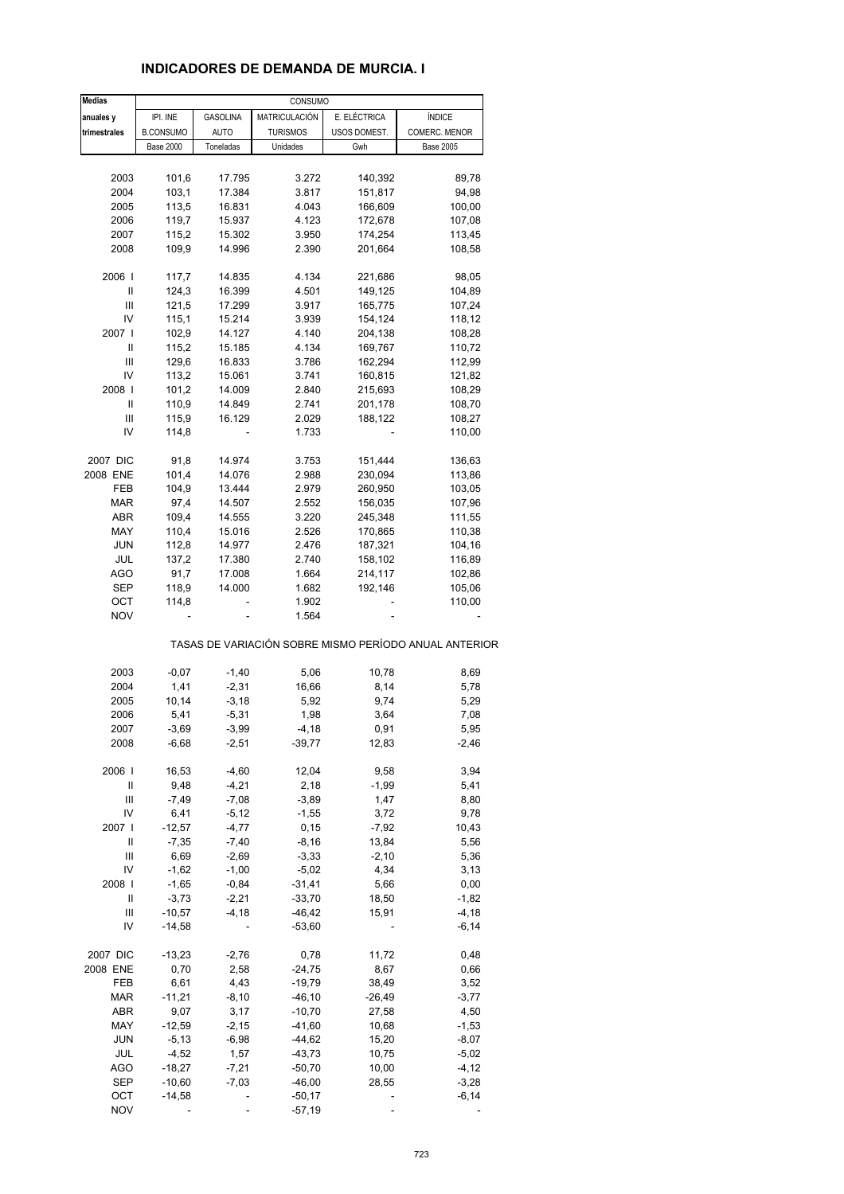| <b>Medias</b>                      |                  |                 | CONSUMO         |              |                                                       |
|------------------------------------|------------------|-----------------|-----------------|--------------|-------------------------------------------------------|
| anuales y                          | IPI. INE         | <b>GASOLINA</b> | MATRICULACIÓN   | E. ELÉCTRICA | <b>ÍNDICE</b>                                         |
| trimestrales                       | <b>B.CONSUMO</b> | AUTO            | <b>TURISMOS</b> | USOS DOMEST. | COMERC. MENOR                                         |
|                                    | <b>Base 2000</b> | Toneladas       | Unidades        | Gwh          | <b>Base 2005</b>                                      |
|                                    |                  |                 |                 |              |                                                       |
| 2003                               | 101,6            | 17.795          | 3.272           | 140,392      | 89,78                                                 |
|                                    |                  |                 |                 |              |                                                       |
| 2004                               | 103,1            | 17.384          | 3.817           | 151,817      | 94,98                                                 |
| 2005                               | 113,5            | 16.831          | 4.043           | 166,609      | 100,00                                                |
| 2006                               | 119,7            | 15.937          | 4.123           | 172,678      | 107,08                                                |
| 2007                               | 115,2            | 15.302          | 3.950           | 174,254      | 113,45                                                |
|                                    |                  |                 |                 |              |                                                       |
| 2008                               | 109,9            | 14.996          | 2.390           | 201,664      | 108,58                                                |
| 2006                               | 117,7            | 14.835          | 4.134           | 221,686      | 98,05                                                 |
| Ш                                  |                  |                 |                 |              |                                                       |
|                                    | 124,3            | 16.399          | 4.501           | 149,125      | 104,89                                                |
| $\ensuremath{\mathsf{III}}\xspace$ | 121,5            | 17.299          | 3.917           | 165,775      | 107,24                                                |
| IV                                 | 115,1            | 15.214          | 3.939           | 154,124      | 118,12                                                |
| 2007                               | 102,9            | 14.127          | 4.140           | 204,138      | 108,28                                                |
| Ш                                  | 115,2            | 15.185          | 4.134           | 169,767      | 110,72                                                |
|                                    |                  |                 |                 |              |                                                       |
| Ш                                  | 129,6            | 16.833          | 3.786           | 162,294      | 112,99                                                |
| IV                                 | 113,2            | 15.061          | 3.741           | 160,815      | 121,82                                                |
| 2008                               | 101,2            | 14.009          | 2.840           | 215,693      | 108,29                                                |
| Ш                                  | 110,9            | 14.849          | 2.741           | 201,178      | 108,70                                                |
|                                    |                  |                 |                 |              |                                                       |
| Ш                                  | 115,9            | 16.129          | 2.029           | 188,122      | 108,27                                                |
| IV                                 | 114,8            |                 | 1.733           |              | 110,00                                                |
|                                    |                  |                 |                 |              |                                                       |
| 2007 DIC                           | 91,8             | 14.974          | 3.753           | 151,444      | 136,63                                                |
| 2008 ENE                           | 101,4            | 14.076          | 2.988           | 230,094      | 113,86                                                |
| FEB                                | 104,9            | 13.444          | 2.979           | 260,950      | 103,05                                                |
| <b>MAR</b>                         | 97,4             | 14.507          | 2.552           | 156,035      | 107,96                                                |
|                                    |                  |                 |                 |              |                                                       |
| ABR                                | 109,4            | 14.555          | 3.220           | 245,348      | 111,55                                                |
| MAY                                | 110,4            | 15.016          | 2.526           | 170,865      | 110,38                                                |
| JUN                                | 112,8            | 14.977          | 2.476           | 187,321      | 104,16                                                |
| JUL                                | 137,2            | 17.380          | 2.740           | 158,102      | 116,89                                                |
|                                    |                  |                 |                 |              |                                                       |
| AGO                                | 91,7             | 17.008          | 1.664           | 214,117      | 102,86                                                |
| <b>SEP</b>                         | 118,9            | 14.000          | 1.682           | 192,146      | 105,06                                                |
| ост                                | 114,8            |                 | 1.902           |              | 110,00                                                |
| <b>NOV</b>                         |                  |                 | 1.564           |              |                                                       |
|                                    |                  |                 |                 |              | TASAS DE VARIACIÓN SOBRE MISMO PERÍODO ANUAL ANTERIOR |
|                                    |                  |                 |                 |              |                                                       |
| 2003                               | $-0,07$          | $-1,40$         | 5,06            | 10,78        | 8,69                                                  |
| 2004                               | 1,41             | $-2,31$         | 16,66           | 8,14         | 5,78                                                  |
| 2005                               | 10,14            | $-3,18$         | 5,92            | 9,74         | 5,29                                                  |
|                                    |                  |                 |                 |              |                                                       |
| 2006                               | 5,41             | $-5,31$         | 1,98            | 3,64         | 7,08                                                  |
| 2007                               | 3,69             | $-3,99$         | $-4,18$         | 0,91         | 5,95                                                  |
| 2008                               | $-6,68$          | $-2,51$         | -39,77          | 12,83        | $-2,46$                                               |
|                                    |                  |                 |                 |              |                                                       |
| 2006                               | 16,53            | $-4,60$         | 12,04           | 9,58         | 3,94                                                  |
| Ш                                  | 9,48             | $-4,21$         | 2,18            | $-1,99$      | 5,41                                                  |
| Ш                                  | $-7,49$          | $-7,08$         | $-3,89$         | 1,47         | 8,80                                                  |
| IV                                 | 6,41             | $-5,12$         | $-1,55$         | 3,72         | 9,78                                                  |
| 2007 l                             | $-12,57$         | $-4,77$         | 0, 15           | $-7,92$      | 10,43                                                 |
|                                    |                  |                 |                 |              |                                                       |
| $\ensuremath{\mathsf{II}}$         | $-7,35$          | $-7,40$         | $-8,16$         | 13,84        | 5,56                                                  |
| Ш                                  | 6,69             | $-2,69$         | $-3,33$         | $-2,10$      | 5,36                                                  |
| IV                                 | $-1,62$          | $-1,00$         | $-5,02$         | 4,34         | 3,13                                                  |
| 2008                               | $-1,65$          | $-0,84$         | $-31,41$        | 5,66         | 0,00                                                  |
| Ш                                  | $-3,73$          | $-2,21$         | $-33,70$        | 18,50        | $-1,82$                                               |
|                                    |                  |                 |                 |              |                                                       |
| Ш                                  | $-10,57$         | $-4,18$         | $-46,42$        | 15,91        | $-4,18$                                               |
| IV                                 | $-14,58$         |                 | $-53,60$        |              | $-6,14$                                               |
|                                    |                  |                 |                 |              |                                                       |
| 2007 DIC                           | $-13,23$         | $-2,76$         | 0,78            | 11,72        | 0,48                                                  |
| 2008 ENE                           | 0,70             | 2,58            | $-24,75$        | 8,67         | 0,66                                                  |
| FEB                                | 6,61             | 4,43            | $-19,79$        | 38,49        | 3,52                                                  |
| MAR                                | $-11,21$         | $-8,10$         | $-46, 10$       | $-26,49$     | $-3,77$                                               |
|                                    |                  |                 |                 |              |                                                       |
| ABR                                | 9,07             | 3,17            | $-10,70$        | 27,58        | 4,50                                                  |
| MAY                                | $-12,59$         | $-2,15$         | $-41,60$        | 10,68        | $-1,53$                                               |
| <b>JUN</b>                         | $-5,13$          | $-6,98$         | $-44,62$        | 15,20        | $-8,07$                                               |
| JUL                                | $-4,52$          | 1,57            | $-43,73$        | 10,75        |                                                       |
|                                    |                  |                 |                 |              | $-5,02$                                               |
| AGO                                | $-18,27$         | $-7,21$         | $-50,70$        | 10,00        | $-4, 12$                                              |
| <b>SEP</b>                         | $-10,60$         | $-7,03$         | $-46,00$        | 28,55        | $-3,28$                                               |
| OCT                                | $-14,58$         |                 | $-50,17$        |              | $-6, 14$                                              |

NOV - - -57,19 - -

### **INDICADORES DE DEMANDA DE MURCIA. I**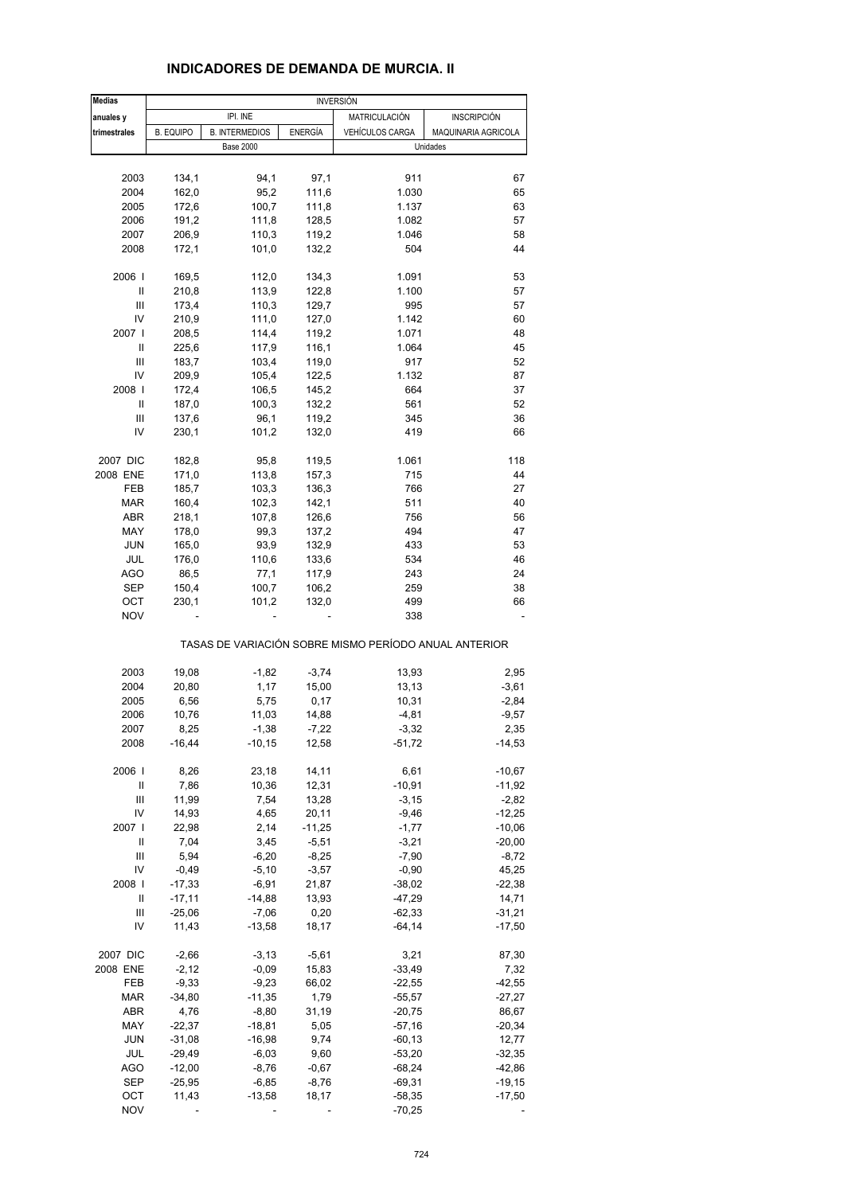| <b>Medias</b>  |                  |                       |          | <b>INVERSIÓN</b>                                      |                     |
|----------------|------------------|-----------------------|----------|-------------------------------------------------------|---------------------|
| anuales y      |                  | IPI. INE              |          | MATRICULACIÓN                                         | <b>INSCRIPCIÓN</b>  |
| trimestrales   | <b>B. EQUIPO</b> | <b>B. INTERMEDIOS</b> | ENERGÍA  | VEHÍCULOS CARGA                                       | MAQUINARIA AGRICOLA |
|                |                  | <b>Base 2000</b>      |          |                                                       | Unidades            |
|                |                  |                       |          |                                                       |                     |
| 2003           | 134,1            | 94,1                  | 97,1     | 911                                                   | 67                  |
|                |                  |                       |          |                                                       |                     |
| 2004           | 162,0            | 95,2                  | 111,6    | 1.030                                                 | 65                  |
| 2005           | 172,6            | 100,7                 | 111,8    | 1.137                                                 | 63                  |
| 2006           | 191,2            | 111,8                 | 128,5    | 1.082                                                 | 57                  |
| 2007           | 206,9            | 110,3                 | 119,2    | 1.046                                                 | 58                  |
| 2008           | 172,1            | 101,0                 | 132,2    | 504                                                   | 44                  |
| 2006           | 169,5            | 112,0                 | 134,3    | 1.091                                                 | 53                  |
| Ш              | 210,8            | 113,9                 | 122,8    | 1.100                                                 | 57                  |
| $\mathsf{III}$ | 173,4            |                       |          | 995                                                   | 57                  |
|                |                  | 110,3                 | 129,7    |                                                       |                     |
| IV             | 210,9            | 111,0                 | 127,0    | 1.142                                                 | 60                  |
| 2007 l         | 208,5            | 114,4                 | 119,2    | 1.071                                                 | 48                  |
| Ш              | 225,6            | 117,9                 | 116,1    | 1.064                                                 | 45                  |
| Ш              | 183,7            | 103,4                 | 119,0    | 917                                                   | 52                  |
| IV             | 209,9            | 105,4                 | 122,5    | 1.132                                                 | 87                  |
| 2008           | 172,4            | 106,5                 | 145,2    | 664                                                   | 37                  |
| Ш              | 187,0            | 100,3                 | 132,2    | 561                                                   | 52                  |
| Ш              |                  |                       |          |                                                       |                     |
|                | 137,6            | 96,1                  | 119,2    | 345                                                   | 36                  |
| IV             | 230,1            | 101,2                 | 132,0    | 419                                                   | 66                  |
| 2007 DIC       | 182,8            | 95,8                  | 119,5    | 1.061                                                 | 118                 |
| 2008 ENE       | 171,0            | 113,8                 | 157,3    | 715                                                   | 44                  |
| FEB            | 185,7            | 103,3                 | 136,3    | 766                                                   | 27                  |
| <b>MAR</b>     | 160,4            | 102,3                 | 142,1    | 511                                                   | 40                  |
| ABR            | 218,1            | 107,8                 | 126,6    | 756                                                   | 56                  |
|                |                  |                       |          |                                                       |                     |
| MAY            | 178,0            | 99,3                  | 137,2    | 494                                                   | 47                  |
| <b>JUN</b>     | 165,0            | 93,9                  | 132,9    | 433                                                   | 53                  |
| JUL            | 176,0            | 110,6                 | 133,6    | 534                                                   | 46                  |
| <b>AGO</b>     | 86,5             | 77,1                  | 117,9    | 243                                                   | 24                  |
| <b>SEP</b>     | 150,4            | 100,7                 | 106,2    | 259                                                   | 38                  |
| OCT            | 230,1            | 101,2                 | 132,0    | 499                                                   | 66                  |
| <b>NOV</b>     |                  |                       |          | 338                                                   |                     |
|                |                  |                       |          | TASAS DE VARIACIÓN SOBRE MISMO PERÍODO ANUAL ANTERIOR |                     |
|                |                  |                       |          |                                                       |                     |
| 2003           | 19,08            | $-1,82$               | $-3,74$  | 13,93                                                 | 2,95                |
| 2004           | 20,80            | 1,17                  | 15,00    | 13,13                                                 | $-3,61$             |
| 2005           | 6,56             | 5,75                  | 0,17     | 10,31                                                 | $-2,84$             |
| 2006           | 10,76            | 11,03                 | 14,88    | $-4,81$                                               | $-9,57$             |
| 2007           | 8,25             | $-1,38$               | $-7,22$  | $-3,32$                                               | 2,35                |
| 2008           | $-16,44$         | $-10, 15$             | 12,58    | $-51,72$                                              | $-14,53$            |
| 2006           | 8,26             | 23,18                 | 14,11    | 6,61                                                  | $-10,67$            |
|                |                  |                       |          |                                                       |                     |
| Ш              | 7,86             | 10,36                 | 12,31    | $-10,91$                                              | $-11,92$            |
| Ш              | 11,99            | 7,54                  | 13,28    | $-3,15$                                               | $-2,82$             |
| IV             | 14,93            | 4,65                  | 20,11    | $-9,46$                                               | $-12,25$            |
| 2007           | 22,98            | 2,14                  | $-11,25$ | $-1,77$                                               | $-10,06$            |
| Ш              | 7,04             | 3,45                  | $-5,51$  | $-3,21$                                               | $-20,00$            |
| $\mathsf{III}$ | 5,94             | $-6,20$               | $-8,25$  | $-7,90$                                               | $-8,72$             |
| IV             | $-0,49$          | $-5,10$               | $-3,57$  | $-0,90$                                               | 45,25               |
| 2008           | $-17,33$         | $-6,91$               | 21,87    | $-38,02$                                              | $-22,38$            |
|                |                  |                       |          |                                                       |                     |
| Ш              | $-17,11$         | $-14,88$              | 13,93    | $-47,29$                                              | 14,71               |
| Ш              | $-25,06$         | $-7,06$               | 0,20     | $-62,33$                                              | $-31,21$            |
| IV             | 11,43            | $-13,58$              | 18,17    | $-64,14$                                              | $-17,50$            |
| 2007 DIC       | $-2,66$          | $-3,13$               | $-5,61$  | 3,21                                                  | 87,30               |
| 2008 ENE       | $-2,12$          | $-0,09$               | 15,83    | $-33,49$                                              | 7,32                |
| FEB            | $-9,33$          | $-9,23$               | 66,02    | $-22,55$                                              | $-42,55$            |
| <b>MAR</b>     | $-34,80$         | $-11,35$              | 1,79     | $-55,57$                                              | $-27,27$            |
|                |                  |                       |          |                                                       |                     |
| ABR            | 4,76             | $-8,80$               | 31,19    | $-20,75$                                              | 86,67               |
| MAY            | $-22,37$         | $-18,81$              | 5,05     | $-57,16$                                              | $-20,34$            |
| <b>JUN</b>     | $-31,08$         | $-16,98$              | 9,74     | $-60, 13$                                             | 12,77               |
| JUL            | $-29,49$         | $-6,03$               | 9,60     | $-53,20$                                              | $-32,35$            |
| <b>AGO</b>     | $-12,00$         | $-8,76$               | $-0,67$  | $-68,24$                                              | $-42,86$            |
| <b>SEP</b>     | $-25,95$         | $-6,85$               | $-8,76$  | $-69,31$                                              | $-19,15$            |
|                |                  |                       |          |                                                       |                     |
| OCT            | 11,43            | $-13,58$              | 18,17    | $-58,35$                                              | $-17,50$            |
| <b>NOV</b>     |                  |                       |          | $-70,25$                                              |                     |

## **INDICADORES DE DEMANDA DE MURCIA. II**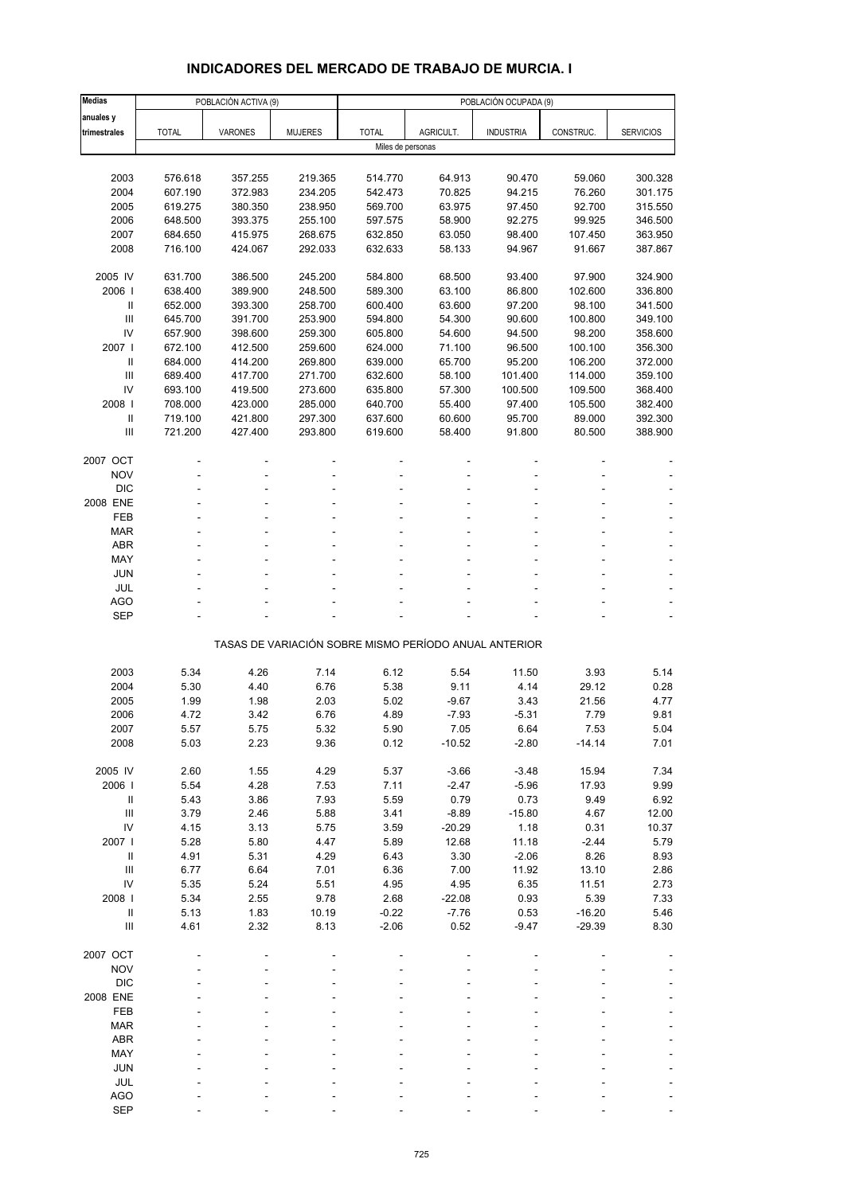# **INDICADORES DEL MERCADO DE TRABAJO DE MURCIA. I**

| <b>Medias</b>                    |              | POBLACIÓN ACTIVA (9) |                    |                   |                  | POBLACIÓN OCUPADA (9)                                 |                  |                  |
|----------------------------------|--------------|----------------------|--------------------|-------------------|------------------|-------------------------------------------------------|------------------|------------------|
| anuales y                        |              |                      |                    |                   |                  |                                                       |                  |                  |
| trimestrales                     | <b>TOTAL</b> | <b>VARONES</b>       | <b>MUJERES</b>     | <b>TOTAL</b>      | AGRICULT.        | <b>INDUSTRIA</b>                                      | CONSTRUC.        | <b>SERVICIOS</b> |
|                                  |              |                      |                    | Miles de personas |                  |                                                       |                  |                  |
|                                  |              |                      |                    |                   |                  |                                                       |                  |                  |
| 2003                             | 576.618      | 357.255              | 219.365            | 514.770           | 64.913           | 90.470                                                | 59.060           | 300.328          |
| 2004                             | 607.190      | 372.983              | 234.205            | 542.473           | 70.825           | 94.215                                                | 76.260           | 301.175          |
| 2005                             | 619.275      | 380.350              | 238.950            | 569.700           | 63.975           | 97.450                                                | 92.700           | 315.550          |
| 2006                             | 648.500      | 393.375              | 255.100            | 597.575           | 58.900           | 92.275                                                | 99.925           | 346.500          |
| 2007                             | 684.650      | 415.975              | 268.675<br>292.033 | 632.850           | 63.050           | 98.400                                                | 107.450          | 363.950          |
| 2008                             | 716.100      | 424.067              |                    | 632.633           | 58.133           | 94.967                                                | 91.667           | 387.867          |
| 2005 IV                          | 631.700      | 386.500              | 245.200            | 584.800           | 68.500           | 93.400                                                | 97.900           | 324.900          |
| 2006                             | 638.400      | 389.900              | 248.500            | 589.300           | 63.100           | 86.800                                                | 102.600          | 336.800          |
| Ш                                | 652.000      | 393.300              | 258.700            | 600.400           | 63.600           | 97.200                                                | 98.100           | 341.500          |
| III                              | 645.700      | 391.700              | 253.900            | 594.800           | 54.300           | 90.600                                                | 100.800          | 349.100          |
| IV                               | 657.900      | 398.600              | 259.300            | 605.800           | 54.600           | 94.500                                                | 98.200           | 358.600          |
| 2007 l                           | 672.100      | 412.500              | 259.600            | 624.000           | 71.100           | 96.500                                                | 100.100          | 356.300          |
| $\mathbf{II}$                    | 684.000      | 414.200              | 269.800            | 639.000           | 65.700           | 95.200                                                | 106.200          | 372.000          |
| III                              | 689.400      | 417.700              | 271.700            | 632.600           | 58.100           | 101.400                                               | 114.000          | 359.100          |
| IV                               | 693.100      | 419.500              | 273.600            | 635.800           | 57.300           | 100.500                                               | 109.500          | 368.400          |
| 2008                             | 708.000      | 423.000              | 285.000            | 640.700           | 55.400           | 97.400                                                | 105.500          | 382.400          |
| $\, \parallel$                   | 719.100      | 421.800              | 297.300            | 637.600           | 60.600           | 95.700                                                | 89.000           | 392.300          |
| Ш                                | 721.200      | 427.400              | 293.800            | 619.600           | 58.400           | 91.800                                                | 80.500           | 388.900          |
|                                  |              |                      |                    |                   |                  |                                                       |                  |                  |
| 2007 OCT<br><b>NOV</b>           |              |                      |                    |                   |                  |                                                       |                  |                  |
| <b>DIC</b>                       |              |                      |                    |                   |                  |                                                       |                  |                  |
| 2008 ENE                         |              |                      |                    |                   |                  |                                                       |                  |                  |
| FEB                              |              |                      |                    |                   |                  |                                                       |                  |                  |
| <b>MAR</b>                       |              |                      |                    |                   |                  |                                                       |                  |                  |
| <b>ABR</b>                       |              |                      |                    |                   |                  |                                                       |                  |                  |
| MAY                              |              |                      |                    |                   |                  |                                                       |                  |                  |
| <b>JUN</b>                       |              |                      |                    |                   |                  |                                                       |                  |                  |
| <b>JUL</b>                       |              |                      |                    |                   |                  |                                                       |                  |                  |
| <b>AGO</b>                       |              |                      |                    |                   |                  |                                                       |                  |                  |
| <b>SEP</b>                       |              |                      |                    |                   |                  |                                                       |                  |                  |
|                                  |              |                      |                    |                   |                  | TASAS DE VARIACIÓN SOBRE MISMO PERÍODO ANUAL ANTERIOR |                  |                  |
|                                  |              |                      |                    |                   |                  |                                                       |                  |                  |
| 2003                             | 5.34         | 4.26                 | 7.14               | 6.12              | 5.54             | 11.50                                                 | 3.93             | 5.14             |
| 2004                             | 5.30         | 4.40                 | 6.76               | 5.38              | 9.11             | 4.14                                                  | 29.12            | 0.28             |
| 2005                             | 1.99         | 1.98                 | 2.03               | 5.02              | $-9.67$          | 3.43                                                  | 21.56            | 4.77             |
| 2006<br>2007                     | 4.72         | 3.42                 | 6.76               | 4.89              | $-7.93$          | $-5.31$                                               | 7.79             | 9.81             |
| 2008                             | 5.57<br>5.03 | 5.75<br>2.23         | 5.32<br>9.36       | 5.90<br>0.12      | 7.05<br>$-10.52$ | 6.64<br>$-2.80$                                       | 7.53<br>$-14.14$ | 5.04<br>7.01     |
|                                  |              |                      |                    |                   |                  |                                                       |                  |                  |
| 2005 IV                          | 2.60         | 1.55                 | 4.29               | 5.37              | $-3.66$          | $-3.48$                                               | 15.94            | 7.34             |
| 2006                             | 5.54         | 4.28                 | 7.53               | 7.11              | $-2.47$          | $-5.96$                                               | 17.93            | 9.99             |
| $\, \parallel$                   | 5.43         | 3.86                 | 7.93               | 5.59              | 0.79             | 0.73                                                  | 9.49             | 6.92             |
| Ш                                | 3.79         | 2.46                 | 5.88               | 3.41              | $-8.89$          | $-15.80$                                              | 4.67             | 12.00            |
| IV                               | 4.15         | 3.13                 | 5.75               | 3.59              | $-20.29$         | 1.18                                                  | 0.31             | 10.37            |
| 2007                             | 5.28         | 5.80                 | 4.47               | 5.89              | 12.68            | 11.18                                                 | $-2.44$          | 5.79             |
| $\, \parallel$                   | 4.91         | 5.31                 | 4.29               | 6.43              | 3.30             | $-2.06$                                               | 8.26             | 8.93             |
| $\mathop{\mathrm{III}}\nolimits$ | 6.77         | 6.64                 | 7.01               | 6.36              | 7.00             | 11.92                                                 | 13.10            | 2.86             |
| IV                               | 5.35         | 5.24                 | 5.51               | 4.95              | 4.95             | 6.35                                                  | 11.51            | 2.73             |
| 2008                             | 5.34         | 2.55                 | 9.78               | 2.68              | $-22.08$         | 0.93                                                  | 5.39             | 7.33             |
| $\, \parallel$<br>Ш              | 5.13         | 1.83                 | 10.19<br>8.13      | $-0.22$           | $-7.76$          | 0.53                                                  | $-16.20$         | 5.46             |
|                                  | 4.61         | 2.32                 |                    | $-2.06$           | 0.52             | $-9.47$                                               | $-29.39$         | 8.30             |
| 2007 OCT                         |              |                      |                    |                   |                  |                                                       |                  |                  |
| <b>NOV</b>                       |              |                      |                    |                   |                  |                                                       |                  |                  |
| <b>DIC</b>                       |              |                      |                    |                   |                  |                                                       |                  |                  |
| 2008 ENE                         |              |                      |                    |                   |                  |                                                       |                  |                  |
| FEB                              |              |                      |                    |                   |                  |                                                       |                  |                  |
| <b>MAR</b>                       |              |                      |                    |                   |                  |                                                       |                  |                  |
| <b>ABR</b>                       |              |                      |                    |                   |                  |                                                       |                  |                  |
| MAY                              |              |                      |                    |                   |                  |                                                       |                  |                  |
| <b>JUN</b>                       |              |                      |                    |                   |                  |                                                       |                  |                  |
| JUL                              |              |                      |                    |                   |                  |                                                       |                  |                  |
| <b>AGO</b>                       |              |                      |                    |                   |                  |                                                       |                  |                  |
| <b>SEP</b>                       |              |                      |                    |                   |                  |                                                       |                  |                  |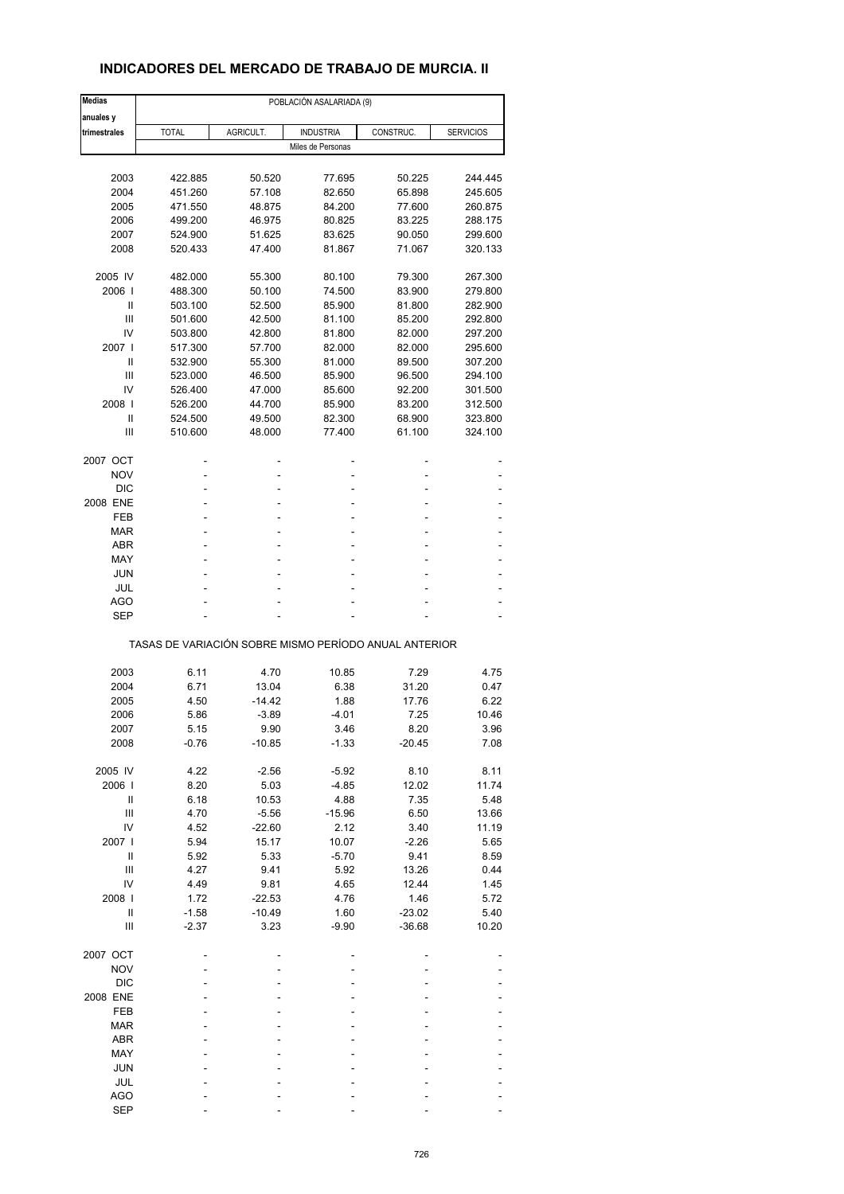## **INDICADORES DEL MERCADO DE TRABAJO DE MURCIA. II**

| <b>Medias</b>          | POBLACIÓN ASALARIADA (9) |           |                                                       |           |                  |  |  |  |  |
|------------------------|--------------------------|-----------|-------------------------------------------------------|-----------|------------------|--|--|--|--|
| anuales y              |                          |           |                                                       |           |                  |  |  |  |  |
| trimestrales           | <b>TOTAL</b>             | AGRICULT. | <b>INDUSTRIA</b>                                      | CONSTRUC. | <b>SERVICIOS</b> |  |  |  |  |
|                        |                          |           | Miles de Personas                                     |           |                  |  |  |  |  |
|                        |                          |           |                                                       |           |                  |  |  |  |  |
| 2003                   | 422.885                  | 50.520    | 77.695                                                | 50.225    | 244.445          |  |  |  |  |
| 2004                   | 451.260                  | 57.108    | 82.650                                                | 65.898    | 245.605          |  |  |  |  |
| 2005                   | 471.550                  | 48.875    | 84.200                                                | 77.600    | 260.875          |  |  |  |  |
| 2006                   | 499.200                  | 46.975    | 80.825                                                | 83.225    | 288.175          |  |  |  |  |
| 2007                   | 524.900                  | 51.625    | 83.625                                                | 90.050    | 299.600          |  |  |  |  |
| 2008                   |                          |           |                                                       | 71.067    |                  |  |  |  |  |
|                        | 520.433                  | 47.400    | 81.867                                                |           | 320.133          |  |  |  |  |
| 2005 IV                | 482.000                  | 55.300    | 80.100                                                | 79.300    | 267.300          |  |  |  |  |
| 2006                   | 488.300                  | 50.100    | 74.500                                                | 83.900    | 279.800          |  |  |  |  |
| Ш                      | 503.100                  | 52.500    | 85.900                                                | 81.800    | 282.900          |  |  |  |  |
| Ш                      | 501.600                  | 42.500    | 81.100                                                | 85.200    | 292.800          |  |  |  |  |
| IV                     | 503.800                  | 42.800    | 81.800                                                | 82.000    | 297.200          |  |  |  |  |
| 2007 l                 | 517.300                  | 57.700    | 82.000                                                | 82.000    | 295.600          |  |  |  |  |
|                        |                          |           |                                                       |           |                  |  |  |  |  |
| Ш                      | 532.900                  | 55.300    | 81.000                                                | 89.500    | 307.200          |  |  |  |  |
| Ш                      | 523.000                  | 46.500    | 85.900                                                | 96.500    | 294.100          |  |  |  |  |
| IV                     | 526.400                  | 47.000    | 85.600                                                | 92.200    | 301.500          |  |  |  |  |
| 2008                   | 526.200                  | 44.700    | 85.900                                                | 83.200    | 312.500          |  |  |  |  |
| Ш                      | 524.500                  | 49.500    | 82.300                                                | 68.900    | 323.800          |  |  |  |  |
| Ш                      | 510.600                  | 48.000    | 77.400                                                | 61.100    | 324.100          |  |  |  |  |
|                        |                          |           |                                                       |           |                  |  |  |  |  |
| 2007 OCT<br><b>NOV</b> |                          | ۰         | $\overline{a}$<br>٠                                   |           |                  |  |  |  |  |
|                        |                          |           |                                                       |           |                  |  |  |  |  |
| <b>DIC</b>             |                          |           |                                                       |           |                  |  |  |  |  |
| 2008 ENE               |                          | ٠         | ٠                                                     |           |                  |  |  |  |  |
| FEB                    |                          |           | ٠                                                     |           |                  |  |  |  |  |
| MAR                    | ä,                       |           | ٠                                                     |           |                  |  |  |  |  |
| <b>ABR</b>             |                          | ٠         | ۰                                                     |           |                  |  |  |  |  |
| MAY                    |                          |           | ٠                                                     |           |                  |  |  |  |  |
| <b>JUN</b>             |                          |           | ٠                                                     |           |                  |  |  |  |  |
| JUL                    |                          |           | ۰                                                     |           |                  |  |  |  |  |
| AGO                    |                          |           |                                                       |           |                  |  |  |  |  |
| <b>SEP</b>             |                          |           | ÷.                                                    |           |                  |  |  |  |  |
|                        |                          |           | TASAS DE VARIACIÓN SOBRE MISMO PERÍODO ANUAL ANTERIOR |           |                  |  |  |  |  |
|                        |                          |           |                                                       |           |                  |  |  |  |  |
| 2003                   | 6.11                     | 4.70      | 10.85                                                 | 7.29      | 4.75             |  |  |  |  |
| 2004                   | 6.71                     | 13.04     | 6.38                                                  | 31.20     | 0.47             |  |  |  |  |
| 2005                   | 4.50                     | $-14.42$  | 1.88                                                  | 17.76     | 6.22             |  |  |  |  |
| 2006                   | 5.86                     | $-3.89$   | $-4.01$                                               | 7.25      | 10.46            |  |  |  |  |
| 2007                   | 5.15                     | 9.90      | 3.46                                                  | 8.20      | 3.96             |  |  |  |  |
| 2008                   | $-0.76$                  | $-10.85$  | $-1.33$                                               | $-20.45$  | 7.08             |  |  |  |  |
|                        |                          |           |                                                       |           |                  |  |  |  |  |
| 2005 IV                | 4.22                     | $-2.56$   | $-5.92$                                               | 8.10      | 8.11             |  |  |  |  |
| 2006                   | 8.20                     | 5.03      | $-4.85$                                               | 12.02     | 11.74            |  |  |  |  |
| Ш                      | 6.18                     | 10.53     | 4.88                                                  | 7.35      | 5.48             |  |  |  |  |
| Ш                      | 4.70                     | $-5.56$   | $-15.96$                                              | 6.50      | 13.66            |  |  |  |  |
| IV                     | 4.52                     | $-22.60$  | 2.12                                                  | 3.40      | 11.19            |  |  |  |  |
| 2007 l                 | 5.94                     | 15.17     | 10.07                                                 | $-2.26$   | 5.65             |  |  |  |  |
| $\sf II$               | 5.92                     | 5.33      | $-5.70$                                               | 9.41      | 8.59             |  |  |  |  |
| $\mathbf{III}$         | 4.27                     | 9.41      | 5.92                                                  | 13.26     | 0.44             |  |  |  |  |
|                        |                          |           |                                                       |           |                  |  |  |  |  |
| IV                     | 4.49                     | 9.81      | 4.65                                                  | 12.44     | 1.45             |  |  |  |  |
| 2008                   | 1.72                     | $-22.53$  | 4.76                                                  | 1.46      | 5.72             |  |  |  |  |
| $\sf II$               | $-1.58$                  | $-10.49$  | 1.60                                                  | $-23.02$  | 5.40             |  |  |  |  |
| Ш                      | $-2.37$                  | 3.23      | $-9.90$                                               | $-36.68$  | 10.20            |  |  |  |  |
| 2007 OCT               |                          |           |                                                       |           |                  |  |  |  |  |
| <b>NOV</b>             |                          |           |                                                       |           |                  |  |  |  |  |
|                        |                          |           |                                                       |           |                  |  |  |  |  |
| <b>DIC</b>             |                          |           |                                                       |           |                  |  |  |  |  |
| 2008 ENE               |                          |           |                                                       |           |                  |  |  |  |  |
| FEB                    |                          |           |                                                       |           |                  |  |  |  |  |
| <b>MAR</b>             |                          |           |                                                       |           |                  |  |  |  |  |
| <b>ABR</b>             |                          |           |                                                       |           |                  |  |  |  |  |
| MAY                    |                          |           |                                                       |           |                  |  |  |  |  |
| <b>JUN</b>             |                          |           |                                                       |           |                  |  |  |  |  |
| JUL                    |                          |           |                                                       |           |                  |  |  |  |  |
| <b>AGO</b>             |                          |           |                                                       |           |                  |  |  |  |  |
| <b>SEP</b>             |                          |           |                                                       |           |                  |  |  |  |  |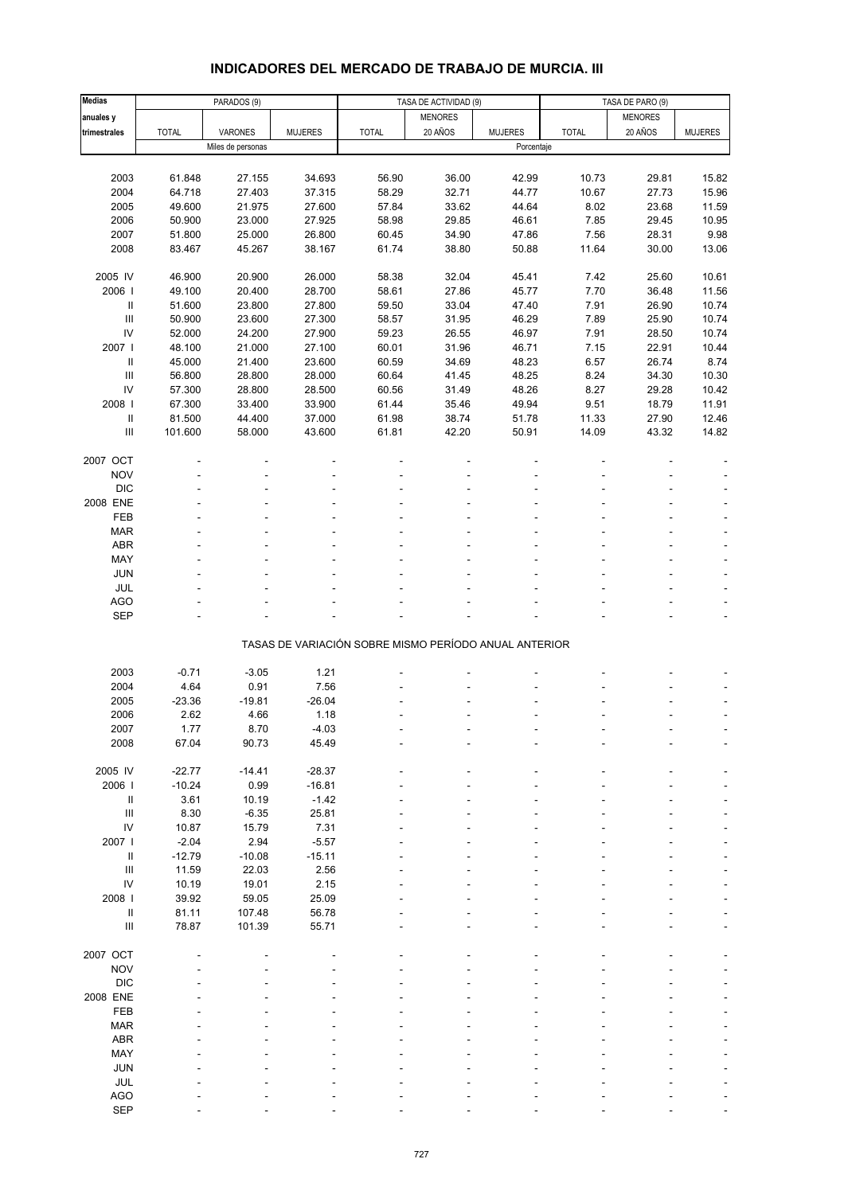# **INDICADORES DEL MERCADO DE TRABAJO DE MURCIA. III**

| <b>Medias</b>                           |              | PARADOS (9)       |                |                                                       | TASA DE ACTIVIDAD (9) |                |              | TASA DE PARO (9) |                |  |
|-----------------------------------------|--------------|-------------------|----------------|-------------------------------------------------------|-----------------------|----------------|--------------|------------------|----------------|--|
| anuales y                               |              |                   |                |                                                       | <b>MENORES</b>        |                |              | <b>MENORES</b>   |                |  |
| trimestrales                            | <b>TOTAL</b> | VARONES           | <b>MUJERES</b> | <b>TOTAL</b>                                          | 20 AÑOS               | <b>MUJERES</b> | <b>TOTAL</b> | 20 AÑOS          | <b>MUJERES</b> |  |
|                                         |              | Miles de personas |                |                                                       |                       | Porcentaje     |              |                  |                |  |
|                                         |              |                   |                |                                                       |                       |                |              |                  |                |  |
|                                         |              |                   |                |                                                       |                       |                |              |                  |                |  |
| 2003                                    | 61.848       | 27.155            | 34.693         | 56.90                                                 | 36.00                 | 42.99          | 10.73        | 29.81            | 15.82          |  |
| 2004                                    | 64.718       | 27.403            | 37.315         | 58.29                                                 | 32.71                 | 44.77          | 10.67        | 27.73            | 15.96          |  |
| 2005                                    | 49.600       | 21.975            | 27.600         | 57.84                                                 | 33.62                 | 44.64          | 8.02         | 23.68            | 11.59          |  |
| 2006                                    | 50.900       | 23.000            | 27.925         | 58.98                                                 | 29.85                 | 46.61          | 7.85         | 29.45            | 10.95          |  |
| 2007                                    | 51.800       | 25.000            | 26.800         | 60.45                                                 | 34.90                 | 47.86          | 7.56         | 28.31            | 9.98           |  |
| 2008                                    | 83.467       | 45.267            | 38.167         | 61.74                                                 | 38.80                 | 50.88          | 11.64        | 30.00            | 13.06          |  |
|                                         |              |                   |                |                                                       |                       |                |              |                  |                |  |
| 2005 IV                                 | 46.900       | 20.900            | 26.000         | 58.38                                                 | 32.04                 | 45.41          | 7.42         | 25.60            | 10.61          |  |
| 2006                                    | 49.100       | 20.400            | 28.700         | 58.61                                                 | 27.86                 | 45.77          | 7.70         | 36.48            | 11.56          |  |
| Ш                                       | 51.600       | 23.800            | 27.800         | 59.50                                                 | 33.04                 | 47.40          | 7.91         | 26.90            | 10.74          |  |
| $\ensuremath{\mathsf{III}}\xspace$      | 50.900       | 23.600            | 27.300         | 58.57                                                 | 31.95                 | 46.29          | 7.89         | 25.90            | 10.74          |  |
| ${\sf IV}$                              | 52.000       | 24.200            | 27.900         | 59.23                                                 | 26.55                 | 46.97          | 7.91         | 28.50            | 10.74          |  |
| 2007 l                                  | 48.100       | 21.000            | 27.100         | 60.01                                                 | 31.96                 | 46.71          | 7.15         | 22.91            | 10.44          |  |
| Ш                                       | 45.000       | 21.400            | 23.600         | 60.59                                                 | 34.69                 | 48.23          | 6.57         | 26.74            | 8.74           |  |
| $\ensuremath{\mathsf{III}}\xspace$      | 56.800       | 28.800            |                | 60.64                                                 | 41.45                 |                | 8.24         | 34.30            |                |  |
|                                         |              |                   | 28.000         |                                                       |                       | 48.25          |              |                  | 10.30          |  |
| IV                                      | 57.300       | 28.800            | 28.500         | 60.56                                                 | 31.49                 | 48.26          | 8.27         | 29.28            | 10.42          |  |
| 2008                                    | 67.300       | 33.400            | 33.900         | 61.44                                                 | 35.46                 | 49.94          | 9.51         | 18.79            | 11.91          |  |
| Ш                                       | 81.500       | 44.400            | 37.000         | 61.98                                                 | 38.74                 | 51.78          | 11.33        | 27.90            | 12.46          |  |
| $\ensuremath{\mathsf{III}}\xspace$      | 101.600      | 58.000            | 43.600         | 61.81                                                 | 42.20                 | 50.91          | 14.09        | 43.32            | 14.82          |  |
|                                         |              |                   |                |                                                       |                       |                |              |                  |                |  |
| 2007 OCT                                |              |                   |                |                                                       |                       |                |              |                  |                |  |
| <b>NOV</b>                              |              |                   |                |                                                       |                       |                |              |                  |                |  |
| DIC                                     |              |                   |                |                                                       |                       |                |              |                  |                |  |
| 2008 ENE                                |              |                   |                |                                                       |                       |                |              |                  |                |  |
| FEB                                     |              |                   |                |                                                       |                       |                |              |                  |                |  |
| <b>MAR</b>                              |              |                   |                |                                                       |                       |                |              |                  |                |  |
| ABR                                     |              |                   |                |                                                       |                       |                |              |                  |                |  |
|                                         |              |                   |                |                                                       |                       |                |              |                  |                |  |
| MAY                                     |              |                   |                |                                                       |                       |                |              |                  |                |  |
| JUN                                     |              |                   |                |                                                       |                       |                |              |                  |                |  |
| JUL                                     |              |                   |                |                                                       |                       |                |              |                  |                |  |
| AGO                                     |              |                   |                |                                                       |                       |                |              |                  |                |  |
| <b>SEP</b>                              |              |                   |                |                                                       |                       |                |              |                  | $\blacksquare$ |  |
|                                         |              |                   |                |                                                       |                       |                |              |                  |                |  |
|                                         |              |                   |                | TASAS DE VARIACIÓN SOBRE MISMO PERÍODO ANUAL ANTERIOR |                       |                |              |                  |                |  |
|                                         |              |                   |                |                                                       |                       |                |              |                  |                |  |
| 2003                                    | $-0.71$      | $-3.05$           | 1.21           |                                                       |                       |                |              |                  |                |  |
| 2004                                    | 4.64         | 0.91              | 7.56           |                                                       |                       |                |              |                  |                |  |
| 2005                                    | $-23.36$     | $-19.81$          | $-26.04$       |                                                       |                       |                |              |                  |                |  |
| 2006                                    | 2.62         | 4.66              | 1.18           |                                                       |                       |                |              |                  |                |  |
| 2007                                    | 1.77         | 8.70              | $-4.03$        |                                                       |                       |                |              |                  |                |  |
| 2008                                    | 67.04        | 90.73             | 45.49          |                                                       |                       |                |              |                  |                |  |
|                                         |              |                   |                |                                                       |                       |                |              |                  |                |  |
| 2005 IV                                 | $-22.77$     | $-14.41$          | $-28.37$       |                                                       |                       |                |              |                  |                |  |
| 2006                                    | $-10.24$     | 0.99              | $-16.81$       |                                                       |                       |                |              |                  |                |  |
|                                         |              |                   |                |                                                       |                       |                |              |                  |                |  |
| Ш<br>$\ensuremath{\mathsf{III}}\xspace$ | 3.61         | 10.19             | $-1.42$        |                                                       |                       |                |              |                  |                |  |
|                                         | 8.30         | $-6.35$           | 25.81          |                                                       |                       |                |              |                  |                |  |
| IV                                      | 10.87        | 15.79             | 7.31           |                                                       |                       |                |              |                  |                |  |
| 2007                                    | $-2.04$      | 2.94              | $-5.57$        |                                                       |                       |                |              |                  |                |  |
| Ш                                       | $-12.79$     | $-10.08$          | $-15.11$       |                                                       |                       |                |              |                  |                |  |
| $\ensuremath{\mathsf{III}}\xspace$      | 11.59        | 22.03             | 2.56           |                                                       |                       |                |              |                  |                |  |
| IV                                      | 10.19        | 19.01             | 2.15           |                                                       |                       |                |              |                  |                |  |
| 2008                                    | 39.92        | 59.05             | 25.09          |                                                       |                       |                |              |                  |                |  |
| Ш                                       | 81.11        | 107.48            | 56.78          |                                                       |                       |                |              |                  |                |  |
| Ш                                       | 78.87        | 101.39            | 55.71          |                                                       |                       |                |              |                  |                |  |
|                                         |              |                   |                |                                                       |                       |                |              |                  |                |  |
| 2007 OCT                                |              |                   |                |                                                       |                       |                |              |                  |                |  |
| <b>NOV</b>                              |              |                   |                |                                                       |                       |                |              |                  |                |  |
| <b>DIC</b>                              |              |                   |                |                                                       |                       |                |              |                  |                |  |
| 2008 ENE                                |              |                   |                |                                                       |                       |                |              |                  |                |  |
| FEB                                     |              |                   |                |                                                       |                       |                |              |                  |                |  |
|                                         |              |                   |                |                                                       |                       |                |              |                  |                |  |
| <b>MAR</b>                              |              |                   |                |                                                       |                       |                |              |                  |                |  |
| ABR                                     |              |                   |                |                                                       |                       |                |              |                  |                |  |
| MAY                                     |              |                   |                |                                                       |                       |                |              |                  |                |  |
| JUN                                     |              |                   |                |                                                       |                       |                |              |                  |                |  |
| JUL                                     |              |                   |                |                                                       |                       |                |              |                  |                |  |
| AGO                                     |              |                   |                |                                                       |                       |                |              |                  |                |  |
| SEP                                     |              |                   |                |                                                       |                       |                |              |                  |                |  |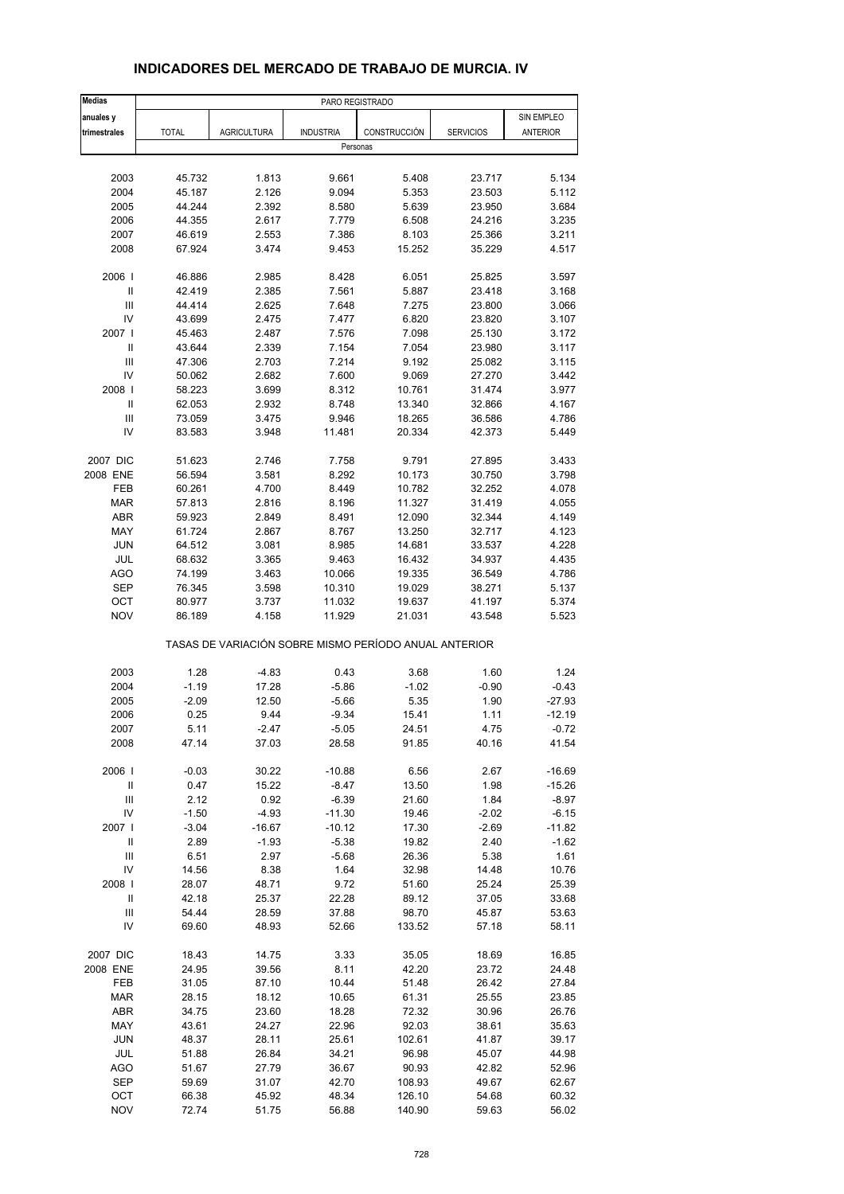| Medias                               |                  |                                                       |                      |                  | PARO REGISTRADO  |                    |  |  |  |  |  |  |
|--------------------------------------|------------------|-------------------------------------------------------|----------------------|------------------|------------------|--------------------|--|--|--|--|--|--|
| anuales y                            |                  |                                                       |                      |                  |                  | SIN EMPLEO         |  |  |  |  |  |  |
| trimestrales                         | <b>TOTAL</b>     | <b>AGRICULTURA</b>                                    | <b>INDUSTRIA</b>     | CONSTRUCCIÓN     | <b>SERVICIOS</b> | ANTERIOR           |  |  |  |  |  |  |
|                                      |                  |                                                       | Personas             |                  |                  |                    |  |  |  |  |  |  |
|                                      |                  |                                                       |                      |                  |                  |                    |  |  |  |  |  |  |
| 2003                                 | 45.732           | 1.813                                                 | 9.661                | 5.408            | 23.717           | 5.134              |  |  |  |  |  |  |
| 2004                                 | 45.187           | 2.126                                                 | 9.094                | 5.353            | 23.503           | 5.112              |  |  |  |  |  |  |
| 2005                                 | 44.244           | 2.392                                                 | 8.580                | 5.639            | 23.950           | 3.684              |  |  |  |  |  |  |
| 2006                                 | 44.355           | 2.617                                                 | 7.779                | 6.508            | 24.216           | 3.235              |  |  |  |  |  |  |
| 2007<br>2008                         | 46.619<br>67.924 | 2.553<br>3.474                                        | 7.386<br>9.453       | 8.103<br>15.252  | 25.366<br>35.229 | 3.211<br>4.517     |  |  |  |  |  |  |
|                                      |                  |                                                       |                      |                  |                  |                    |  |  |  |  |  |  |
| 2006                                 | 46.886           | 2.985                                                 | 8.428                | 6.051            | 25.825           | 3.597              |  |  |  |  |  |  |
| Ш                                    | 42.419           | 2.385                                                 | 7.561                | 5.887            | 23.418           | 3.168              |  |  |  |  |  |  |
| III                                  | 44.414           | 2.625                                                 | 7.648                | 7.275            | 23.800           | 3.066              |  |  |  |  |  |  |
| IV                                   | 43.699           | 2.475                                                 | 7.477                | 6.820            | 23.820           | 3.107              |  |  |  |  |  |  |
| 2007 l                               | 45.463           | 2.487                                                 | 7.576                | 7.098            | 25.130           | 3.172              |  |  |  |  |  |  |
| Ш                                    | 43.644           | 2.339                                                 | 7.154                | 7.054            | 23.980           | 3.117              |  |  |  |  |  |  |
| $\mathbf{III}$<br>IV                 | 47.306           | 2.703                                                 | 7.214                | 9.192            | 25.082           | 3.115              |  |  |  |  |  |  |
| 2008                                 | 50.062<br>58.223 | 2.682<br>3.699                                        | 7.600<br>8.312       | 9.069<br>10.761  | 27.270<br>31.474 | 3.442<br>3.977     |  |  |  |  |  |  |
| $\ensuremath{\mathsf{II}}$           | 62.053           | 2.932                                                 | 8.748                | 13.340           | 32.866           | 4.167              |  |  |  |  |  |  |
| Ш                                    | 73.059           | 3.475                                                 | 9.946                | 18.265           | 36.586           | 4.786              |  |  |  |  |  |  |
| IV                                   | 83.583           | 3.948                                                 | 11.481               | 20.334           | 42.373           | 5.449              |  |  |  |  |  |  |
|                                      |                  |                                                       |                      |                  |                  |                    |  |  |  |  |  |  |
| 2007 DIC                             | 51.623           | 2.746                                                 | 7.758                | 9.791            | 27.895           | 3.433              |  |  |  |  |  |  |
| 2008 ENE                             | 56.594           | 3.581                                                 | 8.292                | 10.173           | 30.750           | 3.798              |  |  |  |  |  |  |
| FEB                                  | 60.261           | 4.700                                                 | 8.449                | 10.782           | 32.252           | 4.078              |  |  |  |  |  |  |
| <b>MAR</b>                           | 57.813           | 2.816                                                 | 8.196                | 11.327           | 31.419           | 4.055              |  |  |  |  |  |  |
| <b>ABR</b>                           | 59.923           | 2.849                                                 | 8.491                | 12.090           | 32.344           | 4.149              |  |  |  |  |  |  |
| MAY                                  | 61.724           | 2.867                                                 | 8.767                | 13.250           | 32.717           | 4.123              |  |  |  |  |  |  |
| <b>JUN</b>                           | 64.512           | 3.081                                                 | 8.985                | 14.681           | 33.537           | 4.228              |  |  |  |  |  |  |
| JUL                                  | 68.632           | 3.365                                                 | 9.463                | 16.432           | 34.937           | 4.435              |  |  |  |  |  |  |
| <b>AGO</b>                           | 74.199           | 3.463                                                 | 10.066               | 19.335           | 36.549           | 4.786              |  |  |  |  |  |  |
| <b>SEP</b>                           | 76.345           | 3.598                                                 | 10.310               | 19.029           | 38.271           | 5.137              |  |  |  |  |  |  |
| OCT<br><b>NOV</b>                    | 80.977<br>86.189 | 3.737<br>4.158                                        | 11.032<br>11.929     | 19.637<br>21.031 | 41.197<br>43.548 | 5.374<br>5.523     |  |  |  |  |  |  |
|                                      |                  | TASAS DE VARIACIÓN SOBRE MISMO PERÍODO ANUAL ANTERIOR |                      |                  |                  |                    |  |  |  |  |  |  |
|                                      |                  |                                                       |                      |                  |                  |                    |  |  |  |  |  |  |
| 2003<br>2004                         | 1.28<br>$-1.19$  | $-4.83$<br>17.28                                      | 0.43                 | 3.68             | 1.60             | 1.24<br>$-0.43$    |  |  |  |  |  |  |
| 2005                                 | $-2.09$          | 12.50                                                 | $-5.86$<br>$-5.66$   | $-1.02$<br>5.35  | $-0.90$<br>1.90  | $-27.93$           |  |  |  |  |  |  |
| 2006                                 | 0.25             | 9.44                                                  | $-9.34$              | 15.41            | 1.11             | $-12.19$           |  |  |  |  |  |  |
| 2007                                 | 5.11             | $-2.47$                                               | $-5.05$              | 24.51            | 4.75             | $-0.72$            |  |  |  |  |  |  |
| 2008                                 | 47.14            | 37.03                                                 | 28.58                | 91.85            | 40.16            | 41.54              |  |  |  |  |  |  |
|                                      |                  |                                                       |                      |                  |                  |                    |  |  |  |  |  |  |
| 2006  <br>$\ensuremath{\mathsf{II}}$ | $-0.03$          | 30.22                                                 | $-10.88$             | 6.56             | 2.67             | $-16.69$           |  |  |  |  |  |  |
| $\ensuremath{\mathsf{III}}\xspace$   | 0.47             | 15.22                                                 | $-8.47$              | 13.50            | 1.98             | $-15.26$           |  |  |  |  |  |  |
| IV                                   | 2.12<br>$-1.50$  | 0.92<br>$-4.93$                                       | $-6.39$              | 21.60<br>19.46   | 1.84<br>$-2.02$  | $-8.97$<br>$-6.15$ |  |  |  |  |  |  |
| 2007                                 | $-3.04$          | $-16.67$                                              | $-11.30$<br>$-10.12$ | 17.30            | $-2.69$          | $-11.82$           |  |  |  |  |  |  |
| $\ensuremath{\mathsf{II}}$           | 2.89             | $-1.93$                                               | $-5.38$              | 19.82            | 2.40             | $-1.62$            |  |  |  |  |  |  |
| $\ensuremath{\mathsf{III}}\xspace$   | 6.51             | 2.97                                                  | -5.68                | 26.36            | 5.38             | 1.61               |  |  |  |  |  |  |
| IV                                   | 14.56            | 8.38                                                  | 1.64                 | 32.98            | 14.48            | 10.76              |  |  |  |  |  |  |
| 2008                                 | 28.07            | 48.71                                                 | 9.72                 | 51.60            | 25.24            | 25.39              |  |  |  |  |  |  |
| Ш                                    | 42.18            | 25.37                                                 | 22.28                | 89.12            | 37.05            | 33.68              |  |  |  |  |  |  |
| $\ensuremath{\mathsf{III}}\xspace$   | 54.44            | 28.59                                                 | 37.88                | 98.70            | 45.87            | 53.63              |  |  |  |  |  |  |
| IV                                   | 69.60            | 48.93                                                 | 52.66                | 133.52           | 57.18            | 58.11              |  |  |  |  |  |  |
| 2007 DIC                             | 18.43            | 14.75                                                 | 3.33                 | 35.05            | 18.69            | 16.85              |  |  |  |  |  |  |
| 2008 ENE                             | 24.95            | 39.56                                                 | 8.11                 | 42.20            | 23.72            | 24.48              |  |  |  |  |  |  |
| FEB                                  | 31.05            | 87.10                                                 | 10.44                | 51.48            | 26.42            | 27.84              |  |  |  |  |  |  |
| <b>MAR</b>                           | 28.15            | 18.12                                                 | 10.65                | 61.31            | 25.55            | 23.85              |  |  |  |  |  |  |
| ABR                                  | 34.75            | 23.60                                                 | 18.28                | 72.32            | 30.96            | 26.76              |  |  |  |  |  |  |
| MAY                                  | 43.61            | 24.27                                                 | 22.96                | 92.03            | 38.61            | 35.63              |  |  |  |  |  |  |
| <b>JUN</b>                           | 48.37            | 28.11                                                 | 25.61                | 102.61           | 41.87            | 39.17              |  |  |  |  |  |  |
| JUL                                  | 51.88            | 26.84                                                 | 34.21                | 96.98            | 45.07            | 44.98              |  |  |  |  |  |  |
| AGO                                  | 51.67            | 27.79                                                 | 36.67                | 90.93            | 42.82            | 52.96              |  |  |  |  |  |  |
| <b>SEP</b>                           | 59.69            | 31.07                                                 | 42.70                | 108.93           | 49.67            | 62.67              |  |  |  |  |  |  |
| ОСТ                                  | 66.38            | 45.92                                                 | 48.34                | 126.10           | 54.68            | 60.32              |  |  |  |  |  |  |
| <b>NOV</b>                           | 72.74            | 51.75                                                 | 56.88                | 140.90           | 59.63            | 56.02              |  |  |  |  |  |  |

## **INDICADORES DEL MERCADO DE TRABAJO DE MURCIA. IV**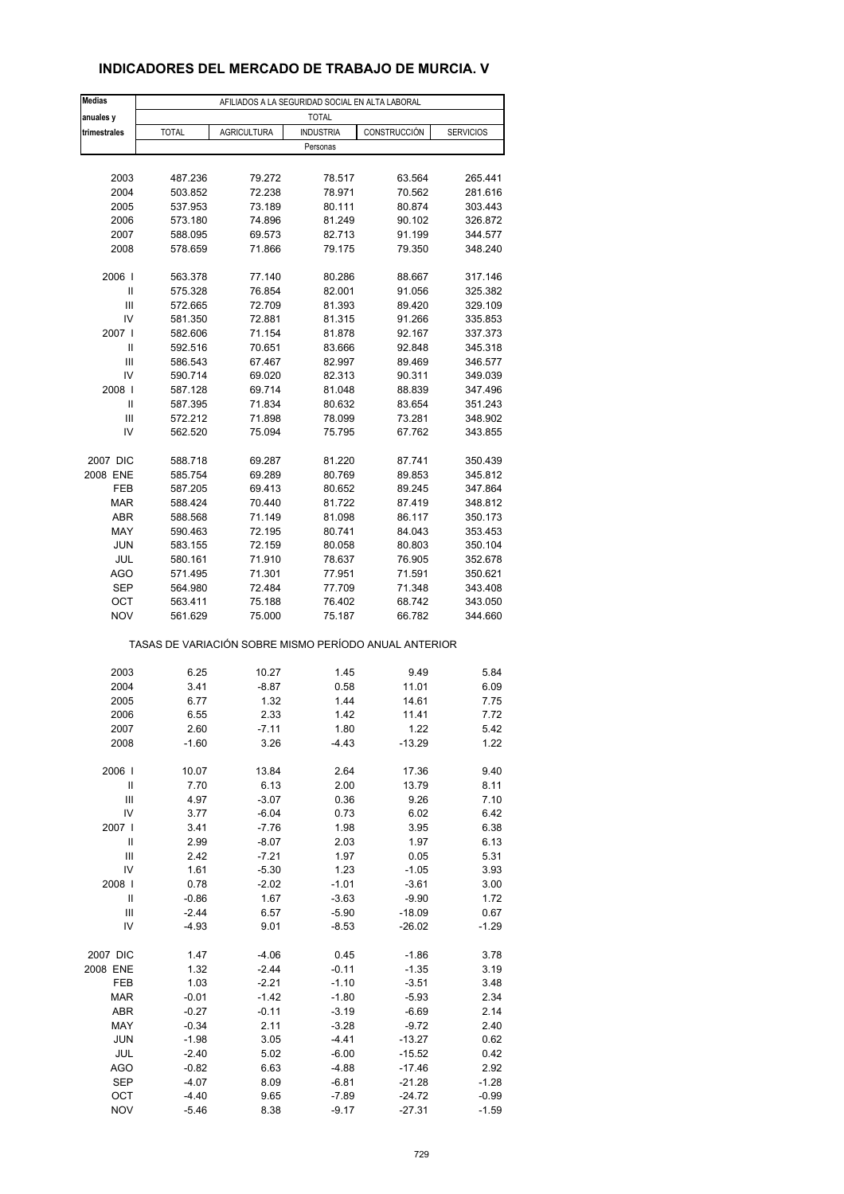## **INDICADORES DEL MERCADO DE TRABAJO DE MURCIA. V**

| <b>Medias</b>     |                                                       |                    | AFILIADOS A LA SEGURIDAD SOCIAL EN ALTA LABORAL |                  |                    |
|-------------------|-------------------------------------------------------|--------------------|-------------------------------------------------|------------------|--------------------|
| anuales y         |                                                       |                    | <b>TOTAL</b>                                    |                  |                    |
| trimestrales      | <b>TOTAL</b>                                          | <b>AGRICULTURA</b> | <b>INDUSTRIA</b>                                | CONSTRUCCIÓN     | <b>SERVICIOS</b>   |
|                   |                                                       |                    | Personas                                        |                  |                    |
|                   |                                                       |                    |                                                 |                  |                    |
| 2003              | 487.236                                               | 79.272             | 78.517                                          | 63.564           | 265.441            |
| 2004              | 503.852                                               | 72.238             | 78.971                                          | 70.562           | 281.616            |
| 2005              | 537.953                                               | 73.189             | 80.111                                          | 80.874           | 303.443            |
| 2006              | 573.180                                               | 74.896             | 81.249                                          | 90.102           | 326.872            |
| 2007              | 588.095                                               | 69.573             | 82.713                                          | 91.199           | 344.577            |
| 2008              | 578.659                                               | 71.866             | 79.175                                          | 79.350           | 348.240            |
| 2006              | 563.378                                               | 77.140             | 80.286                                          | 88.667           | 317.146            |
| Ш                 | 575.328                                               | 76.854             | 82.001                                          | 91.056           | 325.382            |
| Ш                 | 572.665                                               | 72.709             | 81.393                                          | 89.420           | 329.109            |
| IV                | 581.350                                               | 72.881             | 81.315                                          | 91.266           | 335.853            |
| 2007 l            | 582.606                                               | 71.154             | 81.878                                          | 92.167           | 337.373            |
| Ш                 | 592.516                                               | 70.651             | 83.666                                          | 92.848           | 345.318            |
| Ш                 | 586.543                                               | 67.467             | 82.997                                          | 89.469           | 346.577            |
| IV                | 590.714                                               | 69.020             | 82.313                                          | 90.311           | 349.039            |
| 2008              | 587.128                                               | 69.714             | 81.048                                          | 88.839           | 347.496            |
| Ш                 | 587.395                                               | 71.834             | 80.632                                          | 83.654           | 351.243            |
| Ш                 | 572.212                                               | 71.898             | 78.099                                          | 73.281           | 348.902            |
| IV                | 562.520                                               | 75.094             | 75.795                                          | 67.762           | 343.855            |
|                   |                                                       |                    |                                                 |                  |                    |
| 2007 DIC          | 588.718                                               | 69.287             | 81.220                                          | 87.741           | 350.439            |
| 2008 ENE          | 585.754                                               | 69.289             | 80.769                                          | 89.853           | 345.812            |
| FEB<br><b>MAR</b> | 587.205<br>588.424                                    | 69.413<br>70.440   | 80.652<br>81.722                                | 89.245<br>87.419 | 347.864<br>348.812 |
| ABR               | 588.568                                               | 71.149             | 81.098                                          | 86.117           | 350.173            |
| MAY               | 590.463                                               | 72.195             | 80.741                                          | 84.043           | 353.453            |
| <b>JUN</b>        | 583.155                                               | 72.159             | 80.058                                          | 80.803           | 350.104            |
| JUL               | 580.161                                               | 71.910             | 78.637                                          | 76.905           | 352.678            |
| AGO               | 571.495                                               | 71.301             | 77.951                                          | 71.591           | 350.621            |
| <b>SEP</b>        | 564.980                                               | 72.484             | 77.709                                          | 71.348           | 343.408            |
| ОСТ               | 563.411                                               | 75.188             | 76.402                                          | 68.742           | 343.050            |
| <b>NOV</b>        | 561.629                                               | 75.000             | 75.187                                          | 66.782           | 344.660            |
|                   | TASAS DE VARIACIÓN SOBRE MISMO PERÍODO ANUAL ANTERIOR |                    |                                                 |                  |                    |
| 2003              | 6.25                                                  | 10.27              | 1.45                                            | 9.49             | 5.84               |
| 2004              | 3.41                                                  | $-8.87$            | 0.58                                            | 11.01            | 6.09               |
| 2005              | 6.77                                                  | 1.32               | 1.44                                            | 14.61            | 7.75               |
| 2006              | 6.55                                                  | 2.33               | 1.42                                            | 11.41            | 7.72               |
| 2007              | 2.60                                                  | -7.11              | 1.80                                            | 1.22             | 5.42               |
| 2008              | $-1.60$                                               | 3.26               | $-4.43$                                         | $-13.29$         | 1.22               |
|                   |                                                       |                    |                                                 |                  |                    |
| 2006              | 10.07                                                 | 13.84              | 2.64                                            | 17.36            | 9.40               |
| Ш                 | 7.70                                                  | 6.13               | 2.00                                            | 13.79            | 8.11               |
| $\mathbf{III}$    | 4.97                                                  | $-3.07$            | 0.36                                            | 9.26             | 7.10               |
| IV                | 3.77                                                  | $-6.04$            | 0.73                                            | 6.02             | 6.42               |
| 2007              | 3.41                                                  | $-7.76$            | 1.98                                            | 3.95             | 6.38               |
| $\mathsf{I}$<br>Ш | 2.99<br>2.42                                          | $-8.07$<br>$-7.21$ | 2.03<br>1.97                                    | 1.97<br>0.05     | 6.13<br>5.31       |
| IV                | 1.61                                                  | $-5.30$            | 1.23                                            | $-1.05$          | 3.93               |
| 2008              | 0.78                                                  | $-2.02$            | $-1.01$                                         | $-3.61$          | 3.00               |
| Ш                 | $-0.86$                                               | 1.67               | $-3.63$                                         | $-9.90$          | 1.72               |
| Ш                 | $-2.44$                                               | 6.57               | $-5.90$                                         | $-18.09$         | 0.67               |
| IV                | $-4.93$                                               | 9.01               | $-8.53$                                         | $-26.02$         | $-1.29$            |
|                   |                                                       |                    |                                                 |                  |                    |
| 2007 DIC          | 1.47                                                  | $-4.06$            | 0.45                                            | $-1.86$          | 3.78               |
| 2008 ENE          | 1.32                                                  | $-2.44$            | $-0.11$                                         | $-1.35$          | 3.19               |
| FEB               | 1.03                                                  | $-2.21$            | $-1.10$                                         | $-3.51$          | 3.48               |
| <b>MAR</b>        | $-0.01$                                               | $-1.42$            | $-1.80$                                         | $-5.93$          | 2.34               |
| ABR               | $-0.27$                                               | $-0.11$            | $-3.19$                                         | $-6.69$          | 2.14               |
| MAY               | $-0.34$                                               | 2.11               | $-3.28$                                         | $-9.72$          | 2.40               |
| <b>JUN</b>        | $-1.98$                                               | 3.05               | $-4.41$                                         | $-13.27$         | 0.62               |
| JUL               | $-2.40$                                               | 5.02               | $-6.00$                                         | $-15.52$         | 0.42               |
| AGO               | $-0.82$                                               | 6.63               | $-4.88$                                         | $-17.46$         | 2.92               |
| <b>SEP</b>        | $-4.07$                                               | 8.09               | $-6.81$                                         | $-21.28$         | $-1.28$            |
| OCT               | $-4.40$                                               | 9.65               | $-7.89$                                         | $-24.72$         | $-0.99$            |
| <b>NOV</b>        | $-5.46$                                               | 8.38               | $-9.17$                                         | $-27.31$         | $-1.59$            |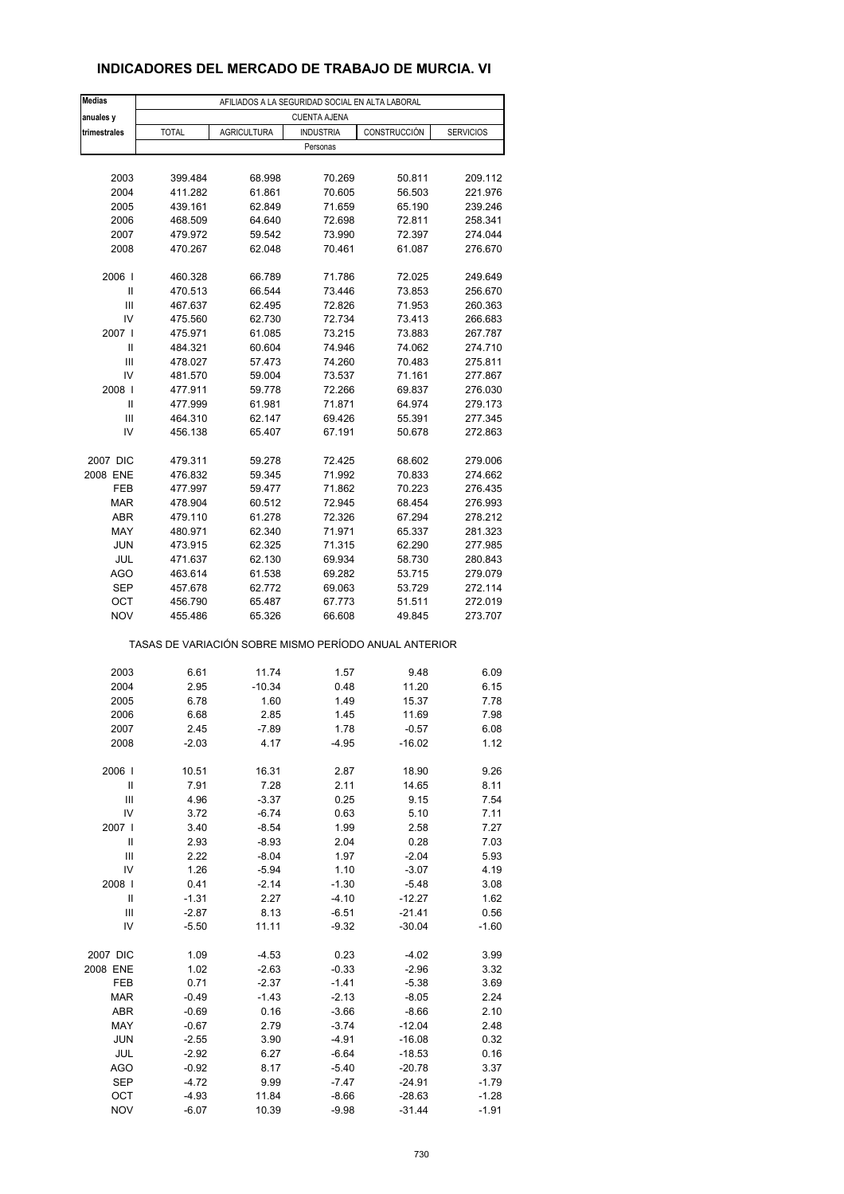## **INDICADORES DEL MERCADO DE TRABAJO DE MURCIA. VI**

| <b>Medias</b>     |                                                       |                    | AFILIADOS A LA SEGURIDAD SOCIAL EN ALTA LABORAL |                    |                    |
|-------------------|-------------------------------------------------------|--------------------|-------------------------------------------------|--------------------|--------------------|
| anuales y         |                                                       |                    | <b>CUENTA AJENA</b>                             |                    |                    |
| trimestrales      | <b>TOTAL</b>                                          | <b>AGRICULTURA</b> | <b>INDUSTRIA</b>                                | CONSTRUCCIÓN       | <b>SERVICIOS</b>   |
|                   |                                                       |                    | Personas                                        |                    |                    |
|                   |                                                       |                    |                                                 |                    |                    |
| 2003              | 399.484                                               | 68.998             | 70.269                                          | 50.811             | 209.112            |
| 2004              | 411.282                                               | 61.861             | 70.605                                          | 56.503             | 221.976            |
| 2005              | 439.161                                               | 62.849             | 71.659                                          | 65.190             | 239.246            |
| 2006              | 468.509                                               | 64.640             | 72.698                                          | 72.811             | 258.341            |
| 2007              | 479.972                                               | 59.542             | 73.990                                          | 72.397             | 274.044            |
| 2008              | 470.267                                               | 62.048             | 70.461                                          | 61.087             | 276.670            |
| 2006              | 460.328                                               | 66.789             | 71.786                                          | 72.025             | 249.649            |
| Ш                 | 470.513                                               | 66.544             | 73.446                                          | 73.853             | 256.670            |
| Ш                 | 467.637                                               | 62.495             | 72.826                                          | 71.953             | 260.363            |
| IV                | 475.560                                               | 62.730             | 72.734                                          | 73.413             | 266.683            |
| 2007 l            | 475.971                                               | 61.085             | 73.215                                          | 73.883             | 267.787            |
| Ш                 | 484.321                                               | 60.604             | 74.946                                          | 74.062             | 274.710            |
| Ш                 | 478.027                                               | 57.473             | 74.260                                          | 70.483             | 275.811            |
| IV                | 481.570                                               | 59.004             | 73.537                                          | 71.161             | 277.867            |
| 2008              | 477.911                                               | 59.778             | 72.266                                          | 69.837             | 276.030            |
| Ш                 | 477.999                                               | 61.981             | 71.871                                          | 64.974             | 279.173            |
| Ш                 | 464.310                                               | 62.147             | 69.426                                          | 55.391             | 277.345            |
| IV                | 456.138                                               | 65.407             | 67.191                                          | 50.678             | 272.863            |
|                   |                                                       |                    |                                                 |                    |                    |
| 2007 DIC          | 479.311                                               | 59.278             | 72.425                                          | 68.602             | 279.006            |
| 2008 ENE          | 476.832                                               | 59.345             | 71.992                                          | 70.833             | 274.662            |
| FEB<br><b>MAR</b> | 477.997                                               | 59.477             | 71.862                                          | 70.223             | 276.435            |
| ABR               | 478.904<br>479.110                                    | 60.512<br>61.278   | 72.945<br>72.326                                | 68.454<br>67.294   | 276.993<br>278.212 |
| MAY               | 480.971                                               | 62.340             | 71.971                                          | 65.337             | 281.323            |
| <b>JUN</b>        | 473.915                                               | 62.325             | 71.315                                          | 62.290             | 277.985            |
| JUL               | 471.637                                               | 62.130             | 69.934                                          | 58.730             | 280.843            |
| AGO               | 463.614                                               | 61.538             | 69.282                                          | 53.715             | 279.079            |
| <b>SEP</b>        | 457.678                                               | 62.772             | 69.063                                          | 53.729             | 272.114            |
| ОСТ               | 456.790                                               | 65.487             | 67.773                                          | 51.511             | 272.019            |
| <b>NOV</b>        | 455.486                                               | 65.326             | 66.608                                          | 49.845             | 273.707            |
|                   | TASAS DE VARIACIÓN SOBRE MISMO PERÍODO ANUAL ANTERIOR |                    |                                                 |                    |                    |
| 2003              | 6.61                                                  | 11.74              | 1.57                                            | 9.48               | 6.09               |
| 2004              | 2.95                                                  | $-10.34$           | 0.48                                            | 11.20              | 6.15               |
| 2005              | 6.78                                                  | 1.60               | 1.49                                            | 15.37              | 7.78               |
| 2006              | 6.68                                                  | 2.85               | 1.45                                            | 11.69              | 7.98               |
| 2007              | 2.45                                                  | -7.89              | 1.78                                            | $-0.57$            | 6.08               |
| 2008              | $-2.03$                                               | 4.17               | $-4.95$                                         | $-16.02$           | 1.12               |
|                   |                                                       |                    |                                                 |                    |                    |
| 2006              | 10.51                                                 | 16.31              | 2.87                                            | 18.90              | 9.26               |
| Ш                 | 7.91                                                  | 7.28               | 2.11                                            | 14.65              | 8.11               |
| $\mathbf{III}$    | 4.96                                                  | $-3.37$            | 0.25                                            | 9.15               | 7.54               |
| IV                | 3.72                                                  | $-6.74$            | 0.63                                            | 5.10               | 7.11               |
| 2007              | 3.40                                                  | $-8.54$            | 1.99                                            | 2.58               | 7.27               |
| $\mathsf{I}$      | 2.93                                                  | $-8.93$            | 2.04                                            | 0.28               | 7.03               |
| Ш<br>IV           | 2.22<br>1.26                                          | $-8.04$<br>$-5.94$ | 1.97<br>1.10                                    | $-2.04$<br>$-3.07$ | 5.93<br>4.19       |
| 2008              | 0.41                                                  | $-2.14$            | $-1.30$                                         | $-5.48$            | 3.08               |
| Ш                 | $-1.31$                                               | 2.27               | $-4.10$                                         | $-12.27$           | 1.62               |
| Ш                 | $-2.87$                                               | 8.13               | $-6.51$                                         | $-21.41$           | 0.56               |
| IV                | -5.50                                                 | 11.11              | $-9.32$                                         | $-30.04$           | $-1.60$            |
|                   |                                                       |                    |                                                 |                    |                    |
| 2007 DIC          | 1.09                                                  | $-4.53$            | 0.23                                            | $-4.02$            | 3.99               |
| 2008 ENE          | 1.02                                                  | $-2.63$            | $-0.33$                                         | $-2.96$            | 3.32               |
| FEB               | 0.71                                                  | $-2.37$            | $-1.41$                                         | $-5.38$            | 3.69               |
| <b>MAR</b>        | $-0.49$                                               | $-1.43$            | $-2.13$                                         | $-8.05$            | 2.24               |
| ABR               | $-0.69$                                               | 0.16               | $-3.66$                                         | $-8.66$            | 2.10               |
| MAY               | $-0.67$                                               | 2.79               | $-3.74$                                         | $-12.04$           | 2.48               |
| <b>JUN</b>        | $-2.55$                                               | 3.90               | $-4.91$                                         | $-16.08$           | 0.32               |
| JUL               | $-2.92$                                               | 6.27               | $-6.64$                                         | $-18.53$           | 0.16               |
| AGO               | $-0.92$                                               | 8.17               | $-5.40$                                         | $-20.78$           | 3.37               |
| <b>SEP</b>        | $-4.72$                                               | 9.99               | $-7.47$                                         | -24.91             | $-1.79$            |
| OCT               | $-4.93$                                               | 11.84              | $-8.66$                                         | $-28.63$           | $-1.28$            |
| <b>NOV</b>        | $-6.07$                                               | 10.39              | $-9.98$                                         | $-31.44$           | $-1.91$            |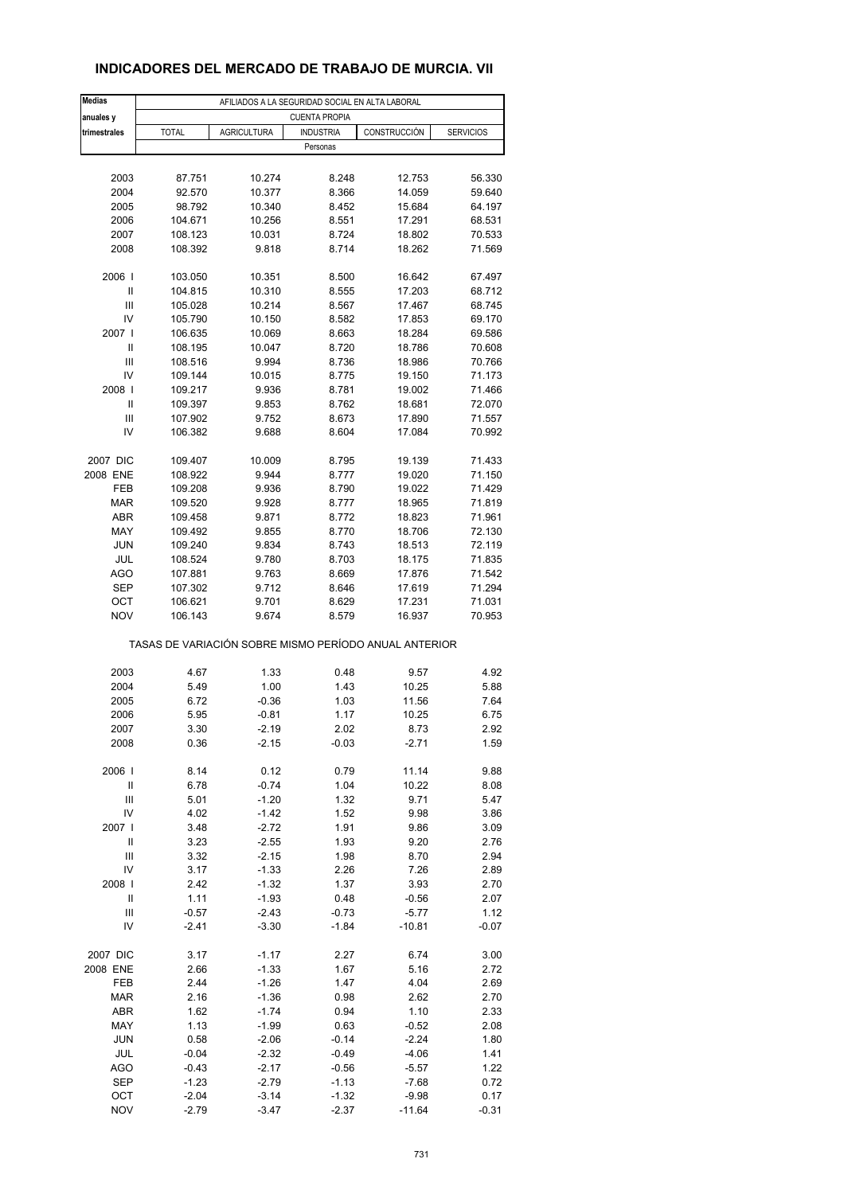## **INDICADORES DEL MERCADO DE TRABAJO DE MURCIA. VII**

| <b>Medias</b>  |              | AFILIADOS A LA SEGURIDAD SOCIAL EN ALTA LABORAL |                      |                                                       |                  |
|----------------|--------------|-------------------------------------------------|----------------------|-------------------------------------------------------|------------------|
| anuales y      |              |                                                 | <b>CUENTA PROPIA</b> |                                                       |                  |
| trimestrales   | <b>TOTAL</b> | <b>AGRICULTURA</b>                              | <b>INDUSTRIA</b>     | CONSTRUCCIÓN                                          | <b>SERVICIOS</b> |
|                |              |                                                 | Personas             |                                                       |                  |
|                |              |                                                 |                      |                                                       |                  |
| 2003           | 87.751       | 10.274                                          | 8.248                | 12.753                                                | 56.330           |
| 2004           | 92.570       | 10.377                                          | 8.366                | 14.059                                                | 59.640           |
| 2005           | 98.792       | 10.340                                          | 8.452                | 15.684                                                | 64.197           |
| 2006           | 104.671      | 10.256                                          | 8.551                | 17.291                                                | 68.531           |
| 2007           | 108.123      | 10.031                                          | 8.724                | 18.802                                                | 70.533           |
| 2008           | 108.392      | 9.818                                           | 8.714                | 18.262                                                | 71.569           |
| 2006           | 103.050      | 10.351                                          | 8.500                | 16.642                                                | 67.497           |
| Ш              | 104.815      | 10.310                                          | 8.555                | 17.203                                                | 68.712           |
| Ш              | 105.028      | 10.214                                          | 8.567                | 17.467                                                | 68.745           |
| IV             | 105.790      | 10.150                                          | 8.582                | 17.853                                                | 69.170           |
| 2007 l         | 106.635      | 10.069                                          | 8.663                | 18.284                                                | 69.586           |
| Ш              | 108.195      | 10.047                                          | 8.720                | 18.786                                                | 70.608           |
| Ш              | 108.516      | 9.994                                           | 8.736                | 18.986                                                | 70.766           |
| IV             | 109.144      | 10.015                                          | 8.775                | 19.150                                                | 71.173           |
| 2008           | 109.217      | 9.936                                           | 8.781                | 19.002                                                | 71.466           |
| Ш              | 109.397      | 9.853                                           | 8.762                | 18.681                                                | 72.070           |
| Ш              | 107.902      | 9.752                                           | 8.673                | 17.890                                                | 71.557           |
| IV             | 106.382      | 9.688                                           | 8.604                | 17.084                                                | 70.992           |
| 2007 DIC       | 109.407      | 10.009                                          | 8.795                | 19.139                                                | 71.433           |
| 2008 ENE       | 108.922      | 9.944                                           | 8.777                | 19.020                                                | 71.150           |
| FEB            | 109.208      | 9.936                                           |                      | 19.022                                                | 71.429           |
|                |              |                                                 | 8.790                |                                                       |                  |
| MAR            | 109.520      | 9.928                                           | 8.777                | 18.965                                                | 71.819           |
| <b>ABR</b>     | 109.458      | 9.871                                           | 8.772                | 18.823                                                | 71.961           |
| MAY            | 109.492      | 9.855                                           | 8.770                | 18.706                                                | 72.130           |
| <b>JUN</b>     | 109.240      | 9.834                                           | 8.743                | 18.513                                                | 72.119           |
| <b>JUL</b>     | 108.524      | 9.780                                           | 8.703                | 18.175                                                | 71.835           |
| AGO            | 107.881      | 9.763                                           | 8.669                | 17.876                                                | 71.542           |
| <b>SEP</b>     | 107.302      | 9.712                                           | 8.646                | 17.619                                                | 71.294           |
| OCT            | 106.621      | 9.701                                           | 8.629                | 17.231                                                | 71.031           |
| <b>NOV</b>     | 106.143      | 9.674                                           | 8.579                | 16.937                                                | 70.953           |
|                |              |                                                 |                      | TASAS DE VARIACIÓN SOBRE MISMO PERÍODO ANUAL ANTERIOR |                  |
| 2003           | 4.67         | 1.33                                            | 0.48                 | 9.57                                                  | 4.92             |
| 2004           | 5.49         | 1.00                                            | 1.43                 | 10.25                                                 | 5.88             |
| 2005           | 6.72         | $-0.36$                                         | 1.03                 | 11.56                                                 | 7.64             |
|                |              |                                                 |                      |                                                       |                  |
| 2006           | 5.95         | $-0.81$                                         | 1.17                 | 10.25                                                 | 6.75             |
| 2007<br>2008   | 3.30<br>0.36 | -2.19<br>$-2.15$                                | 2.02<br>$-0.03$      | 8.73<br>$-2.71$                                       | 2.92<br>1.59     |
|                |              |                                                 |                      |                                                       |                  |
| 2006           | 8.14         | 0.12                                            | 0.79                 | 11.14                                                 | 9.88             |
| Ш              | 6.78         | $-0.74$                                         | 1.04                 | 10.22                                                 | 8.08             |
| Ш              | 5.01         | $-1.20$                                         | 1.32                 | 9.71                                                  | 5.47             |
| IV             | 4.02         | $-1.42$                                         | 1.52                 | 9.98                                                  | 3.86             |
| 2007 l         | 3.48         | $-2.72$                                         | 1.91                 | 9.86                                                  | 3.09             |
| Ш              | 3.23         | $-2.55$                                         | 1.93                 | 9.20                                                  | 2.76             |
| $\mathsf{III}$ | 3.32         | $-2.15$                                         | 1.98                 | 8.70                                                  | 2.94             |
| IV             | 3.17         | $-1.33$                                         | 2.26                 | 7.26                                                  | 2.89             |
| 2008           | 2.42         | $-1.32$                                         | 1.37                 | 3.93                                                  | 2.70             |
| Ш              | 1.11         | $-1.93$                                         | 0.48                 | $-0.56$                                               | 2.07             |
| Ш              | $-0.57$      | $-2.43$                                         | $-0.73$              | $-5.77$                                               | 1.12             |
| IV             | $-2.41$      | $-3.30$                                         | $-1.84$              | $-10.81$                                              | $-0.07$          |
|                |              |                                                 |                      |                                                       |                  |
| 2007 DIC       | 3.17         | $-1.17$                                         | 2.27                 | 6.74                                                  | 3.00             |
| 2008 ENE       | 2.66         | $-1.33$                                         | 1.67                 | 5.16                                                  | 2.72             |
| FEB            | 2.44         | $-1.26$                                         | 1.47                 | 4.04                                                  | 2.69             |
| <b>MAR</b>     | 2.16         | $-1.36$                                         | 0.98                 | 2.62                                                  | 2.70             |
| ABR            | 1.62         | $-1.74$                                         | 0.94                 | 1.10                                                  | 2.33             |
| MAY            | 1.13         | $-1.99$                                         | 0.63                 | $-0.52$                                               | 2.08             |
| <b>JUN</b>     | 0.58         | $-2.06$                                         | $-0.14$              | $-2.24$                                               | 1.80             |
| JUL            | $-0.04$      | $-2.32$                                         | $-0.49$              | $-4.06$                                               | 1.41             |
| AGO            | $-0.43$      | $-2.17$                                         | $-0.56$              | $-5.57$                                               | 1.22             |
| <b>SEP</b>     | -1.23        | $-2.79$                                         | $-1.13$              | $-7.68$                                               | 0.72             |
| OCT            | $-2.04$      | $-3.14$                                         | $-1.32$              | $-9.98$                                               | 0.17             |
| <b>NOV</b>     | $-2.79$      | $-3.47$                                         | $-2.37$              | $-11.64$                                              | $-0.31$          |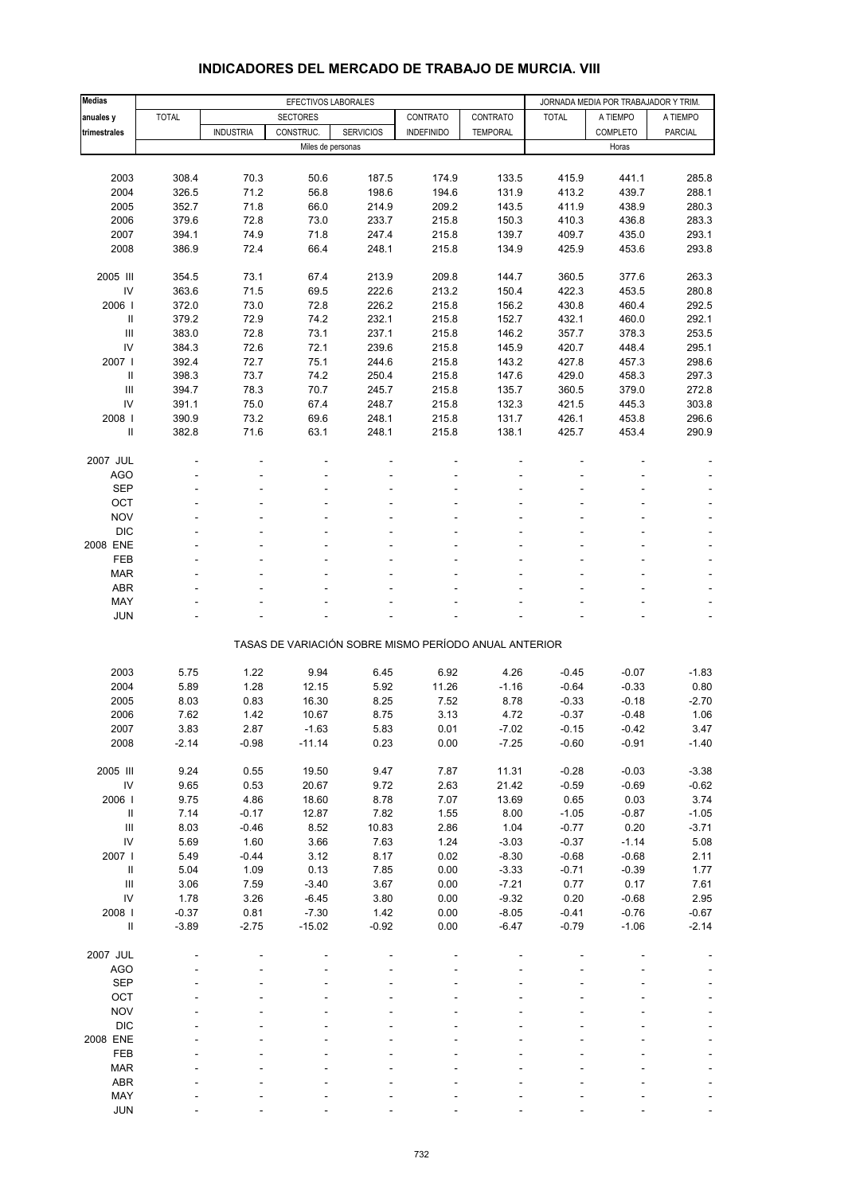| <b>Medias</b>                      |              |                  | EFECTIVOS LABORALES |                  |                                                       | JORNADA MEDIA POR TRABAJADOR Y TRIM. |              |          |                |
|------------------------------------|--------------|------------------|---------------------|------------------|-------------------------------------------------------|--------------------------------------|--------------|----------|----------------|
| anuales y                          | <b>TOTAL</b> |                  | <b>SECTORES</b>     |                  | CONTRATO                                              | CONTRATO                             | <b>TOTAL</b> | A TIEMPO | A TIEMPO       |
| trimestrales                       |              | <b>INDUSTRIA</b> | CONSTRUC.           | <b>SERVICIOS</b> | <b>INDEFINIDO</b>                                     | <b>TEMPORAL</b>                      |              | COMPLETO | <b>PARCIAL</b> |
|                                    |              |                  | Miles de personas   |                  |                                                       |                                      |              | Horas    |                |
|                                    |              |                  |                     |                  |                                                       |                                      |              |          |                |
| 2003                               | 308.4        | 70.3             | 50.6                | 187.5            | 174.9                                                 | 133.5                                | 415.9        | 441.1    | 285.8          |
| 2004                               | 326.5        | 71.2             | 56.8                | 198.6            | 194.6                                                 | 131.9                                | 413.2        | 439.7    | 288.1          |
| 2005                               | 352.7        | 71.8             | 66.0                | 214.9            | 209.2                                                 | 143.5                                | 411.9        | 438.9    | 280.3          |
| 2006                               | 379.6        | 72.8             | 73.0                | 233.7            | 215.8                                                 | 150.3                                | 410.3        | 436.8    | 283.3          |
| 2007                               | 394.1        | 74.9             | 71.8                | 247.4            | 215.8                                                 | 139.7                                | 409.7        | 435.0    | 293.1          |
| 2008                               | 386.9        | 72.4             | 66.4                | 248.1            | 215.8                                                 | 134.9                                | 425.9        | 453.6    | 293.8          |
| 2005 III                           | 354.5        | 73.1             | 67.4                | 213.9            | 209.8                                                 | 144.7                                | 360.5        | 377.6    | 263.3          |
| IV                                 | 363.6        | 71.5             | 69.5                | 222.6            | 213.2                                                 | 150.4                                | 422.3        | 453.5    | 280.8          |
| 2006                               | 372.0        | 73.0             | 72.8                | 226.2            | 215.8                                                 | 156.2                                | 430.8        | 460.4    | 292.5          |
| $\ensuremath{\mathsf{II}}$         | 379.2        | 72.9             | 74.2                | 232.1            | 215.8                                                 | 152.7                                | 432.1        | 460.0    | 292.1          |
| $\ensuremath{\mathsf{III}}\xspace$ | 383.0        | 72.8             | 73.1                | 237.1            | 215.8                                                 | 146.2                                | 357.7        | 378.3    | 253.5          |
| IV                                 | 384.3        | 72.6             | 72.1                | 239.6            | 215.8                                                 | 145.9                                | 420.7        | 448.4    | 295.1          |
| 2007 l                             | 392.4        | 72.7             | 75.1                | 244.6            | 215.8                                                 | 143.2                                | 427.8        | 457.3    | 298.6          |
| Ш                                  | 398.3        | 73.7             | 74.2                | 250.4            | 215.8                                                 | 147.6                                | 429.0        | 458.3    | 297.3          |
| III                                | 394.7        | 78.3             | 70.7                | 245.7            | 215.8                                                 | 135.7                                | 360.5        | 379.0    | 272.8          |
| IV                                 | 391.1        | 75.0             | 67.4                | 248.7            | 215.8                                                 | 132.3                                | 421.5        | 445.3    | 303.8          |
| 2008                               | 390.9        | 73.2             | 69.6                | 248.1            | 215.8                                                 | 131.7                                | 426.1        | 453.8    | 296.6          |
| Ш                                  | 382.8        | 71.6             | 63.1                | 248.1            | 215.8                                                 | 138.1                                | 425.7        | 453.4    | 290.9          |
| 2007 JUL                           |              |                  |                     |                  |                                                       |                                      |              |          |                |
| AGO                                |              |                  |                     |                  |                                                       |                                      |              |          |                |
| <b>SEP</b>                         |              |                  |                     |                  |                                                       |                                      |              |          |                |
| OCT                                |              |                  |                     |                  |                                                       |                                      |              |          |                |
| <b>NOV</b>                         |              |                  |                     |                  |                                                       |                                      |              |          |                |
| <b>DIC</b>                         |              |                  |                     |                  |                                                       |                                      |              |          |                |
| 2008 ENE                           |              |                  |                     |                  |                                                       |                                      |              |          |                |
| FEB                                |              |                  |                     |                  |                                                       |                                      |              |          |                |
| <b>MAR</b>                         |              |                  |                     |                  |                                                       |                                      |              |          |                |
| <b>ABR</b>                         |              |                  |                     |                  |                                                       |                                      |              |          |                |
| MAY                                |              |                  |                     |                  |                                                       |                                      |              |          |                |
| <b>JUN</b>                         |              |                  |                     |                  |                                                       |                                      |              |          |                |
|                                    |              |                  |                     |                  | TASAS DE VARIACIÓN SOBRE MISMO PERÍODO ANUAL ANTERIOR |                                      |              |          |                |
|                                    |              |                  |                     |                  |                                                       |                                      |              |          |                |
| 2003                               | 5.75         | 1.22             | 9.94                | 6.45             | 6.92                                                  | 4.26                                 | $-0.45$      | $-0.07$  | $-1.83$        |
| 2004                               | 5.89         | 1.28             | 12.15               | 5.92             | 11.26                                                 | $-1.16$                              | $-0.64$      | $-0.33$  | 0.80           |
| 2005                               | 8.03         | 0.83             | 16.30               | 8.25             | 7.52                                                  | 8.78                                 | $-0.33$      | $-0.18$  | $-2.70$        |
| 2006                               | 7.62         | 1.42             | 10.67               | 8.75             | 3.13                                                  | 4.72                                 | $-0.37$      | $-0.48$  | 1.06           |
| 2007                               | 3.83         | 2.87             | $-1.63$             | 5.83             | 0.01                                                  | $-7.02$                              | $-0.15$      | -0.42    | 3.47           |
| 2008                               | $-2.14$      | $-0.98$          | $-11.14$            | 0.23             | 0.00                                                  | $-7.25$                              | $-0.60$      | $-0.91$  | $-1.40$        |
| 2005 III                           | 9.24         | 0.55             | 19.50               | 9.47             | 7.87                                                  | 11.31                                | $-0.28$      | $-0.03$  | $-3.38$        |
| ${\sf IV}$                         | 9.65         | 0.53             | 20.67               | 9.72             | 2.63                                                  | 21.42                                | $-0.59$      | $-0.69$  | $-0.62$        |
| 2006                               | 9.75         | 4.86             | 18.60               | 8.78             | 7.07                                                  | 13.69                                | 0.65         | 0.03     | 3.74           |
| Ш                                  | 7.14         | $-0.17$          | 12.87               | 7.82             | 1.55                                                  | 8.00                                 | $-1.05$      | $-0.87$  | $-1.05$        |
| $\ensuremath{\mathsf{III}}\xspace$ | 8.03         | $-0.46$          | 8.52                | 10.83            | 2.86                                                  | 1.04                                 | $-0.77$      | 0.20     | $-3.71$        |
| IV                                 | 5.69         | 1.60             | 3.66                | 7.63             | 1.24                                                  | $-3.03$                              | $-0.37$      | $-1.14$  | 5.08           |
| 2007 l                             | 5.49         | $-0.44$          | 3.12                | 8.17             | 0.02                                                  | $-8.30$                              | $-0.68$      | $-0.68$  | 2.11           |
| $\ensuremath{\mathsf{II}}\xspace$  | 5.04         | 1.09             | 0.13                | 7.85             | 0.00                                                  | $-3.33$                              | $-0.71$      | $-0.39$  | 1.77           |
| $\ensuremath{\mathsf{III}}\xspace$ | 3.06         | 7.59             | $-3.40$             | 3.67             | 0.00                                                  | $-7.21$                              | 0.77         | 0.17     | 7.61           |
| IV                                 | 1.78         | 3.26             | $-6.45$             | 3.80             | 0.00                                                  | $-9.32$                              | 0.20         | $-0.68$  | 2.95           |
| 2008                               | $-0.37$      | 0.81             | $-7.30$             | 1.42             | 0.00                                                  | $-8.05$                              | $-0.41$      | $-0.76$  | $-0.67$        |
| $\ensuremath{\mathsf{II}}\xspace$  | $-3.89$      | $-2.75$          | $-15.02$            | $-0.92$          | 0.00                                                  | $-6.47$                              | $-0.79$      | $-1.06$  | $-2.14$        |
|                                    |              |                  |                     |                  |                                                       |                                      |              |          |                |
| 2007 JUL<br>AGO                    |              |                  |                     |                  |                                                       |                                      |              |          |                |
| <b>SEP</b>                         |              |                  |                     |                  |                                                       |                                      |              |          |                |
| OCT                                |              |                  |                     |                  |                                                       |                                      |              |          |                |
| <b>NOV</b>                         |              |                  |                     |                  |                                                       |                                      |              |          |                |
| <b>DIC</b>                         |              |                  |                     |                  |                                                       |                                      |              |          |                |
| 2008 ENE                           |              |                  |                     |                  |                                                       |                                      |              |          |                |
| FEB                                |              |                  |                     |                  |                                                       |                                      |              |          |                |
| <b>MAR</b>                         |              |                  |                     |                  |                                                       |                                      |              |          |                |
| ABR                                |              |                  |                     |                  |                                                       |                                      |              |          |                |
| MAY                                |              |                  |                     |                  |                                                       |                                      |              |          |                |

### **INDICADORES DEL MERCADO DE TRABAJO DE MURCIA. VIII**

JUN - - - - - - - - -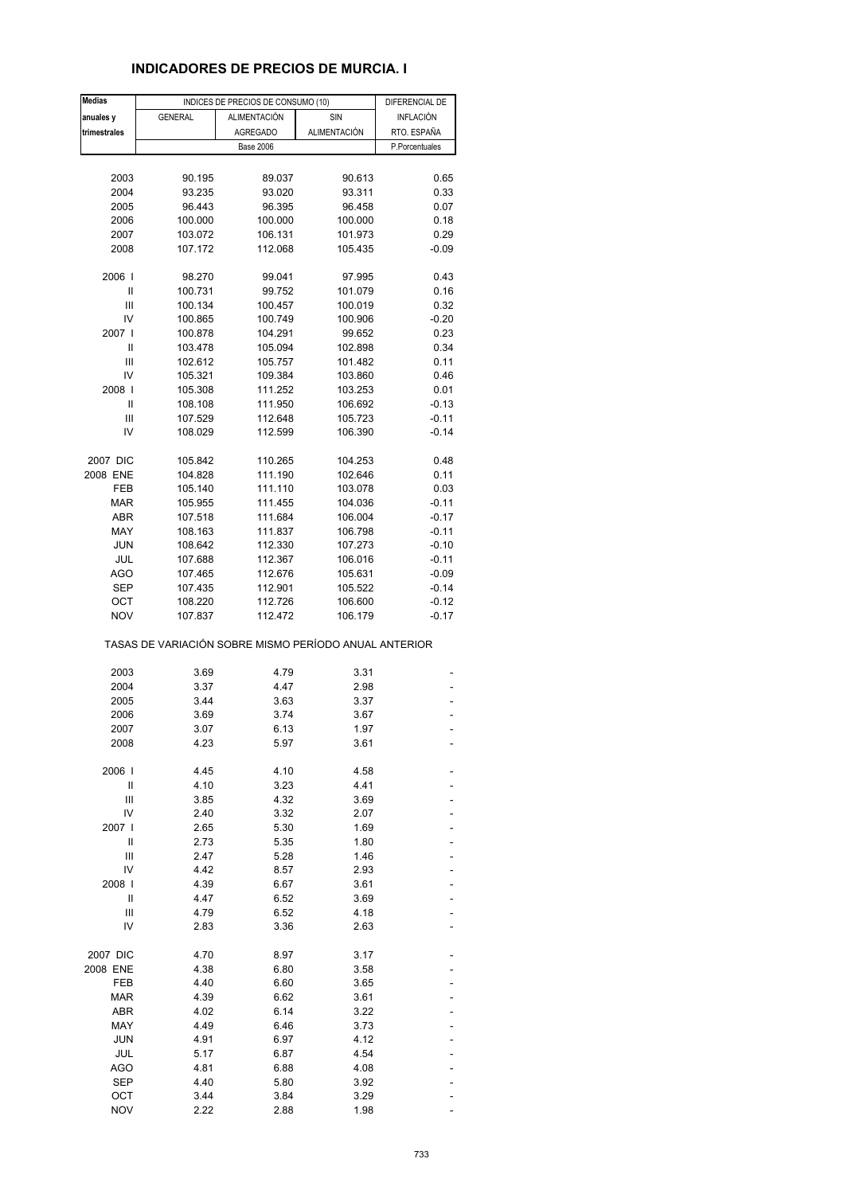## **INDICADORES DE PRECIOS DE MURCIA. I**

| <b>Medias</b> |                                                       | INDICES DE PRECIOS DE CONSUMO (10) |                     |                                    |  |  |
|---------------|-------------------------------------------------------|------------------------------------|---------------------|------------------------------------|--|--|
| anuales y     | <b>GENERAL</b>                                        | ALIMENTACIÓN                       | <b>SIN</b>          | DIFERENCIAL DE<br><b>INFLACIÓN</b> |  |  |
| trimestrales  |                                                       | <b>AGREGADO</b>                    | <b>ALIMENTACIÓN</b> | RTO. ESPAÑA                        |  |  |
|               |                                                       | <b>Base 2006</b>                   |                     | P.Porcentuales                     |  |  |
|               |                                                       |                                    |                     |                                    |  |  |
| 2003          | 90.195                                                | 89.037                             |                     | 0.65                               |  |  |
|               |                                                       |                                    | 90.613              |                                    |  |  |
| 2004          | 93.235                                                | 93.020                             | 93.311              | 0.33                               |  |  |
| 2005          | 96.443                                                | 96.395                             | 96.458              | 0.07                               |  |  |
| 2006          | 100.000                                               | 100.000                            | 100.000             | 0.18                               |  |  |
| 2007          | 103.072                                               | 106.131                            | 101.973             | 0.29                               |  |  |
| 2008          | 107.172                                               | 112.068                            | 105.435             | $-0.09$                            |  |  |
| 2006          | 98.270                                                | 99.041                             | 97.995              | 0.43                               |  |  |
| Ш             | 100.731                                               | 99.752                             | 101.079             | 0.16                               |  |  |
| Ш             | 100.134                                               | 100.457                            | 100.019             | 0.32                               |  |  |
| IV            | 100.865                                               | 100.749                            | 100.906             | $-0.20$                            |  |  |
| 2007 l        | 100.878                                               | 104.291                            | 99.652              | 0.23                               |  |  |
| Ш             | 103.478                                               | 105.094                            | 102.898             | 0.34                               |  |  |
| Ш             | 102.612                                               | 105.757                            | 101.482             | 0.11                               |  |  |
|               |                                                       |                                    |                     |                                    |  |  |
| IV            | 105.321                                               | 109.384                            | 103.860             | 0.46                               |  |  |
| 2008          | 105.308                                               | 111.252                            | 103.253             | 0.01                               |  |  |
| Ш             | 108.108                                               | 111.950                            | 106.692             | $-0.13$                            |  |  |
| Ш             | 107.529                                               | 112.648                            | 105.723             | $-0.11$                            |  |  |
| IV            | 108.029                                               | 112.599                            | 106.390             | $-0.14$                            |  |  |
| 2007 DIC      | 105.842                                               | 110.265                            | 104.253             | 0.48                               |  |  |
| 2008 ENE      | 104.828                                               | 111.190                            | 102.646             | 0.11                               |  |  |
| FEB           | 105.140                                               | 111.110                            | 103.078             | 0.03                               |  |  |
| MAR           | 105.955                                               | 111.455                            | 104.036             | $-0.11$                            |  |  |
| ABR           | 107.518                                               | 111.684                            | 106.004             | $-0.17$                            |  |  |
| MAY           | 108.163                                               | 111.837                            | 106.798             | $-0.11$                            |  |  |
|               |                                                       |                                    |                     |                                    |  |  |
| JUN           | 108.642                                               | 112.330                            | 107.273             | $-0.10$                            |  |  |
| JUL           | 107.688                                               | 112.367                            | 106.016             | $-0.11$                            |  |  |
| <b>AGO</b>    | 107.465                                               | 112.676                            | 105.631             | $-0.09$                            |  |  |
| SEP           | 107.435                                               | 112.901                            | 105.522             | $-0.14$                            |  |  |
| ОСТ           | 108.220                                               | 112.726                            | 106.600             | $-0.12$                            |  |  |
| <b>NOV</b>    | 107.837                                               | 112.472                            | 106.179             | $-0.17$                            |  |  |
|               | TASAS DE VARIACIÓN SOBRE MISMO PERÍODO ANUAL ANTERIOR |                                    |                     |                                    |  |  |
| 2003          | 3.69                                                  | 4.79                               | 3.31                |                                    |  |  |
| 2004          | 3.37                                                  | 4.47                               | 2.98                |                                    |  |  |
| 2005          | 3.44                                                  | 3.63                               | 3.37                |                                    |  |  |
| 2006          | 3.69                                                  | 3.74                               | 3.67                |                                    |  |  |
| 2007          | 3.07                                                  | 6.13                               |                     |                                    |  |  |
| 2008          | 4.23                                                  | 5.97                               | 1.97<br>3.61        |                                    |  |  |
|               |                                                       |                                    |                     |                                    |  |  |
| 2006          | 4.45                                                  | 4.10                               | 4.58                |                                    |  |  |
| Ш             | 4.10                                                  | 3.23                               | 4.41                |                                    |  |  |
| Ш             | 3.85                                                  | 4.32                               | 3.69                |                                    |  |  |
| IV            | 2.40                                                  | 3.32                               | 2.07                |                                    |  |  |
| 2007 l        | 2.65                                                  | 5.30                               | 1.69                |                                    |  |  |
| Ш             | 2.73                                                  | 5.35                               | 1.80                |                                    |  |  |
| Ш             | 2.47                                                  | 5.28                               | 1.46                |                                    |  |  |
| IV            | 4.42                                                  | 8.57                               | 2.93                |                                    |  |  |
| 2008          | 4.39                                                  | 6.67                               | 3.61                |                                    |  |  |
| Ш             | 4.47                                                  | 6.52                               | 3.69                |                                    |  |  |
| Ш             | 4.79                                                  | 6.52                               | 4.18                |                                    |  |  |
| IV            | 2.83                                                  | 3.36                               | 2.63                |                                    |  |  |
|               |                                                       |                                    |                     |                                    |  |  |
| 2007 DIC      | 4.70                                                  | 8.97                               | 3.17                |                                    |  |  |
| 2008 ENE      | 4.38                                                  | 6.80                               | 3.58                |                                    |  |  |
| FEB           | 4.40                                                  | 6.60                               | 3.65                |                                    |  |  |
| <b>MAR</b>    | 4.39                                                  | 6.62                               | 3.61                |                                    |  |  |
| <b>ABR</b>    | 4.02                                                  | 6.14                               | 3.22                |                                    |  |  |
| MAY           | 4.49                                                  | 6.46                               | 3.73                |                                    |  |  |
| <b>JUN</b>    | 4.91                                                  | 6.97                               | 4.12                |                                    |  |  |
| JUL           | 5.17                                                  | 6.87                               | 4.54                |                                    |  |  |
|               |                                                       |                                    |                     |                                    |  |  |
| AGO           | 4.81                                                  | 6.88                               | 4.08                |                                    |  |  |
| <b>SEP</b>    | 4.40                                                  | 5.80                               | 3.92                |                                    |  |  |
| ОСТ           | 3.44                                                  | 3.84                               | 3.29                |                                    |  |  |
| <b>NOV</b>    | 2.22                                                  | 2.88                               | 1.98                |                                    |  |  |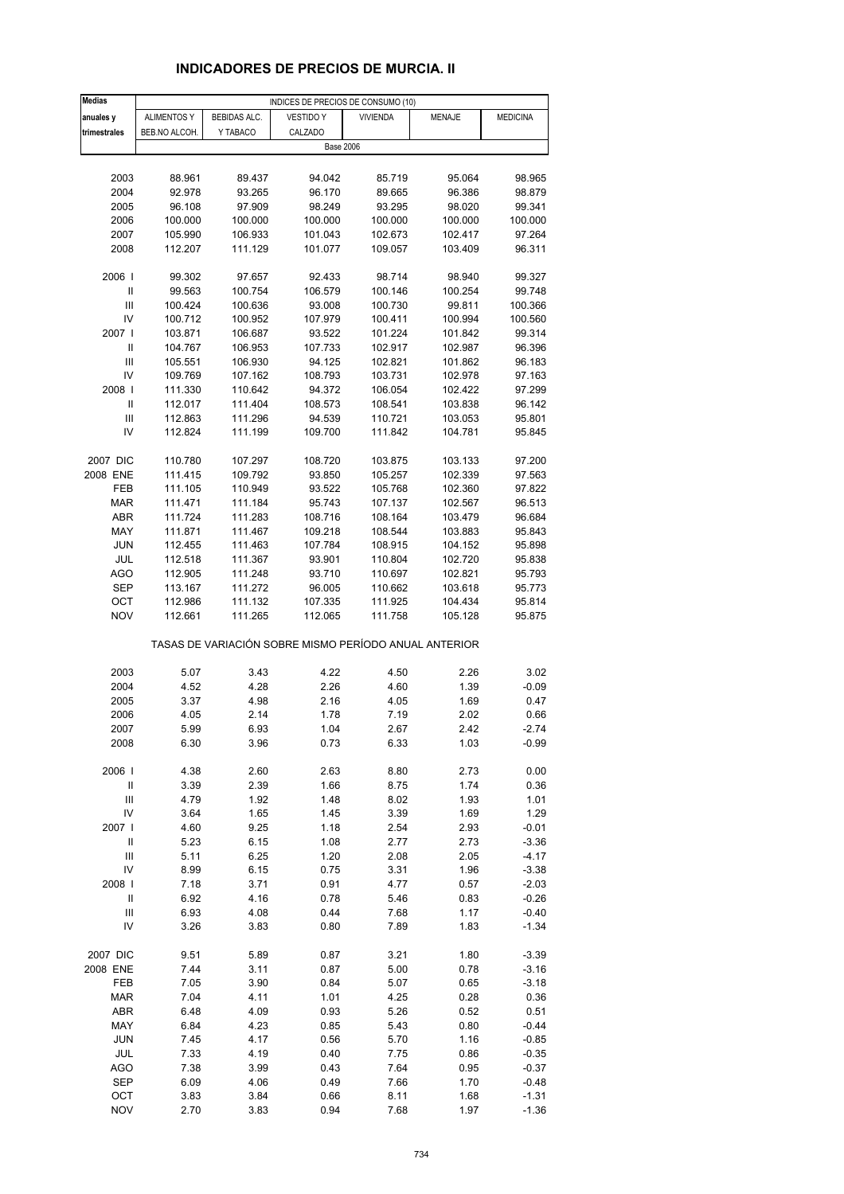# **INDICADORES DE PRECIOS DE MURCIA. II**

| <b>Medias</b>                        |                    |                    | INDICES DE PRECIOS DE CONSUMO (10)                    |                    |                    |                    |
|--------------------------------------|--------------------|--------------------|-------------------------------------------------------|--------------------|--------------------|--------------------|
| anuales y                            | <b>ALIMENTOS Y</b> | BEBIDAS ALC.       | <b>VESTIDO Y</b>                                      | <b>VIVIENDA</b>    | <b>MENAJE</b>      | <b>MEDICINA</b>    |
| trimestrales                         | BEB.NO ALCOH.      | Y TABACO           | CALZADO                                               |                    |                    |                    |
|                                      |                    |                    | <b>Base 2006</b>                                      |                    |                    |                    |
|                                      |                    |                    |                                                       |                    |                    |                    |
| 2003                                 | 88.961             | 89.437             | 94.042                                                | 85.719             | 95.064             | 98.965             |
| 2004                                 | 92.978             | 93.265             | 96.170                                                | 89.665             | 96.386             | 98.879             |
| 2005                                 | 96.108             | 97.909             | 98.249                                                | 93.295             | 98.020             | 99.341             |
| 2006<br>2007                         | 100.000<br>105.990 | 100.000<br>106.933 | 100.000<br>101.043                                    | 100.000<br>102.673 | 100.000<br>102.417 | 100.000<br>97.264  |
| 2008                                 | 112.207            | 111.129            | 101.077                                               | 109.057            | 103.409            | 96.311             |
|                                      |                    |                    |                                                       |                    |                    |                    |
| 2006                                 | 99.302             | 97.657             | 92.433                                                | 98.714             | 98.940             | 99.327             |
| $\sf II$                             | 99.563             | 100.754            | 106.579                                               | 100.146            | 100.254            | 99.748             |
| Ш                                    | 100.424            | 100.636            | 93.008                                                | 100.730            | 99.811             | 100.366            |
| IV                                   | 100.712            | 100.952            | 107.979                                               | 100.411            | 100.994            | 100.560            |
| 2007                                 | 103.871            | 106.687            | 93.522                                                | 101.224            | 101.842            | 99.314             |
| Ш                                    | 104.767            | 106.953            | 107.733                                               | 102.917            | 102.987            | 96.396             |
| Ш<br>IV                              | 105.551<br>109.769 | 106.930<br>107.162 | 94.125<br>108.793                                     | 102.821<br>103.731 | 101.862<br>102.978 | 96.183<br>97.163   |
| 2008                                 | 111.330            | 110.642            | 94.372                                                | 106.054            | 102.422            | 97.299             |
| $\sf II$                             | 112.017            | 111.404            | 108.573                                               | 108.541            | 103.838            | 96.142             |
| Ш                                    | 112.863            | 111.296            | 94.539                                                | 110.721            | 103.053            | 95.801             |
| IV                                   | 112.824            | 111.199            | 109.700                                               | 111.842            | 104.781            | 95.845             |
|                                      |                    |                    |                                                       |                    |                    |                    |
| 2007 DIC                             | 110.780            | 107.297            | 108.720                                               | 103.875            | 103.133            | 97.200             |
| 2008 ENE                             | 111.415            | 109.792            | 93.850                                                | 105.257            | 102.339            | 97.563             |
| FEB                                  | 111.105            | 110.949            | 93.522                                                | 105.768            | 102.360            | 97.822             |
| <b>MAR</b>                           | 111.471            | 111.184            | 95.743                                                | 107.137            | 102.567            | 96.513             |
| <b>ABR</b><br>MAY                    | 111.724<br>111.871 | 111.283<br>111.467 | 108.716<br>109.218                                    | 108.164<br>108.544 | 103.479<br>103.883 | 96.684<br>95.843   |
| JUN                                  | 112.455            | 111.463            | 107.784                                               | 108.915            | 104.152            | 95.898             |
| JUL                                  | 112.518            | 111.367            | 93.901                                                | 110.804            | 102.720            | 95.838             |
| AGO                                  | 112.905            | 111.248            | 93.710                                                | 110.697            | 102.821            | 95.793             |
| <b>SEP</b>                           | 113.167            | 111.272            | 96.005                                                | 110.662            | 103.618            | 95.773             |
| ОСТ                                  | 112.986            | 111.132            | 107.335                                               | 111.925            | 104.434            | 95.814             |
| <b>NOV</b>                           | 112.661            | 111.265            | 112.065                                               | 111.758            | 105.128            | 95.875             |
|                                      |                    |                    | TASAS DE VARIACIÓN SOBRE MISMO PERÍODO ANUAL ANTERIOR |                    |                    |                    |
| 2003                                 | 5.07               | 3.43               | 4.22                                                  | 4.50               | 2.26               | 3.02               |
| 2004                                 | 4.52               | 4.28               | 2.26                                                  | 4.60               | 1.39               | $-0.09$            |
| 2005                                 | 3.37               | 4.98               | 2.16                                                  | 4.05               | 1.69               | 0.47               |
| 2006                                 | 4.05               | 2.14               | 1.78                                                  | 7.19               | 2.02               | 0.66               |
| 2007                                 | 5.99               | 6.93               | 1.04                                                  | 2.67               | 2.42               | -2.74              |
| 2008                                 | 6.30               | 3.96               | 0.73                                                  | 6.33               | 1.03               | $-0.99$            |
|                                      |                    |                    |                                                       |                    |                    |                    |
| 2006  <br>$\ensuremath{\mathsf{II}}$ | 4.38               | 2.60               | 2.63                                                  | 8.80               | 2.73               | 0.00               |
| $\ensuremath{\mathsf{III}}\xspace$   | 3.39<br>4.79       | 2.39<br>1.92       | 1.66<br>1.48                                          | 8.75<br>8.02       | 1.74<br>1.93       | 0.36<br>1.01       |
| IV                                   | 3.64               | 1.65               | 1.45                                                  | 3.39               | 1.69               | 1.29               |
| 2007                                 | 4.60               | 9.25               | 1.18                                                  | 2.54               | 2.93               | $-0.01$            |
| $\ensuremath{\mathsf{II}}$           | 5.23               | 6.15               | 1.08                                                  | 2.77               | 2.73               | $-3.36$            |
| $\ensuremath{\mathsf{III}}\xspace$   | 5.11               | 6.25               | 1.20                                                  | 2.08               | 2.05               | $-4.17$            |
| IV                                   | 8.99               | 6.15               | 0.75                                                  | 3.31               | 1.96               | $-3.38$            |
| 2008                                 | 7.18               | 3.71               | 0.91                                                  | 4.77               | 0.57               | $-2.03$            |
| Ш                                    | 6.92               | 4.16               | 0.78                                                  | 5.46               | 0.83               | $-0.26$            |
| Ш<br>IV                              | 6.93<br>3.26       | 4.08<br>3.83       | 0.44<br>0.80                                          | 7.68<br>7.89       | 1.17<br>1.83       | $-0.40$<br>$-1.34$ |
|                                      |                    |                    |                                                       |                    |                    |                    |
| 2007 DIC                             | 9.51               | 5.89               | 0.87                                                  | 3.21               | 1.80               | $-3.39$            |
| 2008 ENE                             | 7.44               | 3.11               | 0.87                                                  | 5.00               | 0.78               | $-3.16$            |
| FEB                                  | 7.05               | 3.90               | 0.84                                                  | 5.07               | 0.65               | $-3.18$            |
| <b>MAR</b>                           | 7.04               | 4.11               | 1.01                                                  | 4.25               | 0.28               | 0.36               |
| ABR<br>MAY                           | 6.48               | 4.09               | 0.93                                                  | 5.26               | 0.52               | 0.51               |
| <b>JUN</b>                           | 6.84<br>7.45       | 4.23<br>4.17       | 0.85<br>0.56                                          | 5.43<br>5.70       | 0.80<br>1.16       | $-0.44$<br>$-0.85$ |
| JUL                                  | 7.33               | 4.19               | 0.40                                                  | 7.75               | 0.86               | $-0.35$            |
| AGO                                  | 7.38               | 3.99               | 0.43                                                  | 7.64               | 0.95               | $-0.37$            |
| <b>SEP</b>                           | 6.09               | 4.06               | 0.49                                                  | 7.66               | 1.70               | $-0.48$            |
| OCT                                  | 3.83               | 3.84               | 0.66                                                  | 8.11               | 1.68               | $-1.31$            |
| <b>NOV</b>                           | 2.70               | 3.83               | 0.94                                                  | 7.68               | 1.97               | $-1.36$            |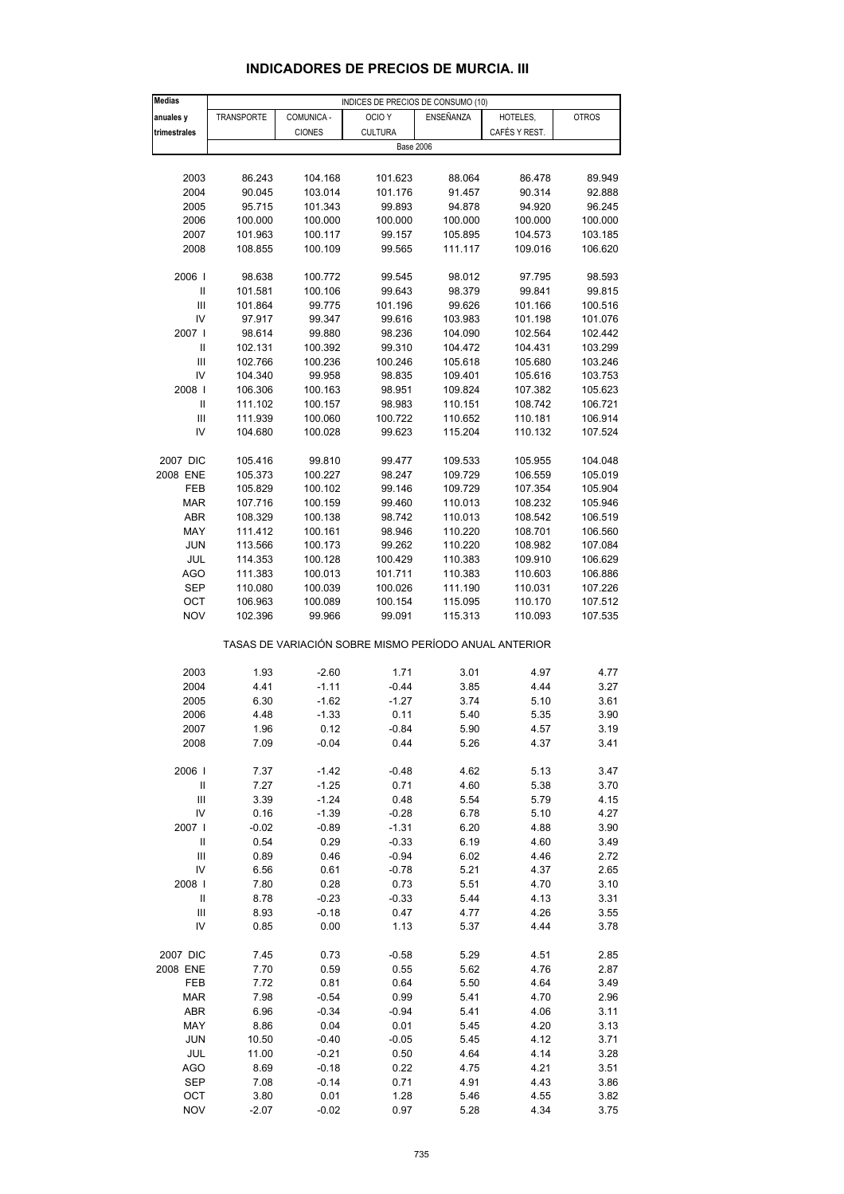#### **Medias anuales v TRANSPORTE COMUNICA - OCIO Y ENSEÑANZA HOTELES, QUI POTROS trimestrales** CIONES CULTURA CAFÉS Y REST. 2003 86.243 104.168 101.623 88.064 86.478 89.949 2004 90.045 103.014 101.176 91.457 90.314 92.888 2005 95.715 101.343 99.893 94.878 94.920 96.245 2006 100.000 100.000 100.000 100.000 100.000 100.000 2007 101.963 100.117 99.157 105.895 104.573 103.185 2008 108.855 100.109 99.565 111.117 109.016 106.620 2006 I 98.638 100.772 99.545 98.012 97.795 98.593 II 101.581 100.106 99.643 98.379 99.841 99.815 III 101.864 99.775 101.196 99.626 101.166 100.516 IV 97.917 99.347 99.616 103.983 101.198 101.076 2007 I 98.614 99.880 98.236 104.090 102.564 102.442 II 102.131 100.392 99.310 104.472 104.431 103.299 III 102.766 100.236 100.246 105.618 105.680 103.246 IV 104.340 99.958 98.835 109.401 105.616 103.753 2008 I 106.306 100.163 98.951 109.824 107.382 105.623 II 111.102 100.157 98.983 110.151 108.742 106.721 III 111.939 100.060 100.722 110.652 110.181 106.914 IV 104.680 100.028 99.623 115.204 110.132 107.524 2007 DIC 105.416 99.810 99.477 109.533 105.955 104.048 2008 ENE 105.373 100.227 98.247 109.729 106.559 105.019 FEB 105.829 100.102 99.146 109.729 107.354 105.904 MAR 107.716 100.159 99.460 110.013 108.232 105.946 ABR 108.329 100.138 98.742 110.013 108.542 106.519 MAY 111.412 100.161 98.946 110.220 108.701 106.560 JUN 113.566 100.173 99.262 110.220 108.982 107.084 JUL 114.353 100.128 100.429 110.383 109.910 106.629 AGO 111.383 100.013 101.711 110.383 110.603 106.886 SEP 110.080 100.039 100.026 111.190 110.031 107.226 OCT 106.963 100.089 100.154 115.095 110.170 107.512 NOV 102.396 99.966 99.091 115.313 110.093 107.535 TASAS DE VARIACIÓN SOBRE MISMO PERÍODO ANUAL ANTERIOR 2003 1.93 -2.60 1.71 3.01 4.97 4.77 2004 4.41 -1.11 -0.44 3.85 4.44 3.27 2005 6.30 -1.62 -1.27 3.74 5.10 3.61 2006 4.48 -1.33 0.11 5.40 5.35 3.90 2007 1.96 0.12 -0.84 5.90 4.57 3.19 2008 7.09 -0.04 0.44 5.26 4.37 3.41 2006 I 7.37 -1.42 -0.48 4.62 5.13 3.47 II 7.27 -1.25 0.71 4.60 5.38 3.70 III 3.39 -1.24 0.48 5.54 5.79 4.15 IV 0.16 -1.39 -0.28 6.78 5.10 4.27 2007 I -0.02 -0.89 -1.31 6.20 4.88 3.90 II 0.54 0.29 -0.33 6.19 4.60 3.49 III 0.89 0.46 -0.94 6.02 4.46 2.72 IV 6.56 0.61 -0.78 5.21 4.37 2.65 2008 I 7.80 0.28 0.73 5.51 4.70 3.10 II 8.78 -0.23 -0.33 5.44 4.13 3.31 III 8.93 -0.18 0.47 4.77 4.26 3.55 IV 0.85 0.00 1.13 5.37 4.44 3.78 2007 DIC 7.45 0.73 -0.58 5.29 4.51 2.85 2008 ENE 7.70 0.59 0.55 5.62 4.76 2.87 FEB 7.72 0.81 0.64 5.50 4.64 3.49 MAR 7.98 -0.54 0.99 5.41 4.70 2.96 ABR 6.96 -0.34 -0.94 5.41 4.06 3.11 MAY 8.86 0.04 0.01 5.45 4.20 3.13 JUN 10.50 -0.40 -0.05 5.45 4.12 3.71 JUL 11.00 -0.21 0.50 4.64 4.14 3.28 AGO 8.69 -0.18 0.22 4.75 4.21 3.51 Base 2006 INDICES DE PRECIOS DE CONSUMO (10)

#### **INDICADORES DE PRECIOS DE MURCIA. III**

 SEP 7.08 -0.14 0.71 4.91 4.43 3.86 OCT 3.80 0.01 1.28 5.46 4.55 3.82 NOV -2.07 -0.02 0.97 5.28 4.34 3.75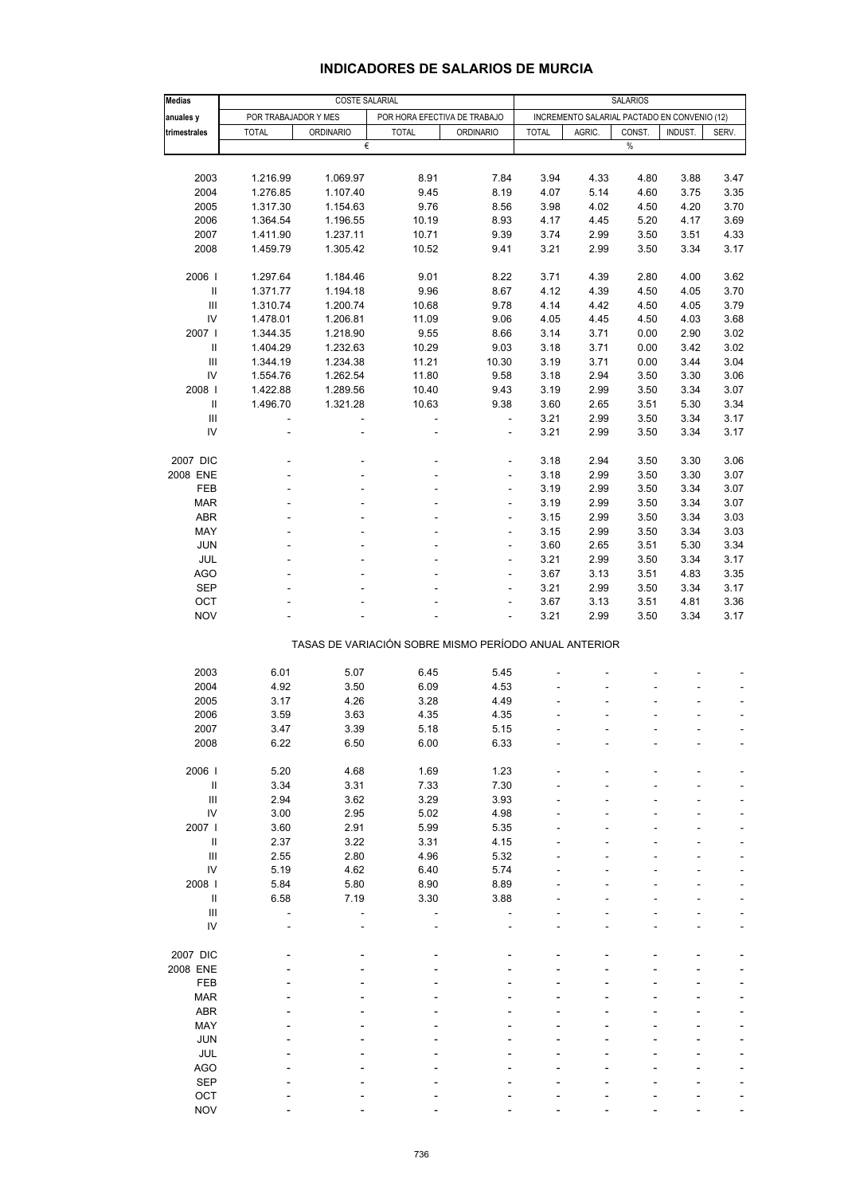## **INDICADORES DE SALARIOS DE MURCIA**

| Medias                               |                          | <b>COSTE SALARIAL</b>                                 |                          |                              | <b>SALARIOS</b> |                                              |        |         |               |
|--------------------------------------|--------------------------|-------------------------------------------------------|--------------------------|------------------------------|-----------------|----------------------------------------------|--------|---------|---------------|
| anuales y                            | POR TRABAJADOR Y MES     |                                                       |                          | POR HORA EFECTIVA DE TRABAJO |                 | INCREMENTO SALARIAL PACTADO EN CONVENIO (12) |        |         |               |
| trimestrales                         | <b>TOTAL</b>             | <b>ORDINARIO</b>                                      | <b>TOTAL</b>             | <b>ORDINARIO</b>             | <b>TOTAL</b>    | AGRIC.                                       | CONST. | INDUST. | SERV.         |
|                                      |                          | €                                                     |                          |                              |                 |                                              | $\%$   |         |               |
|                                      |                          |                                                       |                          |                              |                 |                                              |        |         |               |
| 2003                                 | 1.216.99                 | 1.069.97                                              | 8.91                     | 7.84                         | 3.94            | 4.33                                         | 4.80   | 3.88    | 3.47          |
| 2004                                 |                          |                                                       |                          |                              |                 | 5.14                                         |        |         |               |
|                                      | 1.276.85                 | 1.107.40                                              | 9.45                     | 8.19                         | 4.07            |                                              | 4.60   | 3.75    | 3.35          |
| 2005                                 | 1.317.30                 | 1.154.63                                              | 9.76                     | 8.56                         | 3.98            | 4.02                                         | 4.50   | 4.20    | 3.70          |
| 2006                                 | 1.364.54                 | 1.196.55                                              | 10.19                    | 8.93                         | 4.17            | 4.45                                         | 5.20   | 4.17    | 3.69          |
| 2007                                 | 1.411.90                 | 1.237.11                                              | 10.71                    | 9.39                         | 3.74            | 2.99                                         | 3.50   | 3.51    | 4.33          |
| 2008                                 | 1.459.79                 | 1.305.42                                              | 10.52                    | 9.41                         | 3.21            | 2.99                                         | 3.50   | 3.34    | 3.17          |
| 2006                                 | 1.297.64                 | 1.184.46                                              | 9.01                     | 8.22                         | 3.71            | 4.39                                         | 2.80   | 4.00    | 3.62          |
| $\ensuremath{\mathsf{II}}$           | 1.371.77                 | 1.194.18                                              | 9.96                     | 8.67                         | 4.12            | 4.39                                         | 4.50   | 4.05    | 3.70          |
| Ш                                    | 1.310.74                 | 1.200.74                                              | 10.68                    | 9.78                         | 4.14            | 4.42                                         | 4.50   | 4.05    | 3.79          |
| IV                                   | 1.478.01                 | 1.206.81                                              | 11.09                    | 9.06                         | 4.05            | 4.45                                         | 4.50   | 4.03    | 3.68          |
| 2007                                 | 1.344.35                 | 1.218.90                                              | 9.55                     | 8.66                         | 3.14            | 3.71                                         | 0.00   | 2.90    | 3.02          |
| Ш                                    | 1.404.29                 | 1.232.63                                              | 10.29                    | 9.03                         | 3.18            | 3.71                                         | 0.00   | 3.42    | 3.02          |
| Ш                                    | 1.344.19                 | 1.234.38                                              | 11.21                    | 10.30                        | 3.19            | 3.71                                         | 0.00   | 3.44    | 3.04          |
| IV                                   | 1.554.76                 | 1.262.54                                              | 11.80                    | 9.58                         | 3.18            | 2.94                                         | 3.50   | 3.30    | 3.06          |
|                                      |                          |                                                       |                          |                              |                 |                                              |        |         |               |
| 2008                                 | 1.422.88                 | 1.289.56                                              | 10.40                    | 9.43                         | 3.19            | 2.99                                         | 3.50   | 3.34    | 3.07          |
| Ш                                    | 1.496.70                 | 1.321.28                                              | 10.63                    | 9.38                         | 3.60            | 2.65                                         | 3.51   | 5.30    | 3.34          |
| III                                  | $\overline{\phantom{a}}$ | ÷                                                     | $\blacksquare$           | $\overline{\phantom{a}}$     | 3.21            | 2.99                                         | 3.50   | 3.34    | 3.17          |
| IV                                   |                          |                                                       | ä,                       | L,                           | 3.21            | 2.99                                         | 3.50   | 3.34    | 3.17          |
| 2007 DIC                             |                          |                                                       | $\overline{a}$           | ÷,                           | 3.18            | 2.94                                         | 3.50   | 3.30    | 3.06          |
| 2008 ENE                             |                          |                                                       | L,                       | ÷                            | 3.18            | 2.99                                         | 3.50   | 3.30    | 3.07          |
| <b>FEB</b>                           |                          |                                                       |                          | L,                           | 3.19            | 2.99                                         | 3.50   | 3.34    | 3.07          |
| <b>MAR</b>                           |                          |                                                       | $\overline{a}$           | ÷,                           | 3.19            | 2.99                                         | 3.50   | 3.34    | 3.07          |
| ABR                                  |                          |                                                       |                          | L,                           | 3.15            | 2.99                                         | 3.50   | 3.34    | 3.03          |
| MAY                                  |                          |                                                       | ä,                       | ÷                            | 3.15            | 2.99                                         | 3.50   | 3.34    | 3.03          |
| <b>JUN</b>                           |                          |                                                       | $\overline{\phantom{a}}$ | ÷,                           | 3.60            | 2.65                                         | 3.51   | 5.30    | 3.34          |
|                                      |                          |                                                       |                          |                              |                 |                                              |        |         |               |
| JUL                                  |                          |                                                       |                          | L,                           | 3.21            | 2.99                                         | 3.50   | 3.34    | 3.17          |
| <b>AGO</b>                           |                          |                                                       |                          | ÷                            | 3.67            | 3.13                                         | 3.51   | 4.83    | 3.35          |
| <b>SEP</b>                           |                          |                                                       |                          | ÷,                           | 3.21            | 2.99                                         | 3.50   | 3.34    | 3.17          |
| OCT                                  |                          |                                                       |                          | L,                           | 3.67            | 3.13                                         | 3.51   | 4.81    | 3.36          |
| <b>NOV</b>                           |                          |                                                       |                          | L                            | 3.21            | 2.99                                         | 3.50   | 3.34    | 3.17          |
|                                      |                          | TASAS DE VARIACIÓN SOBRE MISMO PERÍODO ANUAL ANTERIOR |                          |                              |                 |                                              |        |         |               |
| 2003                                 | 6.01                     | 5.07                                                  | 6.45                     | 5.45                         |                 |                                              |        |         |               |
| 2004                                 | 4.92                     |                                                       | 6.09                     |                              |                 |                                              |        |         |               |
|                                      |                          | 3.50                                                  |                          | 4.53                         |                 |                                              |        |         |               |
| 2005                                 | 3.17                     | 4.26                                                  | 3.28                     | 4.49                         |                 |                                              |        |         | $\frac{1}{2}$ |
| 2006                                 | 3.59                     | 3.63                                                  | 4.35                     | 4.35                         |                 |                                              |        |         | ÷,            |
| 2007                                 | 3.47                     | 3.39                                                  | 5.18                     | 5.15                         |                 |                                              |        |         |               |
| 2008                                 | 6.22                     | 6.50                                                  | 6.00                     | 6.33                         |                 |                                              |        |         |               |
| 2006                                 | 5.20                     | 4.68                                                  | 1.69                     | 1.23                         |                 |                                              |        |         |               |
| $\ensuremath{\mathsf{II}}$           | 3.34                     | 3.31                                                  | 7.33                     | 7.30                         |                 |                                              |        |         |               |
| Ш                                    | 2.94                     | 3.62                                                  | 3.29                     | 3.93                         |                 |                                              |        |         |               |
| ${\sf IV}$                           | 3.00                     | 2.95                                                  | 5.02                     | 4.98                         |                 |                                              |        |         |               |
| 2007                                 | 3.60                     | 2.91                                                  | 5.99                     | 5.35                         |                 |                                              |        |         |               |
| Ш                                    | 2.37                     | 3.22                                                  | 3.31                     | 4.15                         |                 |                                              |        |         |               |
| $\ensuremath{\mathsf{III}}\xspace$   | 2.55                     | 2.80                                                  | 4.96                     | 5.32                         |                 |                                              |        |         |               |
| IV                                   | 5.19                     | 4.62                                                  | 6.40                     | 5.74                         |                 |                                              |        |         |               |
|                                      |                          |                                                       |                          |                              |                 |                                              |        |         |               |
| 2008  <br>$\ensuremath{\mathsf{II}}$ | 5.84                     | 5.80                                                  | 8.90                     | 8.89                         |                 |                                              |        |         |               |
|                                      | 6.58                     | 7.19                                                  | 3.30                     | 3.88                         |                 |                                              |        |         |               |
| $\ensuremath{\mathsf{III}}\xspace$   |                          |                                                       | l,                       |                              |                 |                                              |        |         |               |
| IV                                   |                          |                                                       |                          |                              |                 |                                              |        |         |               |
| 2007 DIC                             |                          |                                                       |                          |                              |                 |                                              |        |         |               |
| 2008 ENE                             |                          |                                                       |                          |                              |                 |                                              |        |         |               |
| FEB                                  |                          |                                                       |                          |                              |                 |                                              |        |         |               |
| <b>MAR</b>                           |                          |                                                       |                          |                              |                 |                                              |        |         |               |
| ABR                                  |                          |                                                       |                          |                              |                 |                                              |        |         |               |
| MAY                                  |                          |                                                       |                          |                              |                 |                                              |        |         |               |
| <b>JUN</b>                           |                          |                                                       |                          |                              |                 |                                              |        |         |               |
| JUL                                  |                          |                                                       |                          |                              |                 |                                              |        |         |               |
| <b>AGO</b>                           |                          |                                                       |                          |                              |                 |                                              |        |         |               |
| <b>SEP</b>                           |                          |                                                       |                          |                              |                 |                                              |        |         |               |
| OCT                                  |                          |                                                       |                          |                              |                 |                                              |        |         |               |
| <b>NOV</b>                           |                          |                                                       |                          |                              |                 |                                              |        |         |               |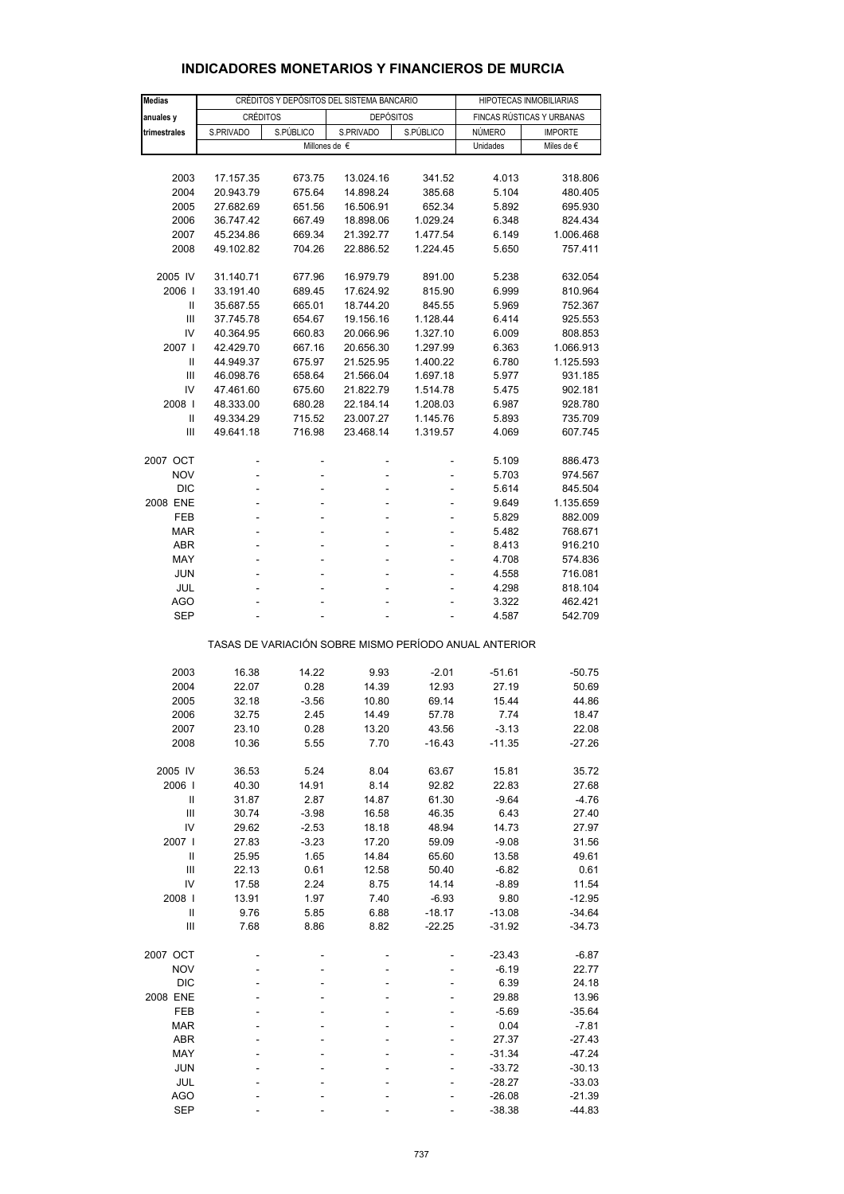| <b>Medias</b>              |           | CRÉDITOS Y DEPÓSITOS DEL SISTEMA BANCARIO |                                                       | HIPOTECAS INMOBILIARIAS |               |                           |
|----------------------------|-----------|-------------------------------------------|-------------------------------------------------------|-------------------------|---------------|---------------------------|
| anuales y                  |           | <b>CRÉDITOS</b>                           | <b>DEPÓSITOS</b>                                      |                         |               | FINCAS RÚSTICAS Y URBANAS |
| trimestrales               | S.PRIVADO | S.PÚBLICO                                 | S.PRIVADO                                             | S.PÚBLICO               | <b>NÚMERO</b> | <b>IMPORTE</b>            |
|                            |           |                                           | Millones de $\epsilon$                                |                         | Unidades      | Miles de €                |
|                            |           |                                           |                                                       |                         |               |                           |
| 2003                       | 17.157.35 | 673.75                                    | 13.024.16                                             | 341.52                  | 4.013         | 318.806                   |
| 2004                       | 20.943.79 | 675.64                                    | 14.898.24                                             | 385.68                  | 5.104         | 480.405                   |
| 2005                       | 27.682.69 | 651.56                                    | 16.506.91                                             | 652.34                  | 5.892         | 695.930                   |
| 2006                       | 36.747.42 | 667.49                                    | 18.898.06                                             | 1.029.24                | 6.348         | 824.434                   |
|                            |           |                                           |                                                       | 1.477.54                |               |                           |
| 2007                       | 45.234.86 | 669.34                                    | 21.392.77                                             | 1.224.45                | 6.149         | 1.006.468                 |
| 2008                       | 49.102.82 | 704.26                                    | 22.886.52                                             |                         | 5.650         | 757.411                   |
| 2005 IV                    | 31.140.71 | 677.96                                    | 16.979.79                                             | 891.00                  | 5.238         | 632.054                   |
| 2006                       | 33.191.40 | 689.45                                    | 17.624.92                                             | 815.90                  | 6.999         | 810.964                   |
| Ш                          | 35.687.55 | 665.01                                    | 18.744.20                                             | 845.55                  | 5.969         | 752.367                   |
| Ш                          | 37.745.78 | 654.67                                    | 19.156.16                                             |                         | 6.414         | 925.553                   |
| IV                         | 40.364.95 | 660.83                                    | 20.066.96                                             | 1.128.44<br>1.327.10    | 6.009         | 808.853                   |
| 2007 l                     | 42.429.70 | 667.16                                    | 20.656.30                                             | 1.297.99                |               | 1.066.913                 |
|                            |           |                                           |                                                       |                         | 6.363         |                           |
| Ш                          | 44.949.37 | 675.97                                    | 21.525.95                                             | 1.400.22                | 6.780         | 1.125.593                 |
| Ш                          | 46.098.76 | 658.64                                    | 21.566.04                                             | 1.697.18                | 5.977         | 931.185                   |
| IV                         | 47.461.60 | 675.60                                    | 21.822.79                                             | 1.514.78                | 5.475         | 902.181                   |
| 2008                       | 48.333.00 | 680.28                                    | 22.184.14                                             | 1.208.03                | 6.987         | 928.780                   |
| $\mathbf{I}$               | 49.334.29 | 715.52                                    | 23.007.27                                             | 1.145.76                | 5.893         | 735.709                   |
| Ш                          | 49.641.18 | 716.98                                    | 23.468.14                                             | 1.319.57                | 4.069         | 607.745                   |
|                            |           |                                           |                                                       |                         |               |                           |
| 2007 OCT                   |           |                                           |                                                       |                         | 5.109         | 886.473                   |
| <b>NOV</b>                 | ä,        | ۰                                         | ۰                                                     | 4                       | 5.703         | 974.567                   |
| <b>DIC</b>                 |           |                                           |                                                       |                         | 5.614         | 845.504                   |
| 2008 ENE                   | ÷.        |                                           |                                                       |                         | 9.649         | 1.135.659                 |
| <b>FEB</b>                 | ٠         |                                           | Ĭ.                                                    | ۰                       | 5.829         | 882.009                   |
| <b>MAR</b>                 | -         |                                           |                                                       | ÷                       | 5.482         | 768.671                   |
| <b>ABR</b>                 | ä,        |                                           | ä,                                                    | L,                      | 8.413         | 916.210                   |
| MAY                        | ä,        |                                           | ۰                                                     | ä,                      | 4.708         | 574.836                   |
| <b>JUN</b>                 | -         |                                           |                                                       |                         | 4.558         | 716.081                   |
| JUL                        | ÷.        |                                           |                                                       |                         | 4.298         | 818.104                   |
| <b>AGO</b>                 |           |                                           |                                                       |                         | 3.322         | 462.421                   |
| <b>SEP</b>                 |           |                                           |                                                       |                         | 4.587         | 542.709                   |
|                            |           |                                           | TASAS DE VARIACIÓN SOBRE MISMO PERÍODO ANUAL ANTERIOR |                         |               |                           |
|                            |           |                                           |                                                       |                         |               |                           |
| 2003                       | 16.38     | 14.22                                     | 9.93                                                  | $-2.01$                 | $-51.61$      | $-50.75$                  |
| 2004                       | 22.07     | 0.28                                      | 14.39                                                 | 12.93                   | 27.19         | 50.69                     |
| 2005                       | 32.18     | $-3.56$                                   | 10.80                                                 | 69.14                   | 15.44         | 44.86                     |
| 2006                       | 32.75     | 2.45                                      | 14.49                                                 | 57.78                   | 7.74          | 18.47                     |
| 2007                       | 23.10     | 0.28                                      | 13.20                                                 | 43.56                   | $-3.13$       | 22.08                     |
| 2008                       | 10.36     | 5.55                                      | 7.70                                                  | $-16.43$                | $-11.35$      | $-27.26$                  |
|                            |           |                                           |                                                       |                         |               |                           |
| 2005 IV                    | 36.53     | 5.24                                      | 8.04                                                  | 63.67                   | 15.81         | 35.72                     |
| 2006                       | 40.30     | 14.91                                     | 8.14                                                  | 92.82                   | 22.83         | 27.68                     |
| $\ensuremath{\mathsf{II}}$ | 31.87     | 2.87                                      | 14.87                                                 | 61.30                   | $-9.64$       | $-4.76$                   |
| Ш                          | 30.74     | $-3.98$                                   | 16.58                                                 | 46.35                   | 6.43          | 27.40                     |
| IV                         | 29.62     | $-2.53$                                   | 18.18                                                 | 48.94                   | 14.73         | 27.97                     |
| 2007 l                     | 27.83     | $-3.23$                                   | 17.20                                                 | 59.09                   | $-9.08$       | 31.56                     |
| Ш                          | 25.95     | 1.65                                      | 14.84                                                 | 65.60                   | 13.58         | 49.61                     |
| III                        | 22.13     | 0.61                                      | 12.58                                                 | 50.40                   | $-6.82$       | 0.61                      |
| IV                         | 17.58     | 2.24                                      | 8.75                                                  | 14.14                   | $-8.89$       | 11.54                     |
| 2008                       | 13.91     | 1.97                                      | 7.40                                                  | $-6.93$                 | 9.80          | $-12.95$                  |
| Ш                          | 9.76      | 5.85                                      | 6.88                                                  | $-18.17$                | $-13.08$      | $-34.64$                  |
| Ш                          | 7.68      | 8.86                                      | 8.82                                                  | $-22.25$                | $-31.92$      | $-34.73$                  |
|                            |           |                                           |                                                       |                         |               |                           |
| 2007 OCT                   |           |                                           |                                                       |                         | -23.43        | $-6.87$                   |
| <b>NOV</b>                 |           |                                           |                                                       |                         | $-6.19$       | 22.77                     |
| <b>DIC</b>                 |           |                                           |                                                       |                         | 6.39          | 24.18                     |
| 2008 ENE                   |           |                                           |                                                       |                         | 29.88         | 13.96                     |
| <b>FEB</b>                 |           |                                           |                                                       |                         | $-5.69$       | $-35.64$                  |
| <b>MAR</b>                 |           |                                           |                                                       |                         | 0.04          | $-7.81$                   |
| <b>ABR</b>                 |           |                                           |                                                       |                         | 27.37         | $-27.43$                  |
| MAY                        |           |                                           |                                                       |                         | $-31.34$      | $-47.24$                  |
| <b>JUN</b>                 |           |                                           |                                                       |                         | $-33.72$      | $-30.13$                  |
| JUL                        |           |                                           |                                                       |                         | $-28.27$      | $-33.03$                  |

#### **INDICADORES MONETARIOS Y FINANCIEROS DE MURCIA**

AGO - - - - - - - - - - - - 26.08 - 21.39 SEP - - - - - - - - - - - - - 38.38 - - 44.83